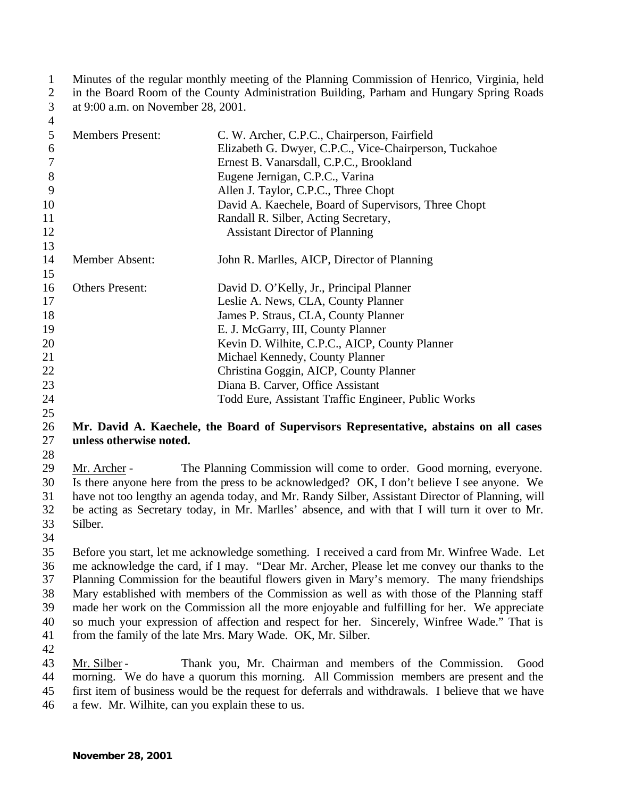Minutes of the regular monthly meeting of the Planning Commission of Henrico, Virginia, held in the Board Room of the County Administration Building, Parham and Hungary Spring Roads at 9:00 a.m. on November 28, 2001.

| ⇷  |                         |                                                        |
|----|-------------------------|--------------------------------------------------------|
| 5  | <b>Members Present:</b> | C. W. Archer, C.P.C., Chairperson, Fairfield           |
| 6  |                         | Elizabeth G. Dwyer, C.P.C., Vice-Chairperson, Tuckahoe |
| 7  |                         | Ernest B. Vanarsdall, C.P.C., Brookland                |
| 8  |                         | Eugene Jernigan, C.P.C., Varina                        |
| 9  |                         | Allen J. Taylor, C.P.C., Three Chopt                   |
| 10 |                         | David A. Kaechele, Board of Supervisors, Three Chopt   |
| 11 |                         | Randall R. Silber, Acting Secretary,                   |
| 12 |                         | <b>Assistant Director of Planning</b>                  |
| 13 |                         |                                                        |
| 14 | Member Absent:          | John R. Marlles, AICP, Director of Planning            |
| 15 |                         |                                                        |
| 16 | <b>Others Present:</b>  | David D. O'Kelly, Jr., Principal Planner               |
| 17 |                         | Leslie A. News, CLA, County Planner                    |
| 18 |                         | James P. Straus, CLA, County Planner                   |
| 19 |                         | E. J. McGarry, III, County Planner                     |
| 20 |                         | Kevin D. Wilhite, C.P.C., AICP, County Planner         |
| 21 |                         | Michael Kennedy, County Planner                        |
| 22 |                         | Christina Goggin, AICP, County Planner                 |
| 23 |                         | Diana B. Carver, Office Assistant                      |
| 24 |                         | Todd Eure, Assistant Traffic Engineer, Public Works    |
|    |                         |                                                        |

### **Mr. David A. Kaechele, the Board of Supervisors Representative, abstains on all cases unless otherwise noted.**

 Mr. Archer - The Planning Commission will come to order. Good morning, everyone. Is there anyone here from the press to be acknowledged? OK, I don't believe I see anyone. We have not too lengthy an agenda today, and Mr. Randy Silber, Assistant Director of Planning, will be acting as Secretary today, in Mr. Marlles' absence, and with that I will turn it over to Mr. Silber.

 Before you start, let me acknowledge something. I received a card from Mr. Winfree Wade. Let me acknowledge the card, if I may. "Dear Mr. Archer, Please let me convey our thanks to the Planning Commission for the beautiful flowers given in Mary's memory. The many friendships Mary established with members of the Commission as well as with those of the Planning staff made her work on the Commission all the more enjoyable and fulfilling for her. We appreciate so much your expression of affection and respect for her. Sincerely, Winfree Wade." That is from the family of the late Mrs. Mary Wade. OK, Mr. Silber.

 Mr. Silber - Thank you, Mr. Chairman and members of the Commission. Good morning. We do have a quorum this morning. All Commission members are present and the first item of business would be the request for deferrals and withdrawals. I believe that we have a few. Mr. Wilhite, can you explain these to us.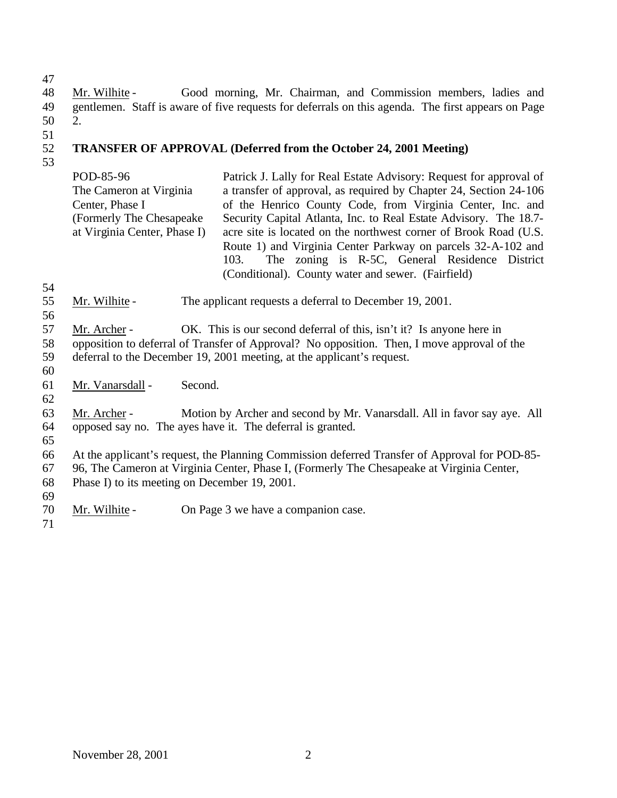Mr. Wilhite - Good morning, Mr. Chairman, and Commission members, ladies and gentlemen. Staff is aware of five requests for deferrals on this agenda. The first appears on Page 2.

#### **TRANSFER OF APPROVAL (Deferred from the October 24, 2001 Meeting)**

POD-85-96 The Cameron at Virginia Center, Phase I (Formerly The Chesapeake at Virginia Center, Phase I) Patrick J. Lally for Real Estate Advisory: Request for approval of a transfer of approval, as required by Chapter 24, Section 24-106 of the Henrico County Code, from Virginia Center, Inc. and Security Capital Atlanta, Inc. to Real Estate Advisory. The 18.7 acre site is located on the northwest corner of Brook Road (U.S. Route 1) and Virginia Center Parkway on parcels 32-A-102 and 103. The zoning is R-5C, General Residence District (Conditional). County water and sewer. (Fairfield)

- 
- Mr. Wilhite The applicant requests a deferral to December 19, 2001.
- 
- Mr. Archer OK. This is our second deferral of this, isn't it? Is anyone here in
- opposition to deferral of Transfer of Approval? No opposition. Then, I move approval of the
- deferral to the December 19, 2001 meeting, at the applicant's request.
- 
- Mr. Vanarsdall Second.
- 

 Mr. Archer - Motion by Archer and second by Mr. Vanarsdall. All in favor say aye. All opposed say no. The ayes have it. The deferral is granted.

 At the applicant's request, the Planning Commission deferred Transfer of Approval for POD-85- 96, The Cameron at Virginia Center, Phase I, (Formerly The Chesapeake at Virginia Center,

Phase I) to its meeting on December 19, 2001.

 Mr. Wilhite - On Page 3 we have a companion case.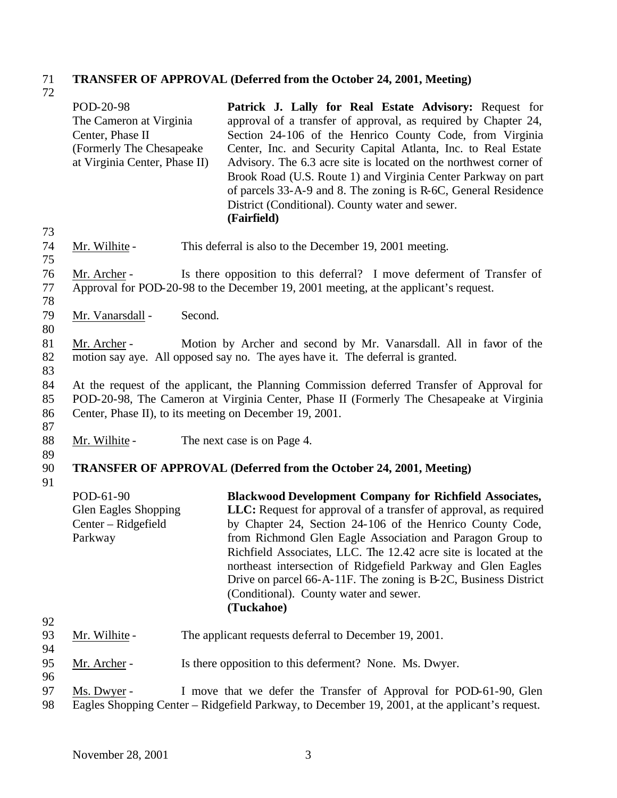### 71 **TRANSFER OF APPROVAL (Deferred from the October 24, 2001, Meeting)** 71<br>72

|                | POD-20-98<br>The Cameron at Virginia<br>Center, Phase II<br>(Formerly The Chesapeake<br>at Virginia Center, Phase II) |         | Patrick J. Lally for Real Estate Advisory: Request for<br>approval of a transfer of approval, as required by Chapter 24,<br>Section 24-106 of the Henrico County Code, from Virginia<br>Center, Inc. and Security Capital Atlanta, Inc. to Real Estate<br>Advisory. The 6.3 acre site is located on the northwest corner of<br>Brook Road (U.S. Route 1) and Virginia Center Parkway on part<br>of parcels 33-A-9 and 8. The zoning is R-6C, General Residence<br>District (Conditional). County water and sewer.<br>(Fairfield) |
|----------------|-----------------------------------------------------------------------------------------------------------------------|---------|----------------------------------------------------------------------------------------------------------------------------------------------------------------------------------------------------------------------------------------------------------------------------------------------------------------------------------------------------------------------------------------------------------------------------------------------------------------------------------------------------------------------------------|
| 73<br>74<br>75 | Mr. Wilhite -                                                                                                         |         | This deferral is also to the December 19, 2001 meeting.                                                                                                                                                                                                                                                                                                                                                                                                                                                                          |
| 76<br>77<br>78 | Mr. Archer -                                                                                                          |         | Is there opposition to this deferral? I move deferment of Transfer of<br>Approval for POD-20-98 to the December 19, 2001 meeting, at the applicant's request.                                                                                                                                                                                                                                                                                                                                                                    |
| 79<br>80       | Mr. Vanarsdall -                                                                                                      | Second. |                                                                                                                                                                                                                                                                                                                                                                                                                                                                                                                                  |
| 81<br>82<br>83 | Mr. Archer -                                                                                                          |         | Motion by Archer and second by Mr. Vanarsdall. All in favor of the<br>motion say aye. All opposed say no. The ayes have it. The deferral is granted.                                                                                                                                                                                                                                                                                                                                                                             |
| 84<br>85<br>86 |                                                                                                                       |         | At the request of the applicant, the Planning Commission deferred Transfer of Approval for<br>POD-20-98, The Cameron at Virginia Center, Phase II (Formerly The Chesapeake at Virginia<br>Center, Phase II), to its meeting on December 19, 2001.                                                                                                                                                                                                                                                                                |
| 87<br>88<br>89 | Mr. Wilhite -                                                                                                         |         | The next case is on Page 4.                                                                                                                                                                                                                                                                                                                                                                                                                                                                                                      |
| 90<br>91       |                                                                                                                       |         | <b>TRANSFER OF APPROVAL (Deferred from the October 24, 2001, Meeting)</b>                                                                                                                                                                                                                                                                                                                                                                                                                                                        |
|                | POD-61-90<br>Glen Eagles Shopping<br>Center - Ridgefield<br>Parkway                                                   |         | <b>Blackwood Development Company for Richfield Associates,</b><br>LLC: Request for approval of a transfer of approval, as required<br>by Chapter 24, Section 24-106 of the Henrico County Code,<br>from Richmond Glen Eagle Association and Paragon Group to<br>Richfield Associates, LLC. The 12.42 acre site is located at the<br>northeast intersection of Ridgefield Parkway and Glen Eagles<br>Drive on parcel 66-A-11F. The zoning is B-2C, Business District<br>(Conditional). County water and sewer.<br>(Tuckahoe)      |
| 92<br>93       | Mr. Wilhite -                                                                                                         |         | The applicant requests deferral to December 19, 2001.                                                                                                                                                                                                                                                                                                                                                                                                                                                                            |
| 94<br>95<br>96 | Mr. Archer -                                                                                                          |         | Is there opposition to this deferment? None. Ms. Dwyer.                                                                                                                                                                                                                                                                                                                                                                                                                                                                          |
| 97<br>98       | Ms. Dwyer -                                                                                                           |         | I move that we defer the Transfer of Approval for POD-61-90, Glen<br>Eagles Shopping Center – Ridgefield Parkway, to December 19, 2001, at the applicant's request.                                                                                                                                                                                                                                                                                                                                                              |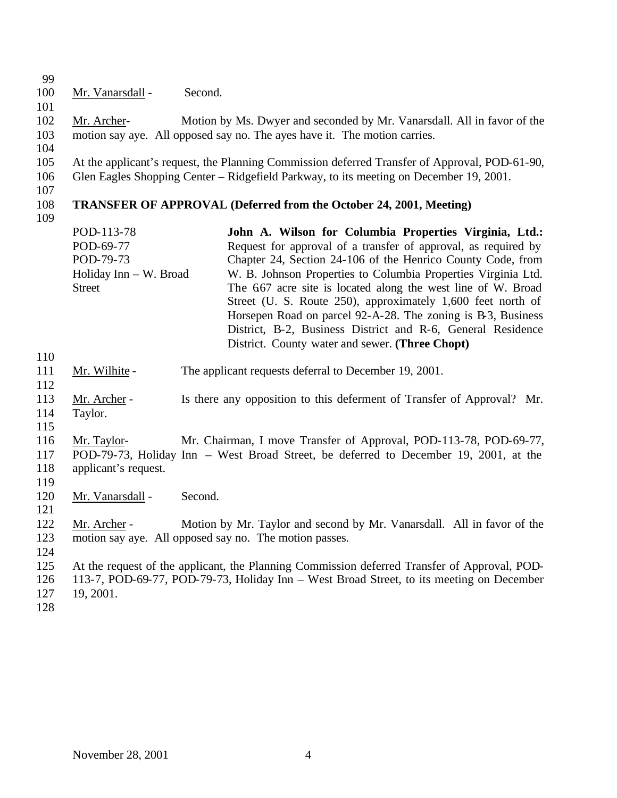| 99<br>100<br>101<br>102<br>103<br>104<br>105<br>106<br>107<br>108 | Mr. Vanarsdall -<br>Mr. Archer-     | Second. | Motion by Ms. Dwyer and seconded by Mr. Vanarsdall. All in favor of the<br>motion say aye. All opposed say no. The ayes have it. The motion carries.<br>At the applicant's request, the Planning Commission deferred Transfer of Approval, POD-61-90,<br>Glen Eagles Shopping Center – Ridgefield Parkway, to its meeting on December 19, 2001.<br><b>TRANSFER OF APPROVAL (Deferred from the October 24, 2001, Meeting)</b> |
|-------------------------------------------------------------------|-------------------------------------|---------|------------------------------------------------------------------------------------------------------------------------------------------------------------------------------------------------------------------------------------------------------------------------------------------------------------------------------------------------------------------------------------------------------------------------------|
| 109                                                               |                                     |         |                                                                                                                                                                                                                                                                                                                                                                                                                              |
|                                                                   | POD-113-78                          |         | John A. Wilson for Columbia Properties Virginia, Ltd.:                                                                                                                                                                                                                                                                                                                                                                       |
|                                                                   | POD-69-77                           |         | Request for approval of a transfer of approval, as required by                                                                                                                                                                                                                                                                                                                                                               |
|                                                                   | POD-79-73<br>Holiday Inn - W. Broad |         | Chapter 24, Section 24-106 of the Henrico County Code, from                                                                                                                                                                                                                                                                                                                                                                  |
|                                                                   | <b>Street</b>                       |         | W. B. Johnson Properties to Columbia Properties Virginia Ltd.<br>The 667 acre site is located along the west line of W. Broad<br>Street (U. S. Route 250), approximately 1,600 feet north of<br>Horsepen Road on parcel 92-A-28. The zoning is B-3, Business<br>District, B-2, Business District and R-6, General Residence<br>District. County water and sewer. (Three Chopt)                                               |
| 110                                                               |                                     |         |                                                                                                                                                                                                                                                                                                                                                                                                                              |
| 111<br>112                                                        | Mr. Wilhite -                       |         | The applicant requests deferral to December 19, 2001.                                                                                                                                                                                                                                                                                                                                                                        |
| 113                                                               | Mr. Archer -                        |         | Is there any opposition to this deferment of Transfer of Approval? Mr.                                                                                                                                                                                                                                                                                                                                                       |
| 114                                                               | Taylor.                             |         |                                                                                                                                                                                                                                                                                                                                                                                                                              |
| 115                                                               |                                     |         |                                                                                                                                                                                                                                                                                                                                                                                                                              |
| 116<br>117<br>118<br>119                                          | Mr. Taylor-<br>applicant's request. |         | Mr. Chairman, I move Transfer of Approval, POD-113-78, POD-69-77,<br>POD-79-73, Holiday Inn - West Broad Street, be deferred to December 19, 2001, at the                                                                                                                                                                                                                                                                    |
| 120<br>121                                                        | Mr. Vanarsdall -                    | Second. |                                                                                                                                                                                                                                                                                                                                                                                                                              |
| 122<br>123<br>124                                                 | Mr. Archer -                        |         | Motion by Mr. Taylor and second by Mr. Vanarsdall. All in favor of the<br>motion say aye. All opposed say no. The motion passes.                                                                                                                                                                                                                                                                                             |
| 125<br>126<br>127<br>128                                          | 19, 2001.                           |         | At the request of the applicant, the Planning Commission deferred Transfer of Approval, POD-<br>113-7, POD-69-77, POD-79-73, Holiday Inn – West Broad Street, to its meeting on December                                                                                                                                                                                                                                     |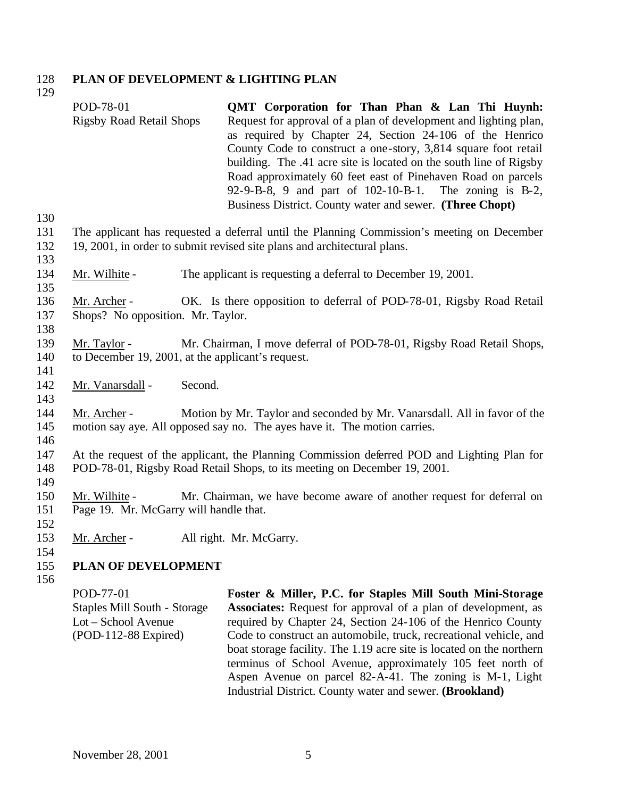#### 128 **PLAN OF DEVELOPMENT & LIGHTING PLAN**  129

|                          | POD-78-01<br><b>Rigsby Road Retail Shops</b>                                             | QMT Corporation for Than Phan & Lan Thi Huynh:<br>Request for approval of a plan of development and lighting plan,<br>as required by Chapter 24, Section 24-106 of the Henrico<br>County Code to construct a one-story, 3,814 square foot retail<br>building. The .41 acre site is located on the south line of Rigsby<br>Road approximately 60 feet east of Pinehaven Road on parcels<br>92-9-B-8, 9 and part of 102-10-B-1. The zoning is B-2,<br>Business District. County water and sewer. (Three Chopt)                         |
|--------------------------|------------------------------------------------------------------------------------------|--------------------------------------------------------------------------------------------------------------------------------------------------------------------------------------------------------------------------------------------------------------------------------------------------------------------------------------------------------------------------------------------------------------------------------------------------------------------------------------------------------------------------------------|
| 130<br>131<br>132        |                                                                                          | The applicant has requested a deferral until the Planning Commission's meeting on December<br>19, 2001, in order to submit revised site plans and architectural plans.                                                                                                                                                                                                                                                                                                                                                               |
| 133<br>134               | Mr. Wilhite -                                                                            | The applicant is requesting a deferral to December 19, 2001.                                                                                                                                                                                                                                                                                                                                                                                                                                                                         |
| 135<br>136<br>137<br>138 | Mr. Archer -<br>Shops? No opposition. Mr. Taylor.                                        | OK. Is there opposition to deferral of POD-78-01, Rigsby Road Retail                                                                                                                                                                                                                                                                                                                                                                                                                                                                 |
| 139<br>140<br>141        | Mr. Taylor -<br>to December 19, 2001, at the applicant's request.                        | Mr. Chairman, I move deferral of POD-78-01, Rigsby Road Retail Shops,                                                                                                                                                                                                                                                                                                                                                                                                                                                                |
| 142<br>143               | Mr. Vanarsdall -<br>Second.                                                              |                                                                                                                                                                                                                                                                                                                                                                                                                                                                                                                                      |
| 144<br>145<br>146        | Mr. Archer -                                                                             | Motion by Mr. Taylor and seconded by Mr. Vanarsdall. All in favor of the<br>motion say aye. All opposed say no. The ayes have it. The motion carries.                                                                                                                                                                                                                                                                                                                                                                                |
| 147<br>148               |                                                                                          | At the request of the applicant, the Planning Commission deferred POD and Lighting Plan for<br>POD-78-01, Rigsby Road Retail Shops, to its meeting on December 19, 2001.                                                                                                                                                                                                                                                                                                                                                             |
| 149<br>150<br>151<br>152 | Mr. Wilhite -<br>Page 19. Mr. McGarry will handle that.                                  | Mr. Chairman, we have become aware of another request for deferral on                                                                                                                                                                                                                                                                                                                                                                                                                                                                |
| 153<br>154               | Mr. Archer -                                                                             | All right. Mr. McGarry.                                                                                                                                                                                                                                                                                                                                                                                                                                                                                                              |
| 155<br>156               | <b>PLAN OF DEVELOPMENT</b>                                                               |                                                                                                                                                                                                                                                                                                                                                                                                                                                                                                                                      |
|                          | POD-77-01<br>Staples Mill South - Storage<br>Lot - School Avenue<br>(POD-112-88 Expired) | Foster & Miller, P.C. for Staples Mill South Mini-Storage<br><b>Associates:</b> Request for approval of a plan of development, as<br>required by Chapter 24, Section 24-106 of the Henrico County<br>Code to construct an automobile, truck, recreational vehicle, and<br>boat storage facility. The 1.19 acre site is located on the northern<br>terminus of School Avenue, approximately 105 feet north of<br>Aspen Avenue on parcel 82-A-41. The zoning is M-1, Light<br>Industrial District. County water and sewer. (Brookland) |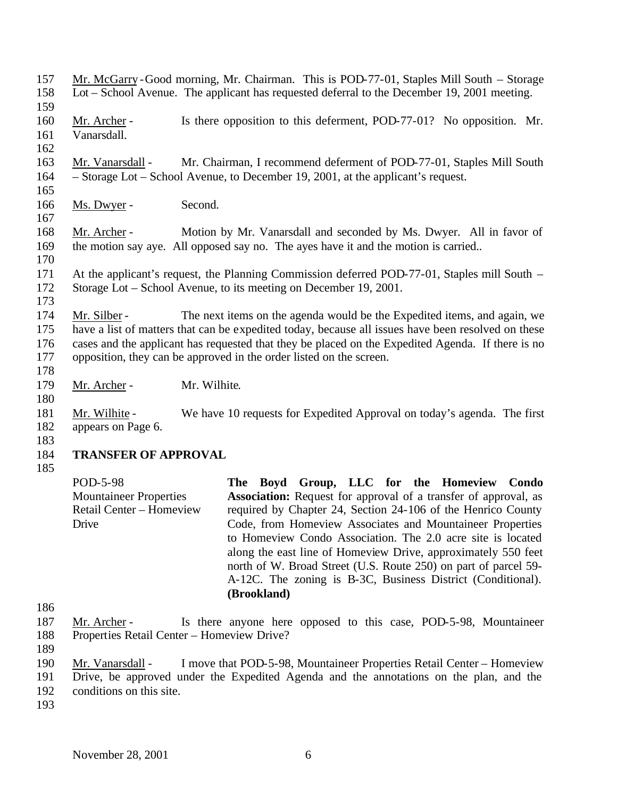| 157<br>158               |                                                                                                                                                                                                                                                                                                                                                                            | Mr. McGarry-Good morning, Mr. Chairman. This is POD-77-01, Staples Mill South – Storage<br>Lot – School Avenue. The applicant has requested deferral to the December 19, 2001 meeting.                                                                                                                                                                                                                                                                                                                                                |  |  |  |
|--------------------------|----------------------------------------------------------------------------------------------------------------------------------------------------------------------------------------------------------------------------------------------------------------------------------------------------------------------------------------------------------------------------|---------------------------------------------------------------------------------------------------------------------------------------------------------------------------------------------------------------------------------------------------------------------------------------------------------------------------------------------------------------------------------------------------------------------------------------------------------------------------------------------------------------------------------------|--|--|--|
| 159                      |                                                                                                                                                                                                                                                                                                                                                                            |                                                                                                                                                                                                                                                                                                                                                                                                                                                                                                                                       |  |  |  |
| 160<br>161               | Mr. Archer -<br>Vanarsdall.                                                                                                                                                                                                                                                                                                                                                | Is there opposition to this deferment, POD-77-01? No opposition. Mr.                                                                                                                                                                                                                                                                                                                                                                                                                                                                  |  |  |  |
| 162<br>163<br>164        | Mr. Vanarsdall -                                                                                                                                                                                                                                                                                                                                                           | Mr. Chairman, I recommend deferment of POD-77-01, Staples Mill South<br>- Storage Lot - School Avenue, to December 19, 2001, at the applicant's request.                                                                                                                                                                                                                                                                                                                                                                              |  |  |  |
| 165<br>166<br>167        | Second.<br>Ms. Dwyer -                                                                                                                                                                                                                                                                                                                                                     |                                                                                                                                                                                                                                                                                                                                                                                                                                                                                                                                       |  |  |  |
| 168<br>169<br>170        | Mr. Archer -                                                                                                                                                                                                                                                                                                                                                               | Motion by Mr. Vanarsdall and seconded by Ms. Dwyer. All in favor of<br>the motion say aye. All opposed say no. The ayes have it and the motion is carried                                                                                                                                                                                                                                                                                                                                                                             |  |  |  |
| 171<br>172<br>173        |                                                                                                                                                                                                                                                                                                                                                                            | At the applicant's request, the Planning Commission deferred POD-77-01, Staples mill South –<br>Storage Lot – School Avenue, to its meeting on December 19, 2001.                                                                                                                                                                                                                                                                                                                                                                     |  |  |  |
| 174<br>175<br>176<br>177 | The next items on the agenda would be the Expedited items, and again, we<br>Mr. Silber -<br>have a list of matters that can be expedited today, because all issues have been resolved on these<br>cases and the applicant has requested that they be placed on the Expedited Agenda. If there is no<br>opposition, they can be approved in the order listed on the screen. |                                                                                                                                                                                                                                                                                                                                                                                                                                                                                                                                       |  |  |  |
| 178<br>179<br>180        | Mr. Wilhite.<br>Mr. Archer -                                                                                                                                                                                                                                                                                                                                               |                                                                                                                                                                                                                                                                                                                                                                                                                                                                                                                                       |  |  |  |
| 181<br>182<br>183        | Mr. Wilhite -<br>appears on Page 6.                                                                                                                                                                                                                                                                                                                                        | We have 10 requests for Expedited Approval on today's agenda. The first                                                                                                                                                                                                                                                                                                                                                                                                                                                               |  |  |  |
| 184<br>185               | <b>TRANSFER OF APPROVAL</b>                                                                                                                                                                                                                                                                                                                                                |                                                                                                                                                                                                                                                                                                                                                                                                                                                                                                                                       |  |  |  |
|                          | POD-5-98<br><b>Mountaineer Properties</b><br>Retail Center - Homeview<br>Drive                                                                                                                                                                                                                                                                                             | The Boyd Group, LLC for the Homeview<br>Condo<br><b>Association:</b> Request for approval of a transfer of approval, as<br>required by Chapter 24, Section 24-106 of the Henrico County<br>Code, from Homeview Associates and Mountaineer Properties<br>to Homeview Condo Association. The 2.0 acre site is located<br>along the east line of Homeview Drive, approximately 550 feet<br>north of W. Broad Street (U.S. Route 250) on part of parcel 59-<br>A-12C. The zoning is B-3C, Business District (Conditional).<br>(Brookland) |  |  |  |
| 186                      |                                                                                                                                                                                                                                                                                                                                                                            |                                                                                                                                                                                                                                                                                                                                                                                                                                                                                                                                       |  |  |  |
| 187<br>188<br>189        | Mr. Archer -<br>Properties Retail Center - Homeview Drive?                                                                                                                                                                                                                                                                                                                 | Is there anyone here opposed to this case, POD-5-98, Mountaineer                                                                                                                                                                                                                                                                                                                                                                                                                                                                      |  |  |  |
| 190<br>191<br>102        | Mr. Vanarsdall -                                                                                                                                                                                                                                                                                                                                                           | I move that POD-5-98, Mountaineer Properties Retail Center – Homeview<br>Drive, be approved under the Expedited Agenda and the annotations on the plan, and the                                                                                                                                                                                                                                                                                                                                                                       |  |  |  |

- 192 conditions on this site.
- 193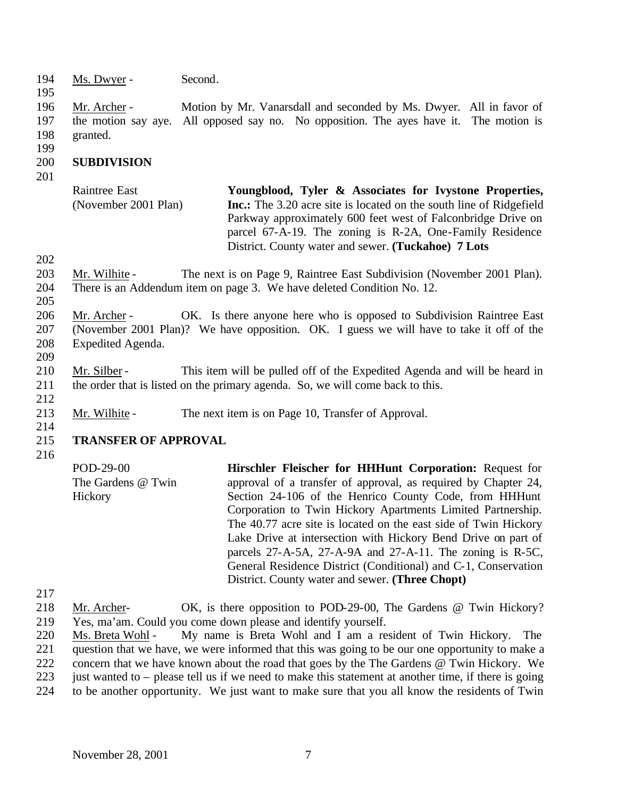- 194 Ms. Dwyer Second.
- 195

- 196 Mr. Archer Motion by Mr. Vanarsdall and seconded by Ms. Dwyer. All in favor of 197 the motion say aye. All opposed say no. No opposition. The ayes have it. The motion is 198 granted.
- 199

### 200 **SUBDIVISION**

201

| Raintree East        | Youngblood, Tyler & Associates for Ivystone Properties,                    |
|----------------------|----------------------------------------------------------------------------|
| (November 2001 Plan) | <b>Inc.:</b> The 3.20 acre site is located on the south line of Ridgefield |
|                      | Parkway approximately 600 feet west of Falconbridge Drive on               |
|                      | parcel 67-A-19. The zoning is R-2A, One-Family Residence                   |
|                      | District. County water and sewer. (Tuckahoe) 7 Lots                        |

- 202
- 203 Mr. Wilhite The next is on Page 9, Raintree East Subdivision (November 2001 Plan). 204 There is an Addendum item on page 3. We have deleted Condition No. 12.
- 205

209

210 Mr. Silber - This item will be pulled off of the Expedited Agenda and will be heard in 211 the order that is listed on the primary agenda. So, we will come back to this. 212

- 213 Mr. Wilhite The next item is on Page 10, Transfer of Approval.
- 215 **TRANSFER OF APPROVAL**
- 216

214

POD-29-00 The Gardens @ Twin **Hickory Hirschler Fleischer for HHHunt Corporation:** Request for approval of a transfer of approval, as required by Chapter 24, Section 24-106 of the Henrico County Code, from HHHunt Corporation to Twin Hickory Apartments Limited Partnership. The 40.77 acre site is located on the east side of Twin Hickory Lake Drive at intersection with Hickory Bend Drive on part of parcels 27-A-5A, 27-A-9A and 27-A-11. The zoning is R-5C, General Residence District (Conditional) and C-1, Conservation District. County water and sewer. **(Three Chopt)**

217

218 Mr. Archer- OK, is there opposition to POD-29-00, The Gardens @ Twin Hickory? 219 Yes, ma'am. Could you come down please and identify yourself.

220 Ms. Breta Wohl - My name is Breta Wohl and I am a resident of Twin Hickory. The 221 question that we have, we were informed that this was going to be our one opportunity to make a

- 222 concern that we have known about the road that goes by the The Gardens @ Twin Hickory. We
- 223 just wanted to please tell us if we need to make this statement at another time, if there is going
- 224 to be another opportunity. We just want to make sure that you all know the residents of Twin

<sup>206</sup> Mr. Archer - OK. Is there anyone here who is opposed to Subdivision Raintree East 207 (November 2001 Plan)? We have opposition. OK. I guess we will have to take it off of the 208 Expedited Agenda.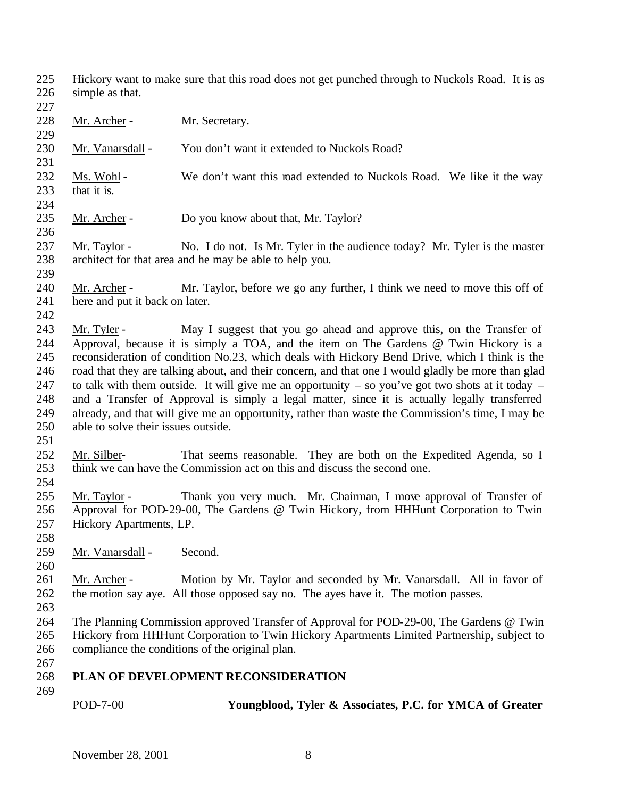- Hickory want to make sure that this road does not get punched through to Nuckols Road. It is as simple as that.
- 228 Mr. Archer - Mr. Secretary. 230 Mr. Vanarsdall - You don't want it extended to Nuckols Road? 232 Ms. Wohl - We don't want this road extended to Nuckols Road. We like it the way 233 that it is. 235 Mr. Archer - Do you know about that, Mr. Taylor? 237 Mr. Taylor - No. I do not. Is Mr. Tyler in the audience today? Mr. Tyler is the master architect for that area and he may be able to help you. 240 Mr. Archer - Mr. Taylor, before we go any further, I think we need to move this off of here and put it back on later. Mr. Tyler - May I suggest that you go ahead and approve this, on the Transfer of Approval, because it is simply a TOA, and the item on The Gardens @ Twin Hickory is a reconsideration of condition No.23, which deals with Hickory Bend Drive, which I think is the road that they are talking about, and their concern, and that one I would gladly be more than glad 247 to talk with them outside. It will give me an opportunity – so you've got two shots at it today – and a Transfer of Approval is simply a legal matter, since it is actually legally transferred already, and that will give me an opportunity, rather than waste the Commission's time, I may be able to solve their issues outside. Mr. Silber- That seems reasonable. They are both on the Expedited Agenda, so I think we can have the Commission act on this and discuss the second one. Mr. Taylor - Thank you very much. Mr. Chairman, I move approval of Transfer of Approval for POD-29-00, The Gardens @ Twin Hickory, from HHHunt Corporation to Twin Hickory Apartments, LP. Mr. Vanarsdall - Second. 261 Mr. Archer - Motion by Mr. Taylor and seconded by Mr. Vanarsdall. All in favor of the motion say aye. All those opposed say no. The ayes have it. The motion passes. The Planning Commission approved Transfer of Approval for POD-29-00, The Gardens @ Twin Hickory from HHHunt Corporation to Twin Hickory Apartments Limited Partnership, subject to compliance the conditions of the original plan. **PLAN OF DEVELOPMENT RECONSIDERATION**  POD-7-00 **Youngblood, Tyler & Associates, P.C. for YMCA of Greater**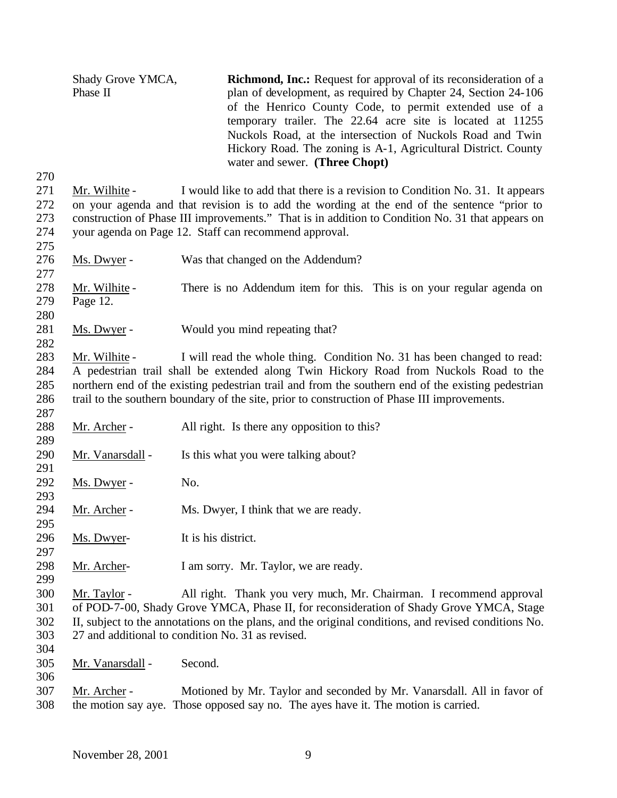Shady Grove YMCA, Phase II **Richmond, Inc.:** Request for approval of its reconsideration of a plan of development, as required by Chapter 24, Section 24-106 of the Henrico County Code, to permit extended use of a temporary trailer. The 22.64 acre site is located at 11255 Nuckols Road, at the intersection of Nuckols Road and Twin Hickory Road. The zoning is A-1, Agricultural District. County water and sewer. **(Three Chopt)** Mr. Wilhite - I would like to add that there is a revision to Condition No. 31. It appears on your agenda and that revision is to add the wording at the end of the sentence "prior to construction of Phase III improvements." That is in addition to Condition No. 31 that appears on your agenda on Page 12. Staff can recommend approval. Ms. Dwyer - Was that changed on the Addendum? Mr. Wilhite - There is no Addendum item for this. This is on your regular agenda on Page 12. 281 Ms. Dwyer - Would you mind repeating that? Mr. Wilhite - I will read the whole thing. Condition No. 31 has been changed to read: A pedestrian trail shall be extended along Twin Hickory Road from Nuckols Road to the northern end of the existing pedestrian trail and from the southern end of the existing pedestrian trail to the southern boundary of the site, prior to construction of Phase III improvements. 288 Mr. Archer - All right. Is there any opposition to this? 290 Mr. Vanarsdall - Is this what you were talking about? 292 Ms. Dwyer - No. 294 Mr. Archer - Ms. Dwyer, I think that we are ready. Ms. Dwyer- It is his district. Mr. Archer- I am sorry. Mr. Taylor, we are ready. Mr. Taylor - All right. Thank you very much, Mr. Chairman. I recommend approval of POD-7-00, Shady Grove YMCA, Phase II, for reconsideration of Shady Grove YMCA, Stage II, subject to the annotations on the plans, and the original conditions, and revised conditions No. 27 and additional to condition No. 31 as revised. Mr. Vanarsdall - Second. Mr. Archer - Motioned by Mr. Taylor and seconded by Mr. Vanarsdall. All in favor of the motion say aye. Those opposed say no. The ayes have it. The motion is carried.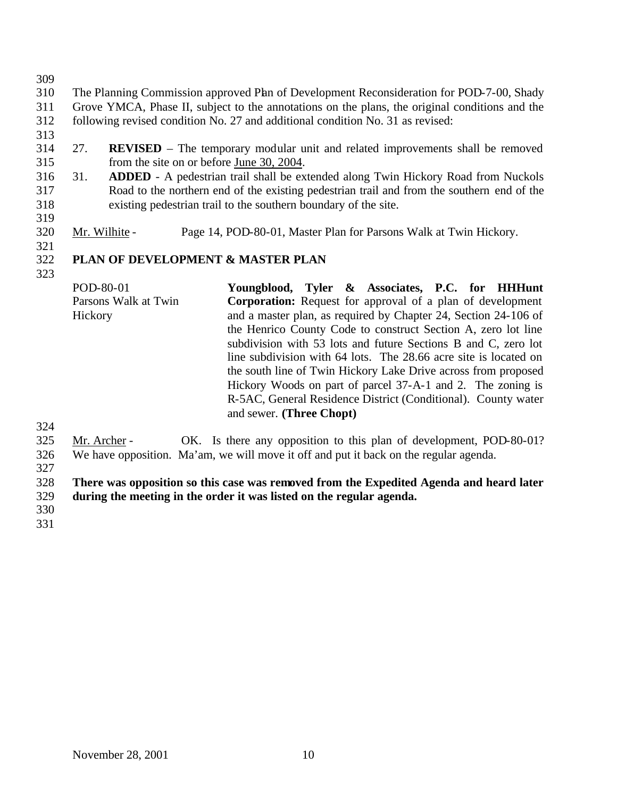The Planning Commission approved Plan of Development Reconsideration for POD-7-00, Shady Grove YMCA, Phase II, subject to the annotations on the plans, the original conditions and the following revised condition No. 27 and additional condition No. 31 as revised:

- 
- 27. **REVISED** The temporary modular unit and related improvements shall be removed from the site on or before June 30, 2004.
- 31. **ADDED** A pedestrian trail shall be extended along Twin Hickory Road from Nuckols Road to the northern end of the existing pedestrian trail and from the southern end of the existing pedestrian trail to the southern boundary of the site.
- Mr. Wilhite Page 14, POD-80-01, Master Plan for Parsons Walk at Twin Hickory.

# **PLAN OF DEVELOPMENT & MASTER PLAN**

POD-80-01 Parsons Walk at Twin Hickory **Youngblood, Tyler & Associates, P.C. for HHHunt Corporation:** Request for approval of a plan of development and a master plan, as required by Chapter 24, Section 24-106 of the Henrico County Code to construct Section A, zero lot line subdivision with 53 lots and future Sections B and C, zero lot line subdivision with 64 lots. The 28.66 acre site is located on the south line of Twin Hickory Lake Drive across from proposed Hickory Woods on part of parcel 37-A-1 and 2. The zoning is R-5AC, General Residence District (Conditional). County water and sewer. **(Three Chopt)**

 Mr. Archer - OK. Is there any opposition to this plan of development, POD-80-01? We have opposition. Ma'am, we will move it off and put it back on the regular agenda.

 **There was opposition so this case was removed from the Expedited Agenda and heard later during the meeting in the order it was listed on the regular agenda.**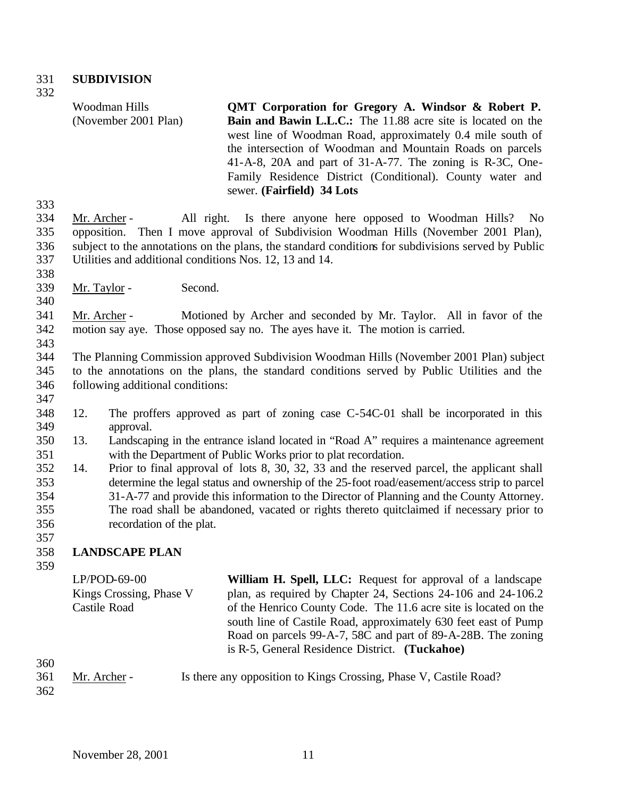#### 331 **SUBDIVISION**

332

Woodman Hills (November 2001 Plan) **QMT Corporation for Gregory A. Windsor & Robert P. Bain and Bawin L.L.C.:** The 11.88 acre site is located on the west line of Woodman Road, approximately 0.4 mile south of the intersection of Woodman and Mountain Roads on parcels 41-A-8, 20A and part of 31-A-77. The zoning is R-3C, One-Family Residence District (Conditional). County water and sewer. **(Fairfield) 34 Lots**

333

 Mr. Archer - All right. Is there anyone here opposed to Woodman Hills? No opposition. Then I move approval of Subdivision Woodman Hills (November 2001 Plan), subject to the annotations on the plans, the standard conditions for subdivisions served by Public Utilities and additional conditions Nos. 12, 13 and 14.

338

340

343

347

339 Mr. Taylor - Second.

341 Mr. Archer - Motioned by Archer and seconded by Mr. Taylor. All in favor of the 342 motion say aye. Those opposed say no. The ayes have it. The motion is carried.

- 344 The Planning Commission approved Subdivision Woodman Hills (November 2001 Plan) subject 345 to the annotations on the plans, the standard conditions served by Public Utilities and the 346 following additional conditions:
- 348 12. The proffers approved as part of zoning case C-54C-01 shall be incorporated in this 349 approval.
- 350 13. Landscaping in the entrance island located in "Road A" requires a maintenance agreement 351 with the Department of Public Works prior to plat recordation.
- 352 14. Prior to final approval of lots 8, 30, 32, 33 and the reserved parcel, the applicant shall 353 determine the legal status and ownership of the 25-foot road/easement/access strip to parcel 354 31-A-77 and provide this information to the Director of Planning and the County Attorney. 355 The road shall be abandoned, vacated or rights thereto quitclaimed if necessary prior to 356 recordation of the plat.

### 358 **LANDSCAPE PLAN**

359

|     | $LP/POD-69-00$          | William H. Spell, LLC: Request for approval of a landscape       |
|-----|-------------------------|------------------------------------------------------------------|
|     | Kings Crossing, Phase V | plan, as required by Chapter 24, Sections 24-106 and 24-106.2    |
|     | Castile Road            | of the Henrico County Code. The 11.6 acre site is located on the |
|     |                         | south line of Castile Road, approximately 630 feet east of Pump  |
|     |                         | Road on parcels 99-A-7, 58C and part of 89-A-28B. The zoning     |
|     |                         | is R-5, General Residence District. (Tuckahoe)                   |
| 360 |                         |                                                                  |

| 361 | Mr. Archer - | Is there any opposition to Kings Crossing, Phase V, Castile Road? |
|-----|--------------|-------------------------------------------------------------------|
| 362 |              |                                                                   |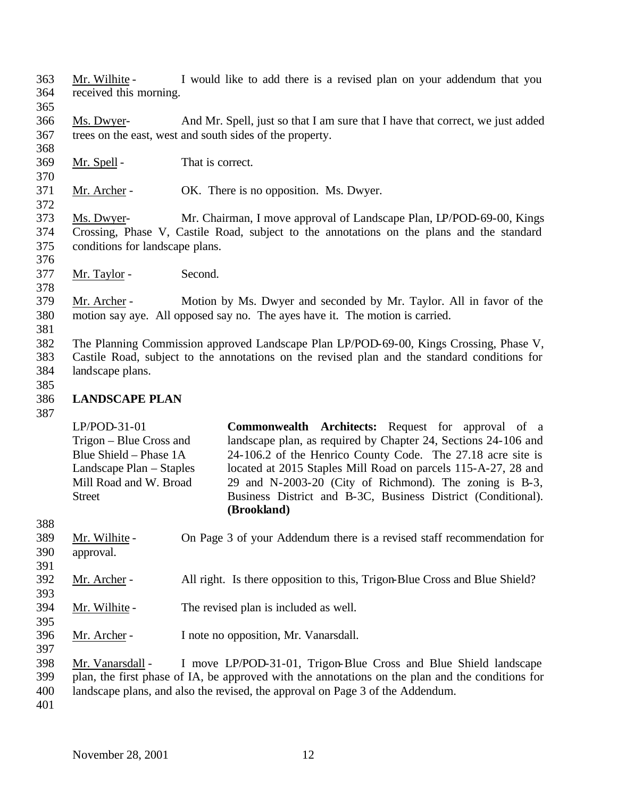- Mr. Wilhite I would like to add there is a revised plan on your addendum that you received this morning.
- Ms. Dwyer- And Mr. Spell, just so that I am sure that I have that correct, we just added trees on the east, west and south sides of the property.
- Mr. Spell That is correct.
- Mr. Archer OK. There is no opposition. Ms. Dwyer.
- Ms. Dwyer- Mr. Chairman, I move approval of Landscape Plan, LP/POD-69-00, Kings Crossing, Phase V, Castile Road, subject to the annotations on the plans and the standard conditions for landscape plans.
- Mr. Taylor Second.
- Mr. Archer Motion by Ms. Dwyer and seconded by Mr. Taylor. All in favor of the motion say aye. All opposed say no. The ayes have it. The motion is carried.
- 

- The Planning Commission approved Landscape Plan LP/POD-69-00, Kings Crossing, Phase V, Castile Road, subject to the annotations on the revised plan and the standard conditions for landscape plans.
- 

### **LANDSCAPE PLAN**

LP/POD-31-01 Trigon – Blue Cross and Blue Shield – Phase 1A Landscape Plan – Staples Mill Road and W. Broad **Street Commonwealth Architects:** Request for approval of a landscape plan, as required by Chapter 24, Sections 24-106 and 24-106.2 of the Henrico County Code. The 27.18 acre site is located at 2015 Staples Mill Road on parcels 115-A-27, 28 and 29 and N-2003-20 (City of Richmond). The zoning is B-3, Business District and B-3C, Business District (Conditional). **(Brookland)**

 $\sim$   $\sim$   $\sim$ 

| 388 |                |                                                                            |
|-----|----------------|----------------------------------------------------------------------------|
| 389 | Mr. Wilhite -  | On Page 3 of your Addendum there is a revised staff recommendation for     |
| 390 | approval.      |                                                                            |
| 391 |                |                                                                            |
| 392 | Mr. Archer -   | All right. Is there opposition to this, Trigon-Blue Cross and Blue Shield? |
| 393 |                |                                                                            |
| 394 | Mr. Wilhite -  | The revised plan is included as well.                                      |
| 395 |                |                                                                            |
| 396 | Mr. Archer -   | I note no opposition, Mr. Vanarsdall.                                      |
| 397 |                |                                                                            |
| 209 | Mr. Vonoredoll | move I D/DOD 21.01 Trigon Plue Cross and Plue Shield landscape             |

 Mr. Vanarsdall - I move LP/POD-31-01, Trigon-Blue Cross and Blue Shield landscape plan, the first phase of IA, be approved with the annotations on the plan and the conditions for

landscape plans, and also the revised, the approval on Page 3 of the Addendum.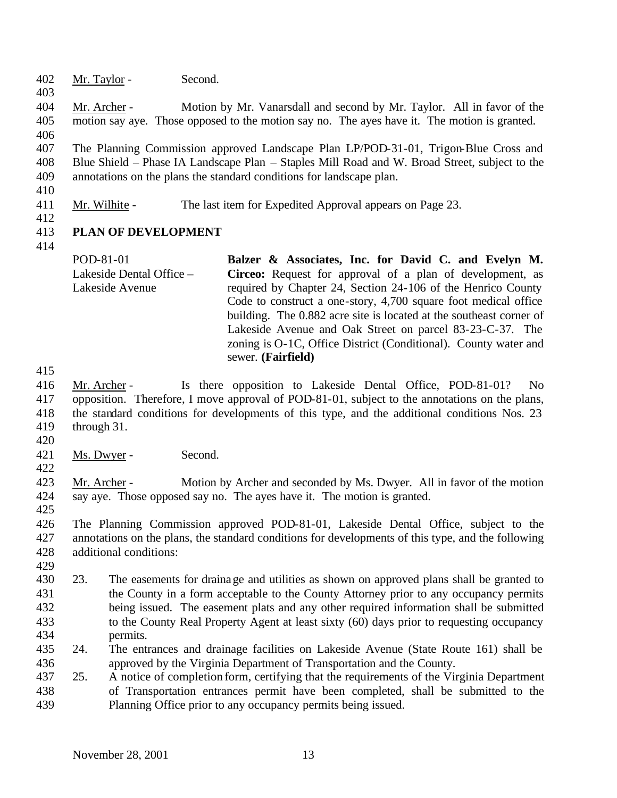- Mr. Taylor Second.
- Mr. Archer Motion by Mr. Vanarsdall and second by Mr. Taylor. All in favor of the motion say aye. Those opposed to the motion say no. The ayes have it. The motion is granted.
- The Planning Commission approved Landscape Plan LP/POD-31-01, Trigon-Blue Cross and Blue Shield – Phase IA Landscape Plan – Staples Mill Road and W. Broad Street, subject to the annotations on the plans the standard conditions for landscape plan.
- 

- Mr. Wilhite The last item for Expedited Approval appears on Page 23.
- 

### **PLAN OF DEVELOPMENT**

- POD-81-01 Lakeside Dental Office – Lakeside Avenue **Balzer & Associates, Inc. for David C. and Evelyn M. Circeo:** Request for approval of a plan of development, as required by Chapter 24, Section 24-106 of the Henrico County Code to construct a one-story, 4,700 square foot medical office building. The 0.882 acre site is located at the southeast corner of Lakeside Avenue and Oak Street on parcel 83-23-C-37. The zoning is O-1C, Office District (Conditional). County water and sewer. **(Fairfield)**
- 

 Mr. Archer - Is there opposition to Lakeside Dental Office, POD-81-01? No opposition. Therefore, I move approval of POD-81-01, subject to the annotations on the plans, the standard conditions for developments of this type, and the additional conditions Nos. 23 through 31.

- 
- Ms. Dwyer Second.

 Mr. Archer - Motion by Archer and seconded by Ms. Dwyer. All in favor of the motion say aye. Those opposed say no. The ayes have it. The motion is granted. 

- The Planning Commission approved POD-81-01, Lakeside Dental Office, subject to the annotations on the plans, the standard conditions for developments of this type, and the following additional conditions:
- 
- 23. The easements for drainage and utilities as shown on approved plans shall be granted to the County in a form acceptable to the County Attorney prior to any occupancy permits being issued. The easement plats and any other required information shall be submitted to the County Real Property Agent at least sixty (60) days prior to requesting occupancy permits.
- 24. The entrances and drainage facilities on Lakeside Avenue (State Route 161) shall be approved by the Virginia Department of Transportation and the County.
- 25. A notice of completion form, certifying that the requirements of the Virginia Department of Transportation entrances permit have been completed, shall be submitted to the Planning Office prior to any occupancy permits being issued.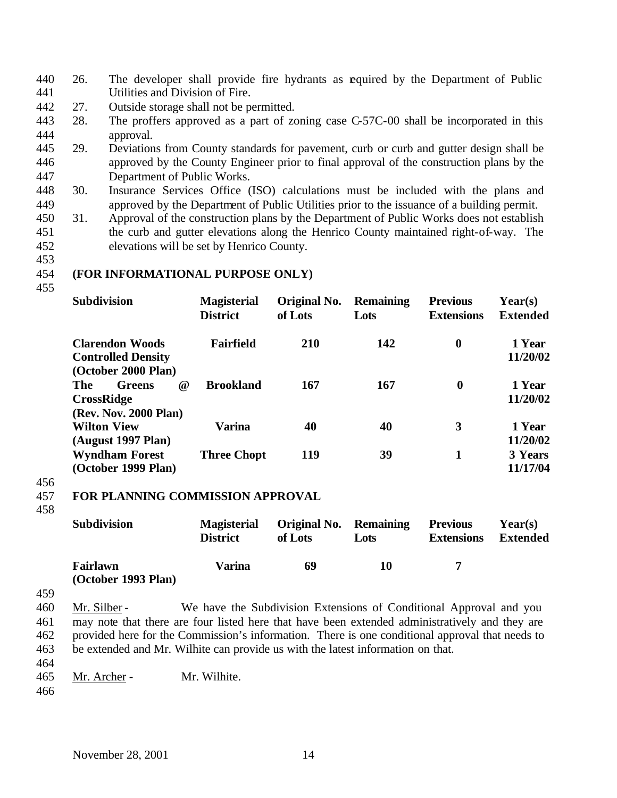- 440 26. The developer shall provide fire hydrants as equired by the Department of Public 441 Utilities and Division of Fire.
- 442 27. Outside storage shall not be permitted.
- 443 28. The proffers approved as a part of zoning case C-57C-00 shall be incorporated in this 444 approval.
- 445 29. Deviations from County standards for pavement, curb or curb and gutter design shall be 446 approved by the County Engineer prior to final approval of the construction plans by the 447 Department of Public Works.
- 448 30. Insurance Services Office (ISO) calculations must be included with the plans and 449 approved by the Department of Public Utilities prior to the issuance of a building permit.
- 450 31. Approval of the construction plans by the Department of Public Works does not establish 451 the curb and gutter elevations along the Henrico County maintained right-of-way. The 452 elevations will be set by Henrico County.
- 453

### 454 **(FOR INFORMATIONAL PURPOSE ONLY)**

455

| <b>Subdivision</b>                                                             | <b>Magisterial</b><br><b>District</b> | Original No.<br>of Lots | <b>Remaining</b><br>Lots | <b>Previous</b><br><b>Extensions</b> | Year(s)<br><b>Extended</b> |
|--------------------------------------------------------------------------------|---------------------------------------|-------------------------|--------------------------|--------------------------------------|----------------------------|
| <b>Clarendon Woods</b><br><b>Controlled Density</b><br>(October 2000 Plan)     | <b>Fairfield</b>                      | <b>210</b>              | 142                      | $\boldsymbol{0}$                     | 1 Year<br>11/20/02         |
| <b>The</b><br><b>Greens</b><br>@<br><b>CrossRidge</b><br>(Rev. Nov. 2000 Plan) | <b>Brookland</b>                      | 167                     | 167                      | $\bf{0}$                             | 1 Year<br>11/20/02         |
| <b>Wilton View</b><br>(August 1997 Plan)                                       | <b>Varina</b>                         | 40                      | 40                       | 3                                    | 1 Year<br>11/20/02         |
| <b>Wyndham Forest</b><br>(October 1999 Plan)                                   | <b>Three Chopt</b>                    | 119                     | 39                       | 1                                    | 3 Years<br>11/17/04        |

456

### 457 **FOR PLANNING COMMISSION APPROVAL**

458

| <b>Subdivision</b>              | <b>Magisterial</b><br><b>District</b> | <b>Original No. Remaining</b><br>of Lots | Lots | <b>Previous</b><br><b>Extensions</b> | Year(s)<br>Extended |
|---------------------------------|---------------------------------------|------------------------------------------|------|--------------------------------------|---------------------|
| Fairlawn<br>(October 1993 Plan) | Varina                                | 69                                       | 10   |                                      |                     |

459

 Mr. Silber - We have the Subdivision Extensions of Conditional Approval and you may note that there are four listed here that have been extended administratively and they are provided here for the Commission's information. There is one conditional approval that needs to be extended and Mr. Wilhite can provide us with the latest information on that.

- 464
- 465 Mr. Archer Mr. Wilhite.
- 466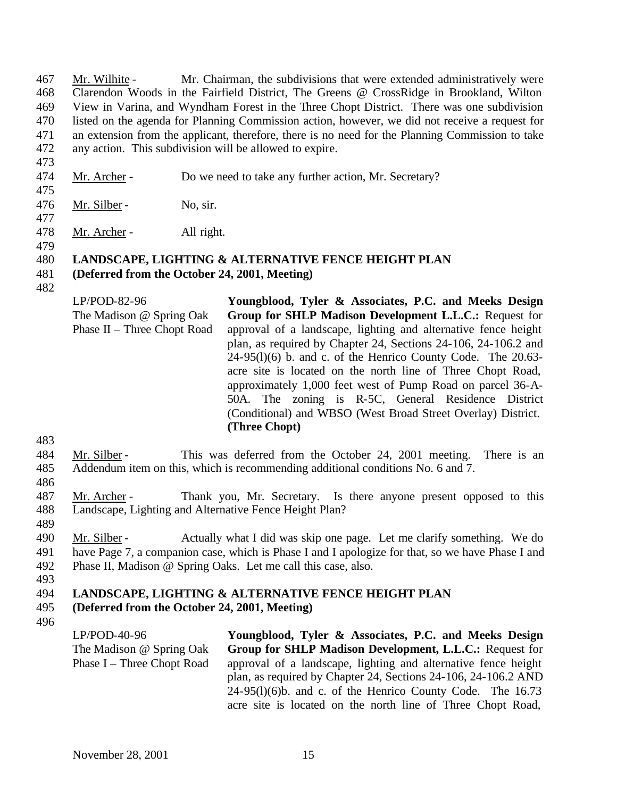Mr. Wilhite - Mr. Chairman, the subdivisions that were extended administratively were Clarendon Woods in the Fairfield District, The Greens @ CrossRidge in Brookland, Wilton View in Varina, and Wyndham Forest in the Three Chopt District. There was one subdivision listed on the agenda for Planning Commission action, however, we did not receive a request for an extension from the applicant, therefore, there is no need for the Planning Commission to take any action. This subdivision will be allowed to expire.

- 473
- 474 Mr. Archer Do we need to take any further action, Mr. Secretary?
- 475

476 Mr. Silber - No, sir.

477

479

478 Mr. Archer - All right.

# 480 **LANDSCAPE, LIGHTING & ALTERNATIVE FENCE HEIGHT PLAN**

- 481 **(Deferred from the October 24, 2001, Meeting)**
- 482

LP/POD-82-96 The Madison @ Spring Oak Phase II – Three Chopt Road **Youngblood, Tyler & Associates, P.C. and Meeks Design Group for SHLP Madison Development L.L.C.:** Request for approval of a landscape, lighting and alternative fence height plan, as required by Chapter 24, Sections 24-106, 24-106.2 and  $24-95(1)(6)$  b. and c. of the Henrico County Code. The 20.63acre site is located on the north line of Three Chopt Road, approximately 1,000 feet west of Pump Road on parcel 36-A-50A. The zoning is R-5C, General Residence District (Conditional) and WBSO (West Broad Street Overlay) District. **(Three Chopt)**

483

# 484 Mr. Silber - This was deferred from the October 24, 2001 meeting. There is an

485 Addendum item on this, which is recommending additional conditions No. 6 and 7.

486

487 Mr. Archer - Thank you, Mr. Secretary. Is there anyone present opposed to this 488 Landscape, Lighting and Alternative Fence Height Plan?

489

490 Mr. Silber - Actually what I did was skip one page. Let me clarify something. We do 491 have Page 7, a companion case, which is Phase I and I apologize for that, so we have Phase I and 492 Phase II, Madison @ Spring Oaks. Let me call this case, also.

493

# 494 **LANDSCAPE, LIGHTING & ALTERNATIVE FENCE HEIGHT PLAN**

- 495 **(Deferred from the October 24, 2001, Meeting)**
- 496

LP/POD-40-96 The Madison @ Spring Oak Phase I – Three Chopt Road **Youngblood, Tyler & Associates, P.C. and Meeks Design Group for SHLP Madison Development, L.L.C.:** Request for approval of a landscape, lighting and alternative fence height plan, as required by Chapter 24, Sections 24-106, 24-106.2 AND  $24-95(1)(6)$ b. and c. of the Henrico County Code. The 16.73 acre site is located on the north line of Three Chopt Road,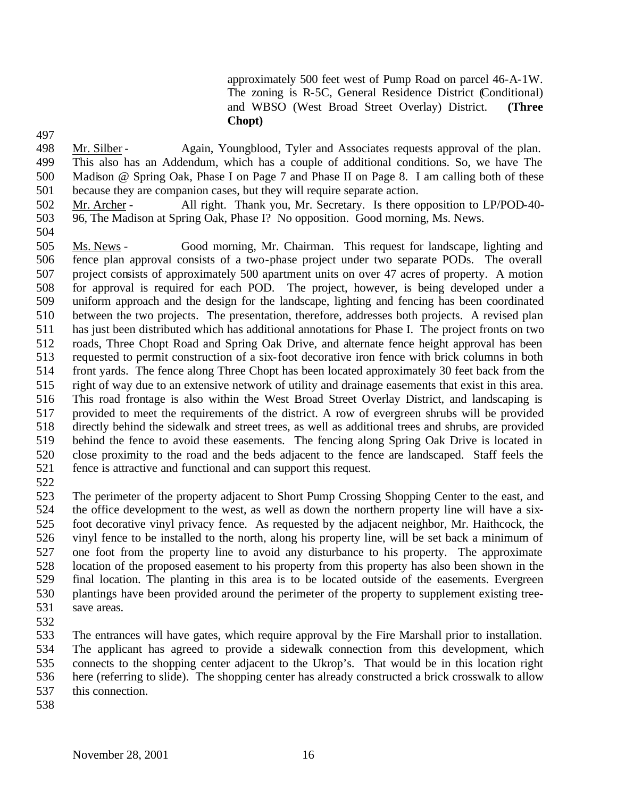approximately 500 feet west of Pump Road on parcel 46-A-1W. The zoning is R-5C, General Residence District (Conditional) and WBSO (West Broad Street Overlay) District. **(Three Chopt)**

 Mr. Silber - Again, Youngblood, Tyler and Associates requests approval of the plan. This also has an Addendum, which has a couple of additional conditions. So, we have The Madison @ Spring Oak, Phase I on Page 7 and Phase II on Page 8. I am calling both of these because they are companion cases, but they will require separate action.

 Mr. Archer - All right. Thank you, Mr. Secretary. Is there opposition to LP/POD-40- 96, The Madison at Spring Oak, Phase I? No opposition. Good morning, Ms. News.

- Ms. News - Good morning, Mr. Chairman. This request for landscape, lighting and fence plan approval consists of a two-phase project under two separate PODs. The overall project consists of approximately 500 apartment units on over 47 acres of property. A motion for approval is required for each POD. The project, however, is being developed under a uniform approach and the design for the landscape, lighting and fencing has been coordinated between the two projects. The presentation, therefore, addresses both projects. A revised plan has just been distributed which has additional annotations for Phase I. The project fronts on two roads, Three Chopt Road and Spring Oak Drive, and alternate fence height approval has been requested to permit construction of a six-foot decorative iron fence with brick columns in both front yards. The fence along Three Chopt has been located approximately 30 feet back from the right of way due to an extensive network of utility and drainage easements that exist in this area. This road frontage is also within the West Broad Street Overlay District, and landscaping is provided to meet the requirements of the district. A row of evergreen shrubs will be provided directly behind the sidewalk and street trees, as well as additional trees and shrubs, are provided behind the fence to avoid these easements. The fencing along Spring Oak Drive is located in close proximity to the road and the beds adjacent to the fence are landscaped. Staff feels the fence is attractive and functional and can support this request.
- 

 The perimeter of the property adjacent to Short Pump Crossing Shopping Center to the east, and the office development to the west, as well as down the northern property line will have a six- foot decorative vinyl privacy fence. As requested by the adjacent neighbor, Mr. Haithcock, the vinyl fence to be installed to the north, along his property line, will be set back a minimum of one foot from the property line to avoid any disturbance to his property. The approximate location of the proposed easement to his property from this property has also been shown in the final location. The planting in this area is to be located outside of the easements. Evergreen plantings have been provided around the perimeter of the property to supplement existing tree-save areas.

 The entrances will have gates, which require approval by the Fire Marshall prior to installation. The applicant has agreed to provide a sidewalk connection from this development, which connects to the shopping center adjacent to the Ukrop's. That would be in this location right here (referring to slide). The shopping center has already constructed a brick crosswalk to allow this connection.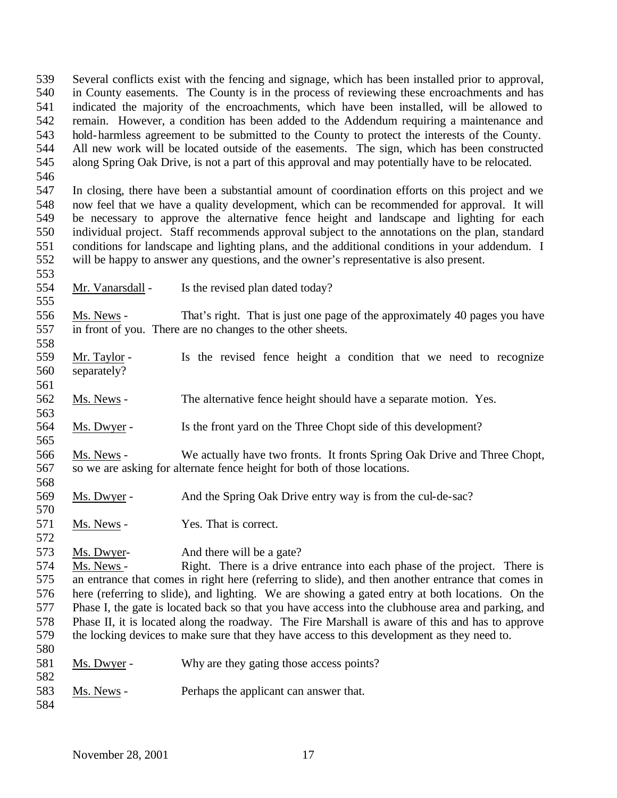Several conflicts exist with the fencing and signage, which has been installed prior to approval, in County easements. The County is in the process of reviewing these encroachments and has indicated the majority of the encroachments, which have been installed, will be allowed to remain. However, a condition has been added to the Addendum requiring a maintenance and hold-harmless agreement to be submitted to the County to protect the interests of the County. All new work will be located outside of the easements. The sign, which has been constructed along Spring Oak Drive, is not a part of this approval and may potentially have to be relocated. 

 In closing, there have been a substantial amount of coordination efforts on this project and we now feel that we have a quality development, which can be recommended for approval. It will be necessary to approve the alternative fence height and landscape and lighting for each individual project. Staff recommends approval subject to the annotations on the plan, standard conditions for landscape and lighting plans, and the additional conditions in your addendum. I will be happy to answer any questions, and the owner's representative is also present.

- Mr. Vanarsdall Is the revised plan dated today?
- Ms. News That's right. That is just one page of the approximately 40 pages you have in front of you. There are no changes to the other sheets.
- Mr. Taylor - Is the revised fence height a condition that we need to recognize separately?
- Ms. News The alternative fence height should have a separate motion. Yes.
- Ms. Dwyer Is the front yard on the Three Chopt side of this development?
- Ms. News We actually have two fronts. It fronts Spring Oak Drive and Three Chopt, so we are asking for alternate fence height for both of those locations.
- Ms. Dwyer And the Spring Oak Drive entry way is from the cul-de-sac?
- 571 Ms. News Yes. That is correct.
- Ms. Dwyer- And there will be a gate?

 Ms. News - Right. There is a drive entrance into each phase of the project. There is an entrance that comes in right here (referring to slide), and then another entrance that comes in here (referring to slide), and lighting. We are showing a gated entry at both locations. On the Phase I, the gate is located back so that you have access into the clubhouse area and parking, and Phase II, it is located along the roadway. The Fire Marshall is aware of this and has to approve the locking devices to make sure that they have access to this development as they need to. 

- Ms. Dwyer Why are they gating those access points?
- Ms. News Perhaps the applicant can answer that.
-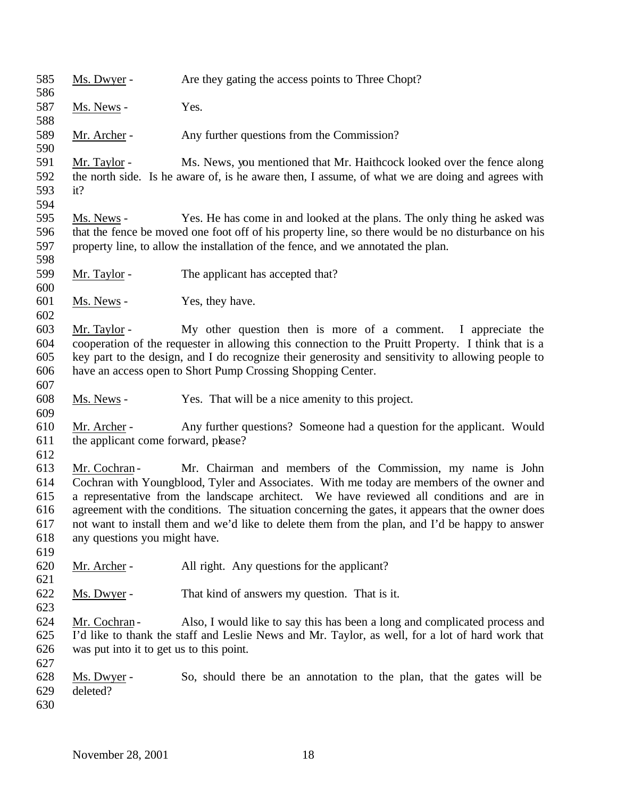| 585<br>586 | Ms. Dwyer -                              | Are they gating the access points to Three Chopt?                                                  |
|------------|------------------------------------------|----------------------------------------------------------------------------------------------------|
| 587        | Ms. News -                               | Yes.                                                                                               |
| 588        |                                          |                                                                                                    |
| 589        | Mr. Archer -                             | Any further questions from the Commission?                                                         |
| 590        |                                          |                                                                                                    |
| 591        | Mr. Taylor -                             | Ms. News, you mentioned that Mr. Haithcock looked over the fence along                             |
| 592        |                                          | the north side. Is he aware of, is he aware then, I assume, of what we are doing and agrees with   |
| 593        | it?                                      |                                                                                                    |
| 594        |                                          |                                                                                                    |
| 595        | Ms. News -                               | Yes. He has come in and looked at the plans. The only thing he asked was                           |
| 596        |                                          | that the fence be moved one foot off of his property line, so there would be no disturbance on his |
| 597        |                                          | property line, to allow the installation of the fence, and we annotated the plan.                  |
| 598        |                                          |                                                                                                    |
| 599        | Mr. Taylor -                             | The applicant has accepted that?                                                                   |
| 600        |                                          |                                                                                                    |
| 601        | Ms. News -                               | Yes, they have.                                                                                    |
| 602        |                                          |                                                                                                    |
| 603        | Mr. Taylor -                             | My other question then is more of a comment. I appreciate the                                      |
| 604        |                                          | cooperation of the requester in allowing this connection to the Pruitt Property. I think that is a |
| 605        |                                          | key part to the design, and I do recognize their generosity and sensitivity to allowing people to  |
| 606        |                                          | have an access open to Short Pump Crossing Shopping Center.                                        |
| 607        |                                          |                                                                                                    |
| 608        | Ms. News -                               | Yes. That will be a nice amenity to this project.                                                  |
| 609        |                                          |                                                                                                    |
| 610        | Mr. Archer -                             | Any further questions? Someone had a question for the applicant. Would                             |
| 611        | the applicant come forward, please?      |                                                                                                    |
| 612        |                                          |                                                                                                    |
| 613        | Mr. Cochran -                            | Mr. Chairman and members of the Commission, my name is John                                        |
| 614        |                                          | Cochran with Youngblood, Tyler and Associates. With me today are members of the owner and          |
| 615        |                                          | a representative from the landscape architect. We have reviewed all conditions and are in          |
| 616        |                                          | agreement with the conditions. The situation concerning the gates, it appears that the owner does  |
| 617        |                                          | not want to install them and we'd like to delete them from the plan, and I'd be happy to answer    |
| 618        | any questions you might have.            |                                                                                                    |
| 619        |                                          |                                                                                                    |
| 620        | Mr. Archer -                             | All right. Any questions for the applicant?                                                        |
| 621        |                                          |                                                                                                    |
| 622        | Ms. Dwyer -                              | That kind of answers my question. That is it.                                                      |
| 623        |                                          |                                                                                                    |
| 624        | Mr. Cochran-                             | Also, I would like to say this has been a long and complicated process and                         |
| 625        |                                          | I'd like to thank the staff and Leslie News and Mr. Taylor, as well, for a lot of hard work that   |
| 626        | was put into it to get us to this point. |                                                                                                    |
| 627        |                                          |                                                                                                    |
| 628        | Ms. Dwyer -                              | So, should there be an annotation to the plan, that the gates will be                              |
| 629        | deleted?                                 |                                                                                                    |
| 630        |                                          |                                                                                                    |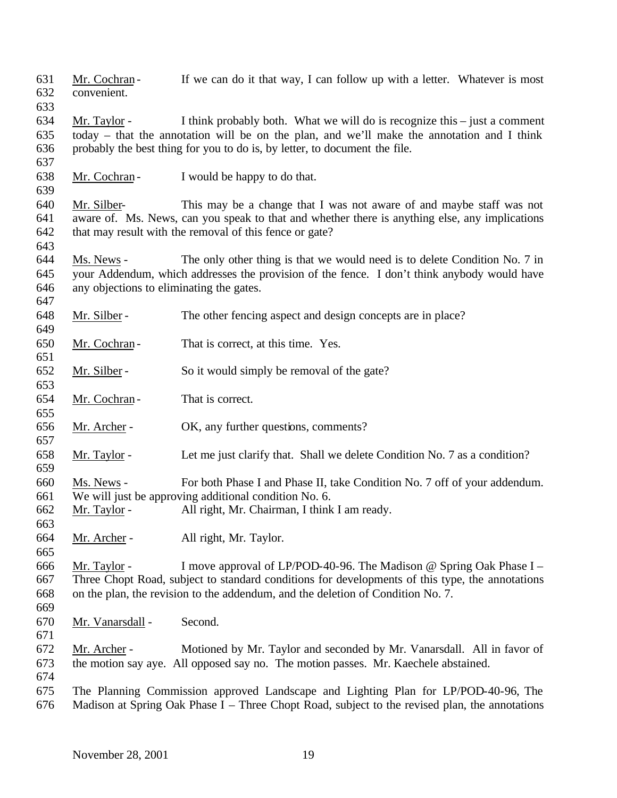- 631 Mr. Cochran If we can do it that way, I can follow up with a letter. Whatever is most convenient.
- 

 Mr. Taylor - I think probably both. What we will do is recognize this – just a comment today – that the annotation will be on the plan, and we'll make the annotation and I think probably the best thing for you to do is, by letter, to document the file.

Mr. Cochran - I would be happy to do that.

 Mr. Silber- This may be a change that I was not aware of and maybe staff was not aware of. Ms. News, can you speak to that and whether there is anything else, any implications 642 that may result with the removal of this fence or gate? 

 Ms. News - The only other thing is that we would need is to delete Condition No. 7 in your Addendum, which addresses the provision of the fence. I don't think anybody would have any objections to eliminating the gates.

Mr. Silber - The other fencing aspect and design concepts are in place?

650 Mr. Cochran - That is correct, at this time. Yes.

- Mr. Silber So it would simply be removal of the gate?
- 654 Mr. Cochran That is correct.
- Mr. Archer OK, any further questions, comments?
- Mr. Taylor Let me just clarify that. Shall we delete Condition No. 7 as a condition?
- Ms. News For both Phase I and Phase II, take Condition No. 7 off of your addendum. We will just be approving additional condition No. 6.
- Mr. Taylor All right, Mr. Chairman, I think I am ready.
- Mr. Archer - All right, Mr. Taylor.

 Mr. Taylor - I move approval of LP/POD-40-96. The Madison @ Spring Oak Phase I – Three Chopt Road, subject to standard conditions for developments of this type, the annotations on the plan, the revision to the addendum, and the deletion of Condition No. 7.

- Mr. Vanarsdall Second.
- 

- Mr. Archer Motioned by Mr. Taylor and seconded by Mr. Vanarsdall. All in favor of the motion say aye. All opposed say no. The motion passes. Mr. Kaechele abstained.
- 
- The Planning Commission approved Landscape and Lighting Plan for LP/POD-40-96, The Madison at Spring Oak Phase I – Three Chopt Road, subject to the revised plan, the annotations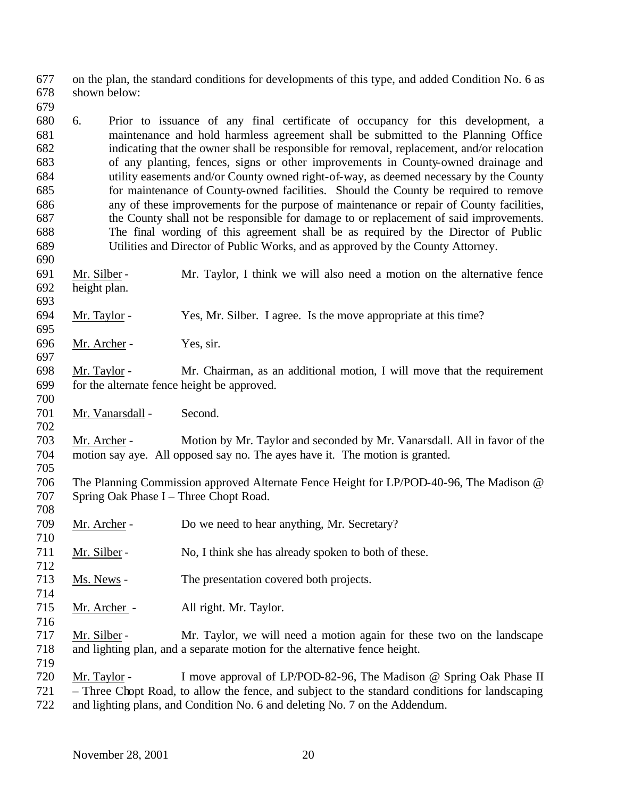on the plan, the standard conditions for developments of this type, and added Condition No. 6 as shown below:

- 6. Prior to issuance of any final certificate of occupancy for this development, a maintenance and hold harmless agreement shall be submitted to the Planning Office indicating that the owner shall be responsible for removal, replacement, and/or relocation of any planting, fences, signs or other improvements in County-owned drainage and utility easements and/or County owned right-of-way, as deemed necessary by the County for maintenance of County-owned facilities. Should the County be required to remove any of these improvements for the purpose of maintenance or repair of County facilities, the County shall not be responsible for damage to or replacement of said improvements. The final wording of this agreement shall be as required by the Director of Public Utilities and Director of Public Works, and as approved by the County Attorney.
- Mr. Silber Mr. Taylor, I think we will also need a motion on the alternative fence height plan.
- Mr. Taylor Yes, Mr. Silber. I agree. Is the move appropriate at this time?
- Mr. Archer Yes, sir.

- Mr. Taylor Mr. Chairman, as an additional motion, I will move that the requirement for the alternate fence height be approved.
- Mr. Vanarsdall Second.
- Mr. Archer Motion by Mr. Taylor and seconded by Mr. Vanarsdall. All in favor of the motion say aye. All opposed say no. The ayes have it. The motion is granted.
- The Planning Commission approved Alternate Fence Height for LP/POD-40-96, The Madison @ Spring Oak Phase I – Three Chopt Road.
- 709 Mr. Archer Do we need to hear anything, Mr. Secretary?
- 711 Mr. Silber No, I think she has already spoken to both of these.
- Ms. News The presentation covered both projects.
- Mr. Archer All right. Mr. Taylor.
- Mr. Silber Mr. Taylor, we will need a motion again for these two on the landscape and lighting plan, and a separate motion for the alternative fence height.
- Mr. Taylor I move approval of LP/POD-82-96, The Madison @ Spring Oak Phase II – Three Chopt Road, to allow the fence, and subject to the standard conditions for landscaping and lighting plans, and Condition No. 6 and deleting No. 7 on the Addendum.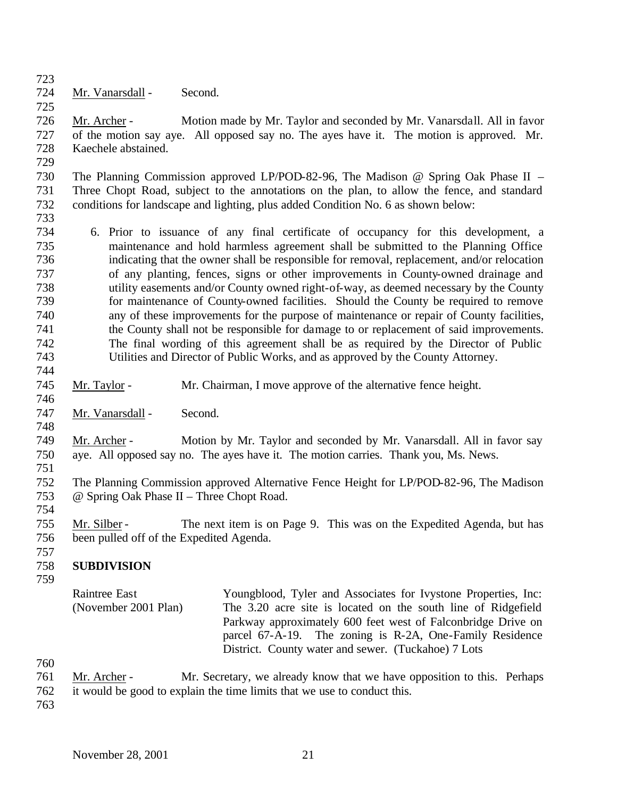Mr. Vanarsdall - Second.

 Mr. Archer - Motion made by Mr. Taylor and seconded by Mr. Vanarsdall. All in favor of the motion say aye. All opposed say no. The ayes have it. The motion is approved. Mr. Kaechele abstained.

 The Planning Commission approved LP/POD-82-96, The Madison @ Spring Oak Phase II – Three Chopt Road, subject to the annotations on the plan, to allow the fence, and standard conditions for landscape and lighting, plus added Condition No. 6 as shown below:

 6. Prior to issuance of any final certificate of occupancy for this development, a maintenance and hold harmless agreement shall be submitted to the Planning Office indicating that the owner shall be responsible for removal, replacement, and/or relocation of any planting, fences, signs or other improvements in County-owned drainage and utility easements and/or County owned right-of-way, as deemed necessary by the County for maintenance of County-owned facilities. Should the County be required to remove any of these improvements for the purpose of maintenance or repair of County facilities, 741 the County shall not be responsible for damage to or replacement of said improvements. The final wording of this agreement shall be as required by the Director of Public Utilities and Director of Public Works, and as approved by the County Attorney.

- Mr. Taylor Mr. Chairman, I move approve of the alternative fence height.
- Mr. Vanarsdall Second.
- Mr. Archer Motion by Mr. Taylor and seconded by Mr. Vanarsdall. All in favor say aye. All opposed say no. The ayes have it. The motion carries. Thank you, Ms. News.
- 

- The Planning Commission approved Alternative Fence Height for LP/POD-82-96, The Madison @ Spring Oak Phase II – Three Chopt Road.
- Mr. Silber The next item is on Page 9. This was on the Expedited Agenda, but has been pulled off of the Expedited Agenda.
- 

### **SUBDIVISION**

- 
- Raintree East (November 2001 Plan) Youngblood, Tyler and Associates for Ivystone Properties, Inc: The 3.20 acre site is located on the south line of Ridgefield Parkway approximately 600 feet west of Falconbridge Drive on parcel 67-A-19. The zoning is R-2A, One-Family Residence District. County water and sewer. (Tuckahoe) 7 Lots
- 
- Mr. Archer Mr. Secretary, we already know that we have opposition to this. Perhaps
- it would be good to explain the time limits that we use to conduct this.
-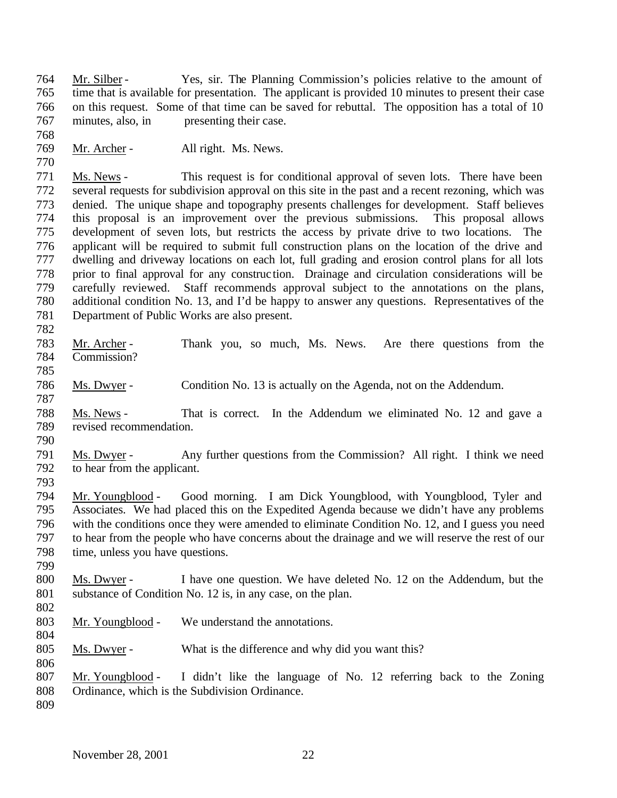Mr. Silber - Yes, sir. The Planning Commission's policies relative to the amount of time that is available for presentation. The applicant is provided 10 minutes to present their case on this request. Some of that time can be saved for rebuttal. The opposition has a total of 10 minutes, also, in presenting their case.

769 Mr. Archer - All right. Ms. News.

 Ms. News - This request is for conditional approval of seven lots. There have been several requests for subdivision approval on this site in the past and a recent rezoning, which was 773 denied. The unique shape and topography presents challenges for development. Staff believes<br>774 this proposal is an improvement over the previous submissions. This proposal allows this proposal is an improvement over the previous submissions. This proposal allows development of seven lots, but restricts the access by private drive to two locations. The applicant will be required to submit full construction plans on the location of the drive and dwelling and driveway locations on each lot, full grading and erosion control plans for all lots prior to final approval for any construc tion. Drainage and circulation considerations will be carefully reviewed. Staff recommends approval subject to the annotations on the plans, additional condition No. 13, and I'd be happy to answer any questions. Representatives of the Department of Public Works are also present. 

- Mr. Archer Thank you, so much, Ms. News. Are there questions from the Commission?
- Ms. Dwyer Condition No. 13 is actually on the Agenda, not on the Addendum.
- Ms. News That is correct. In the Addendum we eliminated No. 12 and gave a revised recommendation.
- 

 Ms. Dwyer - Any further questions from the Commission? All right. I think we need to hear from the applicant.

 Mr. Youngblood - Good morning. I am Dick Youngblood, with Youngblood, Tyler and Associates. We had placed this on the Expedited Agenda because we didn't have any problems with the conditions once they were amended to eliminate Condition No. 12, and I guess you need to hear from the people who have concerns about the drainage and we will reserve the rest of our time, unless you have questions.

- Ms. Dwyer I have one question. We have deleted No. 12 on the Addendum, but the 801 substance of Condition No. 12 is, in any case, on the plan.
- 

- Mr. Youngblood We understand the annotations.
- Ms. Dwyer What is the difference and why did you want this?
- Mr. Youngblood I didn't like the language of No. 12 referring back to the Zoning Ordinance, which is the Subdivision Ordinance.
-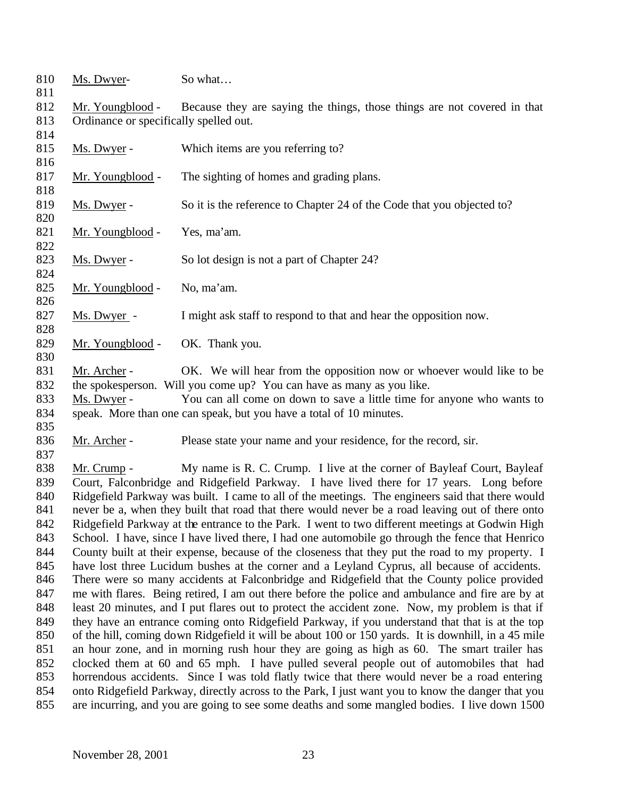| 810        | Ms. Dwyer-                                                                                          | So what                                                                                          |  |  |
|------------|-----------------------------------------------------------------------------------------------------|--------------------------------------------------------------------------------------------------|--|--|
| 811        |                                                                                                     |                                                                                                  |  |  |
| 812        | Mr. Youngblood -                                                                                    | Because they are saying the things, those things are not covered in that                         |  |  |
| 813        | Ordinance or specifically spelled out.                                                              |                                                                                                  |  |  |
| 814        |                                                                                                     |                                                                                                  |  |  |
| 815        | Ms. Dwyer -                                                                                         | Which items are you referring to?                                                                |  |  |
| 816        |                                                                                                     |                                                                                                  |  |  |
| 817        | Mr. Youngblood -                                                                                    | The sighting of homes and grading plans.                                                         |  |  |
| 818        |                                                                                                     |                                                                                                  |  |  |
| 819        | Ms. Dwyer -                                                                                         | So it is the reference to Chapter 24 of the Code that you objected to?                           |  |  |
| 820        |                                                                                                     |                                                                                                  |  |  |
| 821        | Mr. Youngblood -                                                                                    | Yes, ma'am.                                                                                      |  |  |
| 822        |                                                                                                     |                                                                                                  |  |  |
| 823        | Ms. Dwyer -                                                                                         | So lot design is not a part of Chapter 24?                                                       |  |  |
| 824        |                                                                                                     |                                                                                                  |  |  |
| 825<br>826 | Mr. Youngblood -                                                                                    | No, ma'am.                                                                                       |  |  |
| 827        |                                                                                                     |                                                                                                  |  |  |
| 828        | Ms. Dwyer -                                                                                         | I might ask staff to respond to that and hear the opposition now.                                |  |  |
| 829        |                                                                                                     |                                                                                                  |  |  |
| 830        | Mr. Youngblood -                                                                                    | OK. Thank you.                                                                                   |  |  |
| 831        | Mr. Archer -                                                                                        | OK. We will hear from the opposition now or whoever would like to be                             |  |  |
| 832        |                                                                                                     | the spokesperson. Will you come up? You can have as many as you like.                            |  |  |
| 833        | Ms. Dwyer -                                                                                         | You can all come on down to save a little time for anyone who wants to                           |  |  |
| 834        |                                                                                                     | speak. More than one can speak, but you have a total of 10 minutes.                              |  |  |
| 835        |                                                                                                     |                                                                                                  |  |  |
| 836        | Mr. Archer -                                                                                        | Please state your name and your residence, for the record, sir.                                  |  |  |
| 837        |                                                                                                     |                                                                                                  |  |  |
| 838        | Mr. Crump -                                                                                         | My name is R. C. Crump. I live at the corner of Bayleaf Court, Bayleaf                           |  |  |
| 839        |                                                                                                     | Court, Falconbridge and Ridgefield Parkway. I have lived there for 17 years. Long before         |  |  |
| 840        |                                                                                                     | Ridgefield Parkway was built. I came to all of the meetings. The engineers said that there would |  |  |
| 841        |                                                                                                     | never be a, when they built that road that there would never be a road leaving out of there onto |  |  |
| 842        |                                                                                                     | Ridgefield Parkway at the entrance to the Park. I went to two different meetings at Godwin High  |  |  |
| 843        |                                                                                                     | School. I have, since I have lived there, I had one automobile go through the fence that Henrico |  |  |
| 844        | County built at their expense, because of the closeness that they put the road to my property. I    |                                                                                                  |  |  |
| 845        | have lost three Lucidum bushes at the corner and a Leyland Cyprus, all because of accidents.        |                                                                                                  |  |  |
| 846        |                                                                                                     | There were so many accidents at Falconbridge and Ridgefield that the County police provided      |  |  |
| 847        | me with flares. Being retired, I am out there before the police and ambulance and fire are by at    |                                                                                                  |  |  |
| 848        | least 20 minutes, and I put flares out to protect the accident zone. Now, my problem is that if     |                                                                                                  |  |  |
| 849        | they have an entrance coming onto Ridgefield Parkway, if you understand that that is at the top     |                                                                                                  |  |  |
| 850        | of the hill, coming down Ridgefield it will be about 100 or 150 yards. It is downhill, in a 45 mile |                                                                                                  |  |  |
| 851        | an hour zone, and in morning rush hour they are going as high as 60. The smart trailer has          |                                                                                                  |  |  |
| 852        | clocked them at 60 and 65 mph. I have pulled several people out of automobiles that had             |                                                                                                  |  |  |
| 853        | horrendous accidents. Since I was told flatly twice that there would never be a road entering       |                                                                                                  |  |  |
| 854        | onto Ridgefield Parkway, directly across to the Park, I just want you to know the danger that you   |                                                                                                  |  |  |
| 855        |                                                                                                     | are incurring, and you are going to see some deaths and some mangled bodies. I live down 1500    |  |  |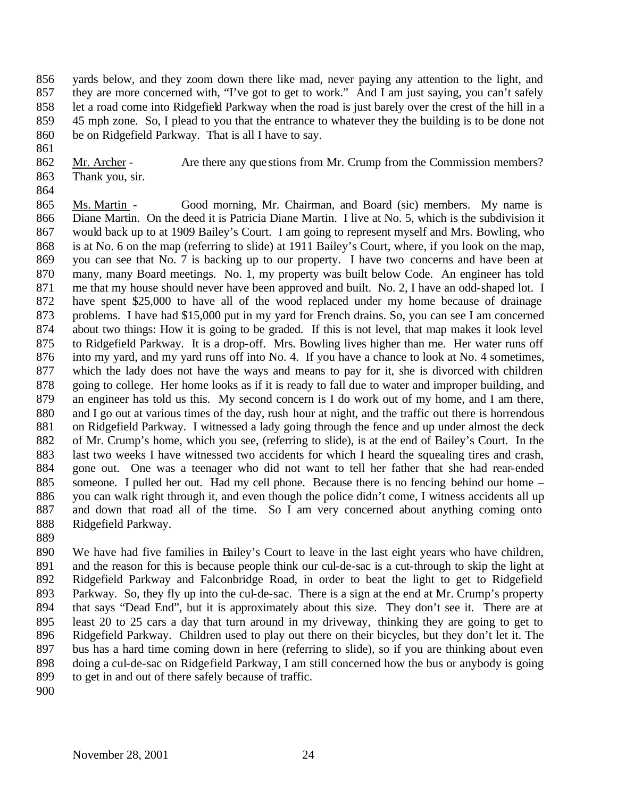yards below, and they zoom down there like mad, never paying any attention to the light, and 857 they are more concerned with, "I've got to get to work." And I am just saying, you can't safely let a road come into Ridgefield Parkway when the road is just barely over the crest of the hill in a 45 mph zone. So, I plead to you that the entrance to whatever they the building is to be done not be on Ridgefield Parkway. That is all I have to say.

862 Mr. Archer - Are there any que stions from Mr. Crump from the Commission members? Thank you, sir.

 Ms. Martin - Good morning, Mr. Chairman, and Board (sic) members. My name is Diane Martin. On the deed it is Patricia Diane Martin. I live at No. 5, which is the subdivision it would back up to at 1909 Bailey's Court. I am going to represent myself and Mrs. Bowling, who is at No. 6 on the map (referring to slide) at 1911 Bailey's Court, where, if you look on the map, you can see that No. 7 is backing up to our property. I have two concerns and have been at many, many Board meetings. No. 1, my property was built below Code. An engineer has told me that my house should never have been approved and built. No. 2, I have an odd-shaped lot. I have spent \$25,000 to have all of the wood replaced under my home because of drainage problems. I have had \$15,000 put in my yard for French drains. So, you can see I am concerned about two things: How it is going to be graded. If this is not level, that map makes it look level to Ridgefield Parkway. It is a drop-off. Mrs. Bowling lives higher than me. Her water runs off into my yard, and my yard runs off into No. 4. If you have a chance to look at No. 4 sometimes, which the lady does not have the ways and means to pay for it, she is divorced with children going to college. Her home looks as if it is ready to fall due to water and improper building, and an engineer has told us this. My second concern is I do work out of my home, and I am there, and I go out at various times of the day, rush hour at night, and the traffic out there is horrendous 881 on Ridgefield Parkway. I witnessed a lady going through the fence and up under almost the deck of Mr. Crump's home, which you see, (referring to slide), is at the end of Bailey's Court. In the last two weeks I have witnessed two accidents for which I heard the squealing tires and crash, gone out. One was a teenager who did not want to tell her father that she had rear-ended someone. I pulled her out. Had my cell phone. Because there is no fencing behind our home – you can walk right through it, and even though the police didn't come, I witness accidents all up and down that road all of the time. So I am very concerned about anything coming onto Ridgefield Parkway.

 We have had five families in Bailey's Court to leave in the last eight years who have children, and the reason for this is because people think our cul-de-sac is a cut-through to skip the light at Ridgefield Parkway and Falconbridge Road, in order to beat the light to get to Ridgefield Parkway. So, they fly up into the cul-de-sac. There is a sign at the end at Mr. Crump's property that says "Dead End", but it is approximately about this size. They don't see it. There are at least 20 to 25 cars a day that turn around in my driveway, thinking they are going to get to Ridgefield Parkway. Children used to play out there on their bicycles, but they don't let it. The bus has a hard time coming down in here (referring to slide), so if you are thinking about even doing a cul-de-sac on Ridgefield Parkway, I am still concerned how the bus or anybody is going to get in and out of there safely because of traffic.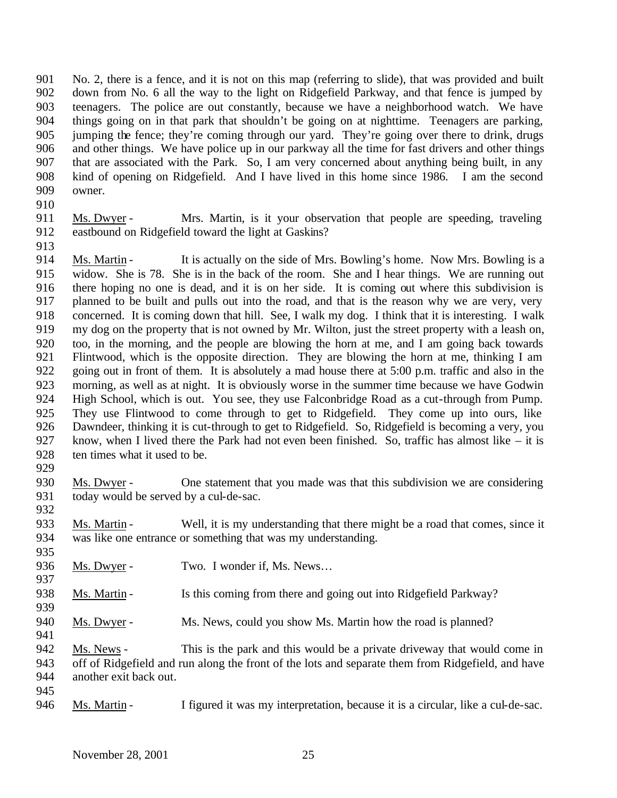No. 2, there is a fence, and it is not on this map (referring to slide), that was provided and built down from No. 6 all the way to the light on Ridgefield Parkway, and that fence is jumped by teenagers. The police are out constantly, because we have a neighborhood watch. We have things going on in that park that shouldn't be going on at nighttime. Teenagers are parking, jumping the fence; they're coming through our yard. They're going over there to drink, drugs and other things. We have police up in our parkway all the time for fast drivers and other things that are associated with the Park. So, I am very concerned about anything being built, in any kind of opening on Ridgefield. And I have lived in this home since 1986. I am the second owner.

- 
- Ms. Dwyer Mrs. Martin, is it your observation that people are speeding, traveling eastbound on Ridgefield toward the light at Gaskins?
- 

914 Ms. Martin - It is actually on the side of Mrs. Bowling's home. Now Mrs. Bowling is a widow. She is 78. She is in the back of the room. She and I hear things. We are running out there hoping no one is dead, and it is on her side. It is coming out where this subdivision is planned to be built and pulls out into the road, and that is the reason why we are very, very concerned. It is coming down that hill. See, I walk my dog. I think that it is interesting. I walk my dog on the property that is not owned by Mr. Wilton, just the street property with a leash on, too, in the morning, and the people are blowing the horn at me, and I am going back towards Flintwood, which is the opposite direction. They are blowing the horn at me, thinking I am going out in front of them. It is absolutely a mad house there at 5:00 p.m. traffic and also in the morning, as well as at night. It is obviously worse in the summer time because we have Godwin High School, which is out. You see, they use Falconbridge Road as a cut-through from Pump. They use Flintwood to come through to get to Ridgefield. They come up into ours, like Dawndeer, thinking it is cut-through to get to Ridgefield. So, Ridgefield is becoming a very, you know, when I lived there the Park had not even been finished. So, traffic has almost like – it is ten times what it used to be.

 Ms. Dwyer - One statement that you made was that this subdivision we are considering today would be served by a cul-de-sac. 

 Ms. Martin - Well, it is my understanding that there might be a road that comes, since it was like one entrance or something that was my understanding.

- 936 Ms. Dwyer Two. I wonder if, Ms. News...
- 938 Ms. Martin Is this coming from there and going out into Ridgefield Parkway?
- 940 Ms. Dwyer Ms. News, could you show Ms. Martin how the road is planned?

 Ms. News - This is the park and this would be a private driveway that would come in off of Ridgefield and run along the front of the lots and separate them from Ridgefield, and have another exit back out.

Ms. Martin - I figured it was my interpretation, because it is a circular, like a cul-de-sac.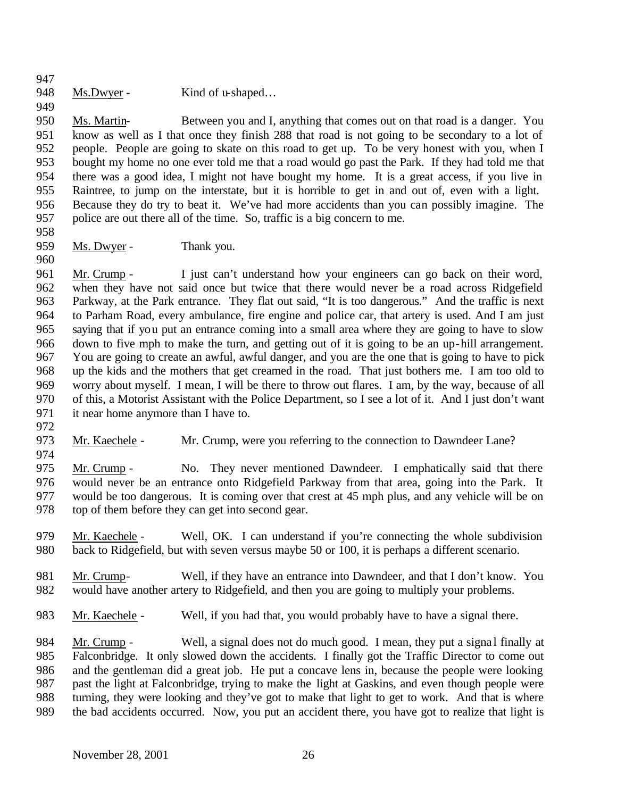- 
- 948 Ms.Dwyer Kind of u-shaped...

 Ms. Martin- Between you and I, anything that comes out on that road is a danger. You know as well as I that once they finish 288 that road is not going to be secondary to a lot of people. People are going to skate on this road to get up. To be very honest with you, when I bought my home no one ever told me that a road would go past the Park. If they had told me that there was a good idea, I might not have bought my home. It is a great access, if you live in Raintree, to jump on the interstate, but it is horrible to get in and out of, even with a light. 956 Because they do try to beat it. We've had more accidents than you can possibly imagine. The police are out there all of the time. So, traffic is a big concern to me. police are out there all of the time. So, traffic is a big concern to me.

959 Ms. Dwyer - Thank you.

 Mr. Crump - I just can't understand how your engineers can go back on their word, when they have not said once but twice that there would never be a road across Ridgefield Parkway, at the Park entrance. They flat out said, "It is too dangerous." And the traffic is next to Parham Road, every ambulance, fire engine and police car, that artery is used. And I am just saying that if you put an entrance coming into a small area where they are going to have to slow down to five mph to make the turn, and getting out of it is going to be an up-hill arrangement. You are going to create an awful, awful danger, and you are the one that is going to have to pick up the kids and the mothers that get creamed in the road. That just bothers me. I am too old to worry about myself. I mean, I will be there to throw out flares. I am, by the way, because of all of this, a Motorist Assistant with the Police Department, so I see a lot of it. And I just don't want it near home anymore than I have to.

Mr. Kaechele - Mr. Crump, were you referring to the connection to Dawndeer Lane?

 Mr. Crump - No. They never mentioned Dawndeer. I emphatically said that there would never be an entrance onto Ridgefield Parkway from that area, going into the Park. It would be too dangerous. It is coming over that crest at 45 mph plus, and any vehicle will be on top of them before they can get into second gear.

- Mr. Kaechele Well, OK. I can understand if you're connecting the whole subdivision back to Ridgefield, but with seven versus maybe 50 or 100, it is perhaps a different scenario.
- Mr. Crump- Well, if they have an entrance into Dawndeer, and that I don't know. You would have another artery to Ridgefield, and then you are going to multiply your problems.
- Mr. Kaechele Well, if you had that, you would probably have to have a signal there.

984 Mr. Crump - Well, a signal does not do much good. I mean, they put a signal finally at Falconbridge. It only slowed down the accidents. I finally got the Traffic Director to come out and the gentleman did a great job. He put a concave lens in, because the people were looking past the light at Falconbridge, trying to make the light at Gaskins, and even though people were turning, they were looking and they've got to make that light to get to work. And that is where the bad accidents occurred. Now, you put an accident there, you have got to realize that light is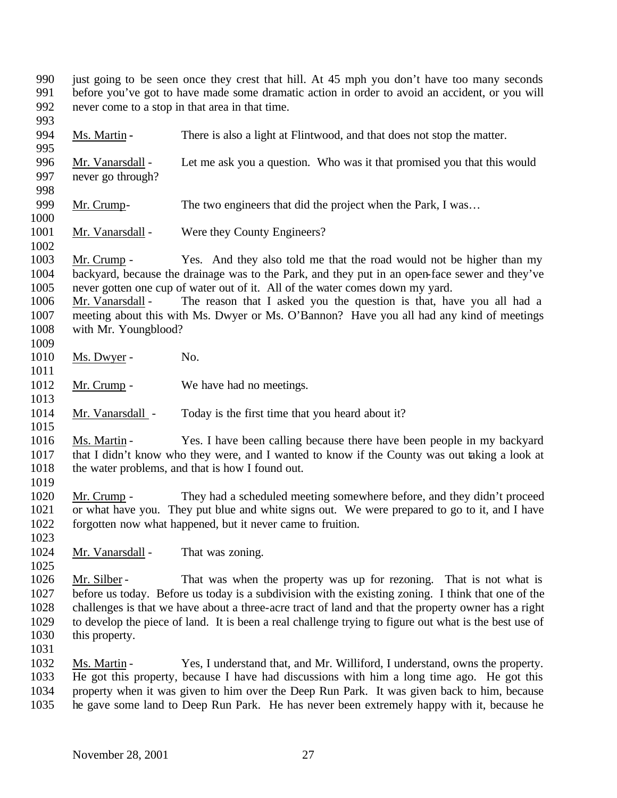just going to be seen once they crest that hill. At 45 mph you don't have too many seconds before you've got to have made some dramatic action in order to avoid an accident, or you will never come to a stop in that area in that time.

Ms. Martin **-** There is also a light at Flintwood, and that does not stop the matter.

 Mr. Vanarsdall - Let me ask you a question. Who was it that promised you that this would never go through? 999 Mr. Crump- The two engineers that did the project when the Park, I was... 1001 Mr. Vanarsdall - Were they County Engineers? Mr. Crump - Yes. And they also told me that the road would not be higher than my

 backyard, because the drainage was to the Park, and they put in an open-face sewer and they've never gotten one cup of water out of it. All of the water comes down my yard.

- Mr. Vanarsdall The reason that I asked you the question is that, have you all had a meeting about this with Ms. Dwyer or Ms. O'Bannon? Have you all had any kind of meetings with Mr. Youngblood?
- 1010 Ms. Dwyer - No.
- 

- 1012 Mr. Crump We have had no meetings.
- 1014 Mr. Vanarsdall Today is the first time that you heard about it?
- Ms. Martin Yes. I have been calling because there have been people in my backyard that I didn't know who they were, and I wanted to know if the County was out taking a look at 1018 the water problems, and that is how I found out.
- Mr. Crump They had a scheduled meeting somewhere before, and they didn't proceed or what have you. They put blue and white signs out. We were prepared to go to it, and I have forgotten now what happened, but it never came to fruition.
- 1024 Mr. Vanarsdall That was zoning.
- 1026 Mr. Silber That was when the property was up for rezoning. That is not what is before us today. Before us today is a subdivision with the existing zoning. I think that one of the challenges is that we have about a three-acre tract of land and that the property owner has a right to develop the piece of land. It is been a real challenge trying to figure out what is the best use of this property.
- Ms. Martin Yes, I understand that, and Mr. Williford, I understand, owns the property. He got this property, because I have had discussions with him a long time ago. He got this property when it was given to him over the Deep Run Park. It was given back to him, because he gave some land to Deep Run Park. He has never been extremely happy with it, because he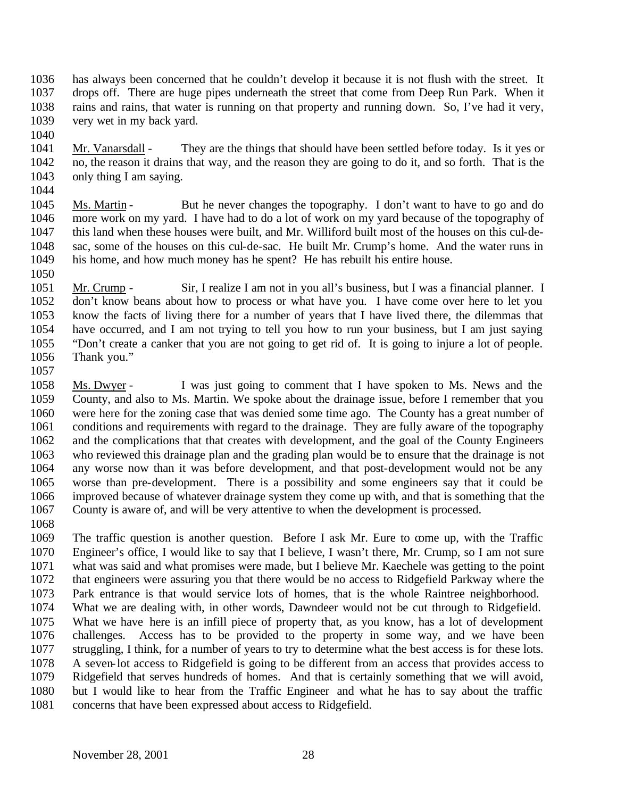- has always been concerned that he couldn't develop it because it is not flush with the street. It drops off. There are huge pipes underneath the street that come from Deep Run Park. When it rains and rains, that water is running on that property and running down. So, I've had it very, very wet in my back yard.
- 
- Mr. Vanarsdall They are the things that should have been settled before today. Is it yes or no, the reason it drains that way, and the reason they are going to do it, and so forth. That is the only thing I am saying.
- 

 Ms. Martin - But he never changes the topography. I don't want to have to go and do more work on my yard. I have had to do a lot of work on my yard because of the topography of this land when these houses were built, and Mr. Williford built most of the houses on this cul-de- sac, some of the houses on this cul-de-sac. He built Mr. Crump's home. And the water runs in his home, and how much money has he spent? He has rebuilt his entire house.

 Mr. Crump - Sir, I realize I am not in you all's business, but I was a financial planner. I don't know beans about how to process or what have you. I have come over here to let you know the facts of living there for a number of years that I have lived there, the dilemmas that have occurred, and I am not trying to tell you how to run your business, but I am just saying "Don't create a canker that you are not going to get rid of. It is going to injure a lot of people. Thank you."

 Ms. Dwyer - I was just going to comment that I have spoken to Ms. News and the County, and also to Ms. Martin. We spoke about the drainage issue, before I remember that you were here for the zoning case that was denied some time ago. The County has a great number of conditions and requirements with regard to the drainage. They are fully aware of the topography and the complications that that creates with development, and the goal of the County Engineers who reviewed this drainage plan and the grading plan would be to ensure that the drainage is not any worse now than it was before development, and that post-development would not be any worse than pre-development. There is a possibility and some engineers say that it could be improved because of whatever drainage system they come up with, and that is something that the County is aware of, and will be very attentive to when the development is processed.

 The traffic question is another question. Before I ask Mr. Eure to come up, with the Traffic Engineer's office, I would like to say that I believe, I wasn't there, Mr. Crump, so I am not sure what was said and what promises were made, but I believe Mr. Kaechele was getting to the point that engineers were assuring you that there would be no access to Ridgefield Parkway where the Park entrance is that would service lots of homes, that is the whole Raintree neighborhood. What we are dealing with, in other words, Dawndeer would not be cut through to Ridgefield.

 What we have here is an infill piece of property that, as you know, has a lot of development challenges. Access has to be provided to the property in some way, and we have been struggling, I think, for a number of years to try to determine what the best access is for these lots. A seven-lot access to Ridgefield is going to be different from an access that provides access to Ridgefield that serves hundreds of homes. And that is certainly something that we will avoid, but I would like to hear from the Traffic Engineer and what he has to say about the traffic concerns that have been expressed about access to Ridgefield.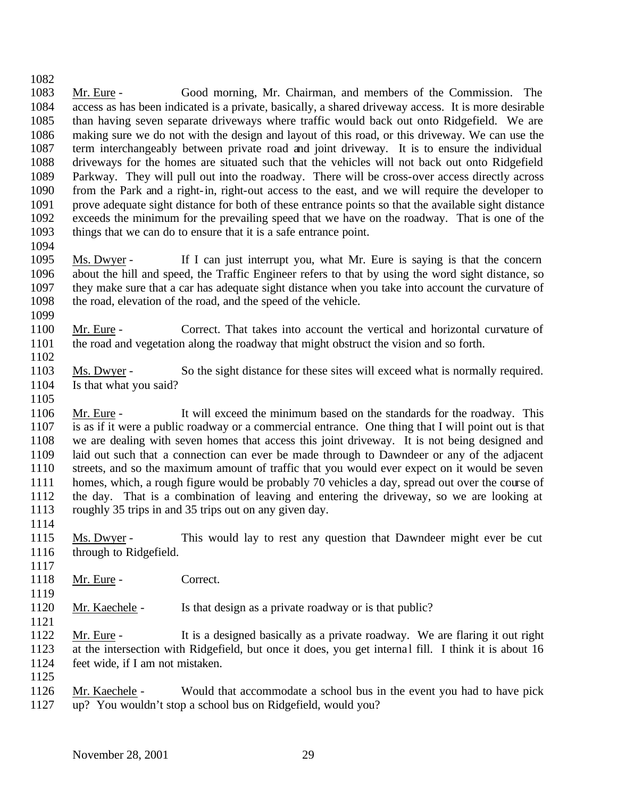- Mr. Eure Good morning, Mr. Chairman, and members of the Commission. The access as has been indicated is a private, basically, a shared driveway access. It is more desirable than having seven separate driveways where traffic would back out onto Ridgefield. We are making sure we do not with the design and layout of this road, or this driveway. We can use the term interchangeably between private road and joint driveway. It is to ensure the individual driveways for the homes are situated such that the vehicles will not back out onto Ridgefield Parkway. They will pull out into the roadway. There will be cross-over access directly across from the Park and a right-in, right-out access to the east, and we will require the developer to prove adequate sight distance for both of these entrance points so that the available sight distance exceeds the minimum for the prevailing speed that we have on the roadway. That is one of the things that we can do to ensure that it is a safe entrance point.
- 

- Ms. Dwyer If I can just interrupt you, what Mr. Eure is saying is that the concern about the hill and speed, the Traffic Engineer refers to that by using the word sight distance, so they make sure that a car has adequate sight distance when you take into account the curvature of the road, elevation of the road, and the speed of the vehicle.
- Mr. Eure Correct. That takes into account the vertical and horizontal curvature of the road and vegetation along the roadway that might obstruct the vision and so forth.
- Ms. Dwyer So the sight distance for these sites will exceed what is normally required. Is that what you said?
- 
- Mr. Eure It will exceed the minimum based on the standards for the roadway. This is as if it were a public roadway or a commercial entrance. One thing that I will point out is that we are dealing with seven homes that access this joint driveway. It is not being designed and laid out such that a connection can ever be made through to Dawndeer or any of the adjacent streets, and so the maximum amount of traffic that you would ever expect on it would be seven homes, which, a rough figure would be probably 70 vehicles a day, spread out over the course of the day. That is a combination of leaving and entering the driveway, so we are looking at roughly 35 trips in and 35 trips out on any given day.
- 
- Ms. Dwyer This would lay to rest any question that Dawndeer might ever be cut through to Ridgefield.
- 1118 Mr. Eure Correct.
- 1120 Mr. Kaechele Is that design as a private roadway or is that public?
- Mr. Eure It is a designed basically as a private roadway. We are flaring it out right at the intersection with Ridgefield, but once it does, you get interna l fill. I think it is about 16 feet wide, if I am not mistaken.
- 

 Mr. Kaechele - Would that accommodate a school bus in the event you had to have pick up? You wouldn't stop a school bus on Ridgefield, would you?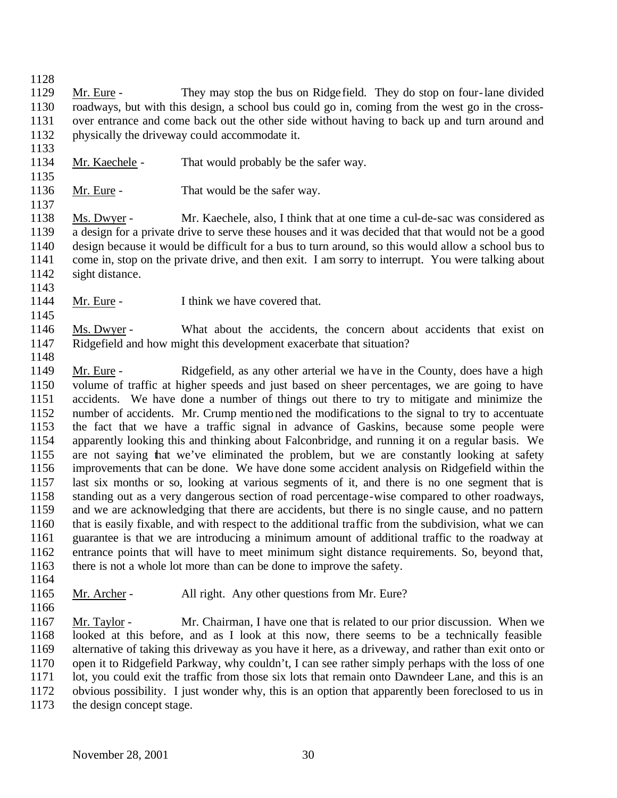Mr. Eure - They may stop the bus on Ridge field. They do stop on four-lane divided roadways, but with this design, a school bus could go in, coming from the west go in the cross- over entrance and come back out the other side without having to back up and turn around and physically the driveway could accommodate it.

- Mr. Kaechele That would probably be the safer way.
- 

1136 Mr. Eure - That would be the safer way.

 Ms. Dwyer - Mr. Kaechele, also, I think that at one time a cul-de-sac was considered as a design for a private drive to serve these houses and it was decided that that would not be a good design because it would be difficult for a bus to turn around, so this would allow a school bus to come in, stop on the private drive, and then exit. I am sorry to interrupt. You were talking about sight distance. 

1144 Mr. Eure - I think we have covered that.

 Ms. Dwyer - What about the accidents, the concern about accidents that exist on Ridgefield and how might this development exacerbate that situation?

 Mr. Eure - Ridgefield, as any other arterial we have in the County, does have a high volume of traffic at higher speeds and just based on sheer percentages, we are going to have accidents. We have done a number of things out there to try to mitigate and minimize the number of accidents. Mr. Crump mentioned the modifications to the signal to try to accentuate the fact that we have a traffic signal in advance of Gaskins, because some people were apparently looking this and thinking about Falconbridge, and running it on a regular basis. We are not saying that we've eliminated the problem, but we are constantly looking at safety improvements that can be done. We have done some accident analysis on Ridgefield within the last six months or so, looking at various segments of it, and there is no one segment that is standing out as a very dangerous section of road percentage-wise compared to other roadways, and we are acknowledging that there are accidents, but there is no single cause, and no pattern that is easily fixable, and with respect to the additional traffic from the subdivision, what we can guarantee is that we are introducing a minimum amount of additional traffic to the roadway at entrance points that will have to meet minimum sight distance requirements. So, beyond that, 1163 there is not a whole lot more than can be done to improve the safety.

- 
- 
- 

Mr. Archer - All right. Any other questions from Mr. Eure?

 Mr. Taylor - Mr. Chairman, I have one that is related to our prior discussion. When we looked at this before, and as I look at this now, there seems to be a technically feasible alternative of taking this driveway as you have it here, as a driveway, and rather than exit onto or open it to Ridgefield Parkway, why couldn't, I can see rather simply perhaps with the loss of one lot, you could exit the traffic from those six lots that remain onto Dawndeer Lane, and this is an obvious possibility. I just wonder why, this is an option that apparently been foreclosed to us in the design concept stage.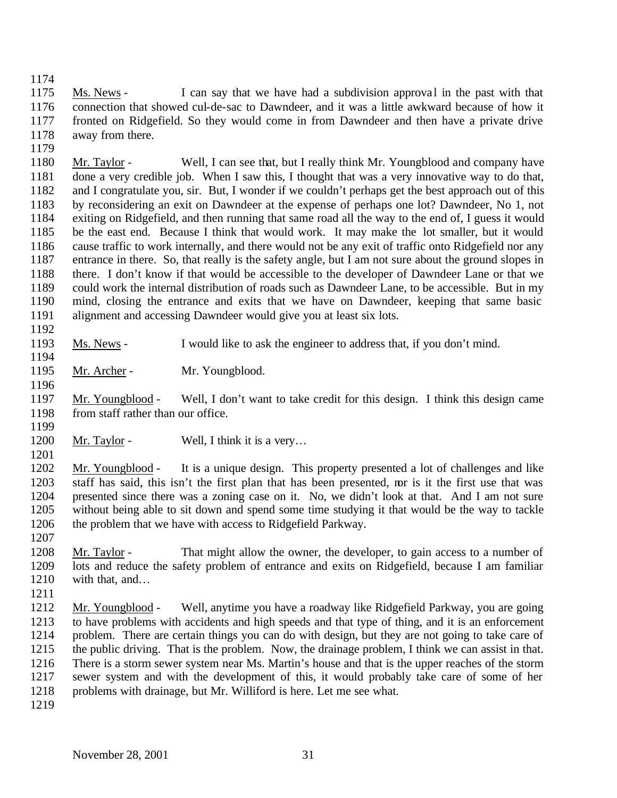1175 Ms. News - I can say that we have had a subdivision approval in the past with that connection that showed cul-de-sac to Dawndeer, and it was a little awkward because of how it fronted on Ridgefield. So they would come in from Dawndeer and then have a private drive away from there.

 Mr. Taylor - Well, I can see that, but I really think Mr. Youngblood and company have done a very credible job. When I saw this, I thought that was a very innovative way to do that, and I congratulate you, sir. But, I wonder if we couldn't perhaps get the best approach out of this by reconsidering an exit on Dawndeer at the expense of perhaps one lot? Dawndeer, No 1, not exiting on Ridgefield, and then running that same road all the way to the end of, I guess it would be the east end. Because I think that would work. It may make the lot smaller, but it would cause traffic to work internally, and there would not be any exit of traffic onto Ridgefield nor any entrance in there. So, that really is the safety angle, but I am not sure about the ground slopes in there. I don't know if that would be accessible to the developer of Dawndeer Lane or that we could work the internal distribution of roads such as Dawndeer Lane, to be accessible. But in my mind, closing the entrance and exits that we have on Dawndeer, keeping that same basic alignment and accessing Dawndeer would give you at least six lots.

 Ms. News - I would like to ask the engineer to address that, if you don't mind. 

1195 Mr. Archer - Mr. Youngblood.

 Mr. Youngblood - Well, I don't want to take credit for this design. I think this design came 1198 from staff rather than our office. 

1200 Mr. Taylor - Well, I think it is a very...

 Mr. Youngblood - It is a unique design. This property presented a lot of challenges and like staff has said, this isn't the first plan that has been presented, nor is it the first use that was presented since there was a zoning case on it. No, we didn't look at that. And I am not sure without being able to sit down and spend some time studying it that would be the way to tackle 1206 the problem that we have with access to Ridgefield Parkway.

 Mr. Taylor - That might allow the owner, the developer, to gain access to a number of lots and reduce the safety problem of entrance and exits on Ridgefield, because I am familiar with that, and…

- Mr. Youngblood Well, anytime you have a roadway like Ridgefield Parkway, you are going to have problems with accidents and high speeds and that type of thing, and it is an enforcement problem. There are certain things you can do with design, but they are not going to take care of the public driving. That is the problem. Now, the drainage problem, I think we can assist in that. There is a storm sewer system near Ms. Martin's house and that is the upper reaches of the storm sewer system and with the development of this, it would probably take care of some of her problems with drainage, but Mr. Williford is here. Let me see what.
-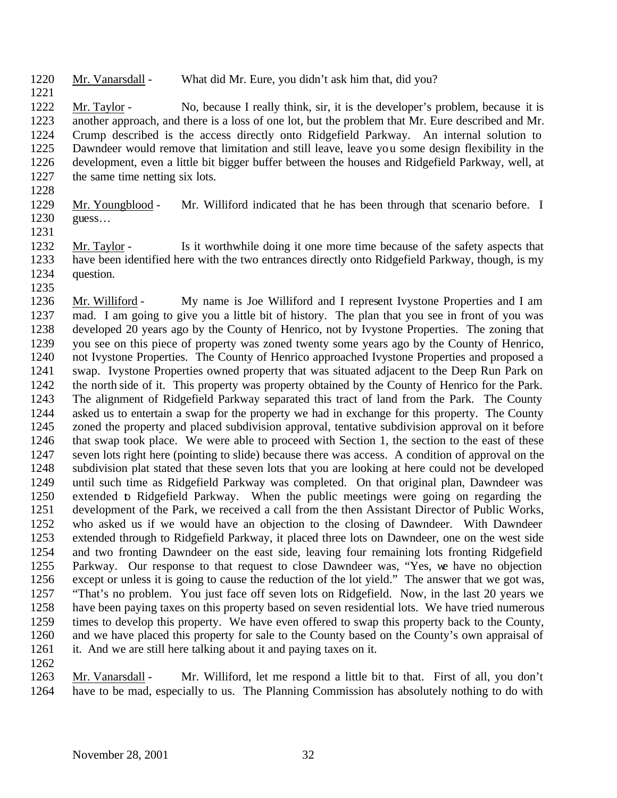Mr. Vanarsdall - What did Mr. Eure, you didn't ask him that, did you?

 Mr. Taylor - No, because I really think, sir, it is the developer's problem, because it is another approach, and there is a loss of one lot, but the problem that Mr. Eure described and Mr. Crump described is the access directly onto Ridgefield Parkway. An internal solution to Dawndeer would remove that limitation and still leave, leave you some design flexibility in the development, even a little bit bigger buffer between the houses and Ridgefield Parkway, well, at the same time netting six lots.

 Mr. Youngblood - Mr. Williford indicated that he has been through that scenario before. I guess…

 Mr. Taylor - Is it worthwhile doing it one more time because of the safety aspects that have been identified here with the two entrances directly onto Ridgefield Parkway, though, is my question. 

 Mr. Williford - My name is Joe Williford and I represent Ivystone Properties and I am mad. I am going to give you a little bit of history. The plan that you see in front of you was developed 20 years ago by the County of Henrico, not by Ivystone Properties. The zoning that you see on this piece of property was zoned twenty some years ago by the County of Henrico, not Ivystone Properties. The County of Henrico approached Ivystone Properties and proposed a swap. Ivystone Properties owned property that was situated adjacent to the Deep Run Park on the north side of it. This property was property obtained by the County of Henrico for the Park. The alignment of Ridgefield Parkway separated this tract of land from the Park. The County asked us to entertain a swap for the property we had in exchange for this property. The County zoned the property and placed subdivision approval, tentative subdivision approval on it before that swap took place. We were able to proceed with Section 1, the section to the east of these seven lots right here (pointing to slide) because there was access. A condition of approval on the subdivision plat stated that these seven lots that you are looking at here could not be developed until such time as Ridgefield Parkway was completed. On that original plan, Dawndeer was extended to Ridgefield Parkway. When the public meetings were going on regarding the development of the Park, we received a call from the then Assistant Director of Public Works, who asked us if we would have an objection to the closing of Dawndeer. With Dawndeer extended through to Ridgefield Parkway, it placed three lots on Dawndeer, one on the west side and two fronting Dawndeer on the east side, leaving four remaining lots fronting Ridgefield Parkway. Our response to that request to close Dawndeer was, "Yes, we have no objection except or unless it is going to cause the reduction of the lot yield." The answer that we got was, "That's no problem. You just face off seven lots on Ridgefield. Now, in the last 20 years we have been paying taxes on this property based on seven residential lots. We have tried numerous times to develop this property. We have even offered to swap this property back to the County, and we have placed this property for sale to the County based on the County's own appraisal of it. And we are still here talking about it and paying taxes on it.

 Mr. Vanarsdall - Mr. Williford, let me respond a little bit to that. First of all, you don't have to be mad, especially to us. The Planning Commission has absolutely nothing to do with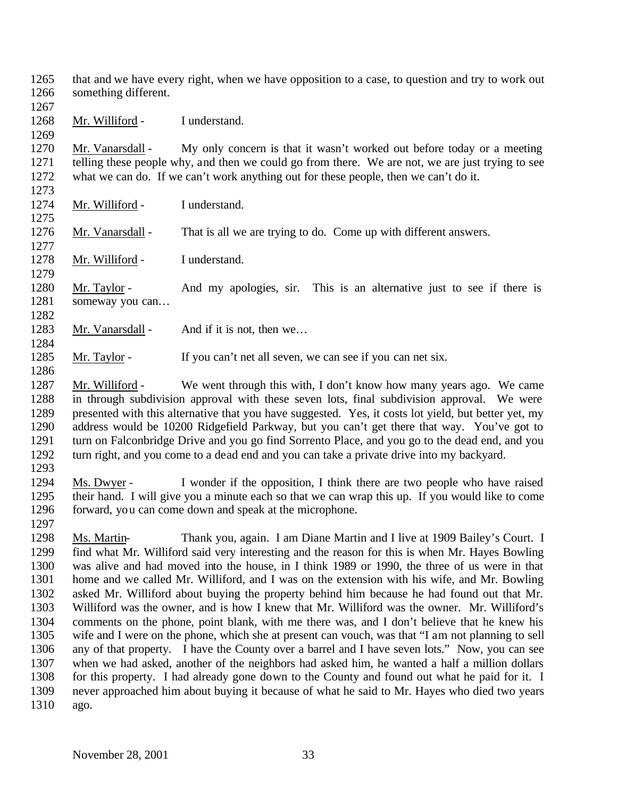that and we have every right, when we have opposition to a case, to question and try to work out something different.

Mr. Williford - I understand.

 Mr. Vanarsdall - My only concern is that it wasn't worked out before today or a meeting telling these people why, and then we could go from there. We are not, we are just trying to see what we can do. If we can't work anything out for these people, then we can't do it.

- Mr. Williford I understand.
- Mr. Vanarsdall That is all we are trying to do. Come up with different answers.

Mr. Williford - I understand.

1280 Mr. Taylor - And my apologies, sir. This is an alternative just to see if there is 1281 someway you can...

- 1283 Mr. Vanarsdall And if it is not, then we...
- 1285 Mr. Taylor If you can't net all seven, we can see if you can net six.

 Mr. Williford - We went through this with, I don't know how many years ago. We came in through subdivision approval with these seven lots, final subdivision approval. We were presented with this alternative that you have suggested. Yes, it costs lot yield, but better yet, my address would be 10200 Ridgefield Parkway, but you can't get there that way. You've got to turn on Falconbridge Drive and you go find Sorrento Place, and you go to the dead end, and you turn right, and you come to a dead end and you can take a private drive into my backyard.

 Ms. Dwyer - I wonder if the opposition, I think there are two people who have raised their hand. I will give you a minute each so that we can wrap this up. If you would like to come forward, you can come down and speak at the microphone.

 Ms. Martin- Thank you, again. I am Diane Martin and I live at 1909 Bailey's Court. I find what Mr. Williford said very interesting and the reason for this is when Mr. Hayes Bowling was alive and had moved into the house, in I think 1989 or 1990, the three of us were in that home and we called Mr. Williford, and I was on the extension with his wife, and Mr. Bowling asked Mr. Williford about buying the property behind him because he had found out that Mr. Williford was the owner, and is how I knew that Mr. Williford was the owner. Mr. Williford's comments on the phone, point blank, with me there was, and I don't believe that he knew his wife and I were on the phone, which she at present can vouch, was that "I am not planning to sell any of that property. I have the County over a barrel and I have seven lots." Now, you can see when we had asked, another of the neighbors had asked him, he wanted a half a million dollars for this property. I had already gone down to the County and found out what he paid for it. I never approached him about buying it because of what he said to Mr. Hayes who died two years ago.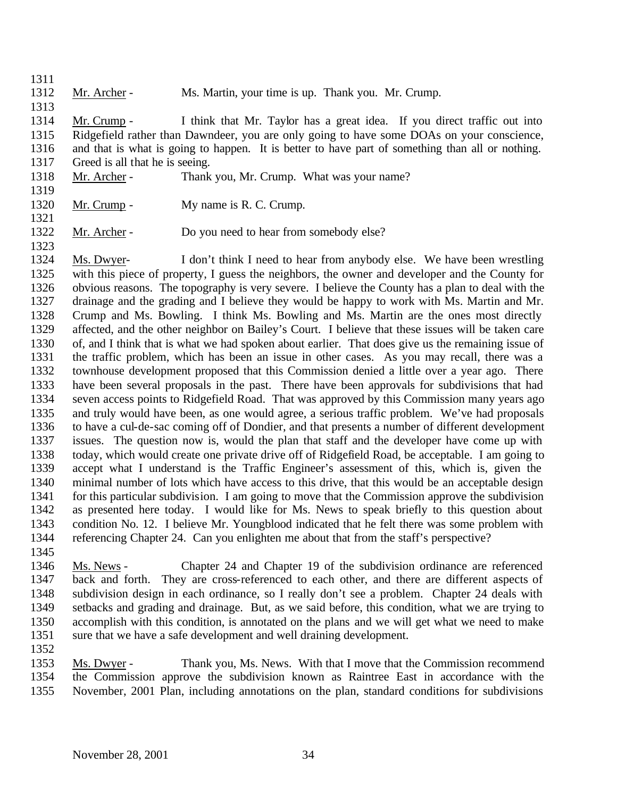1312 Mr. Archer - Ms. Martin, your time is up. Thank you. Mr. Crump.

 Mr. Crump - I think that Mr. Taylor has a great idea. If you direct traffic out into Ridgefield rather than Dawndeer, you are only going to have some DOAs on your conscience, and that is what is going to happen. It is better to have part of something than all or nothing. Greed is all that he is seeing.

- Mr. Archer Thank you, Mr. Crump. What was your name?
- 

1320 Mr. Crump - My name is R. C. Crump.

1322 Mr. Archer - Do you need to hear from somebody else?

 Ms. Dwyer- I don't think I need to hear from anybody else. We have been wrestling with this piece of property, I guess the neighbors, the owner and developer and the County for obvious reasons. The topography is very severe. I believe the County has a plan to deal with the drainage and the grading and I believe they would be happy to work with Ms. Martin and Mr. Crump and Ms. Bowling. I think Ms. Bowling and Ms. Martin are the ones most directly affected, and the other neighbor on Bailey's Court. I believe that these issues will be taken care of, and I think that is what we had spoken about earlier. That does give us the remaining issue of the traffic problem, which has been an issue in other cases. As you may recall, there was a townhouse development proposed that this Commission denied a little over a year ago. There have been several proposals in the past. There have been approvals for subdivisions that had seven access points to Ridgefield Road. That was approved by this Commission many years ago and truly would have been, as one would agree, a serious traffic problem. We've had proposals to have a cul-de-sac coming off of Dondier, and that presents a number of different development issues. The question now is, would the plan that staff and the developer have come up with today, which would create one private drive off of Ridgefield Road, be acceptable. I am going to accept what I understand is the Traffic Engineer's assessment of this, which is, given the minimal number of lots which have access to this drive, that this would be an acceptable design for this particular subdivision. I am going to move that the Commission approve the subdivision as presented here today. I would like for Ms. News to speak briefly to this question about condition No. 12. I believe Mr. Youngblood indicated that he felt there was some problem with referencing Chapter 24. Can you enlighten me about that from the staff's perspective?

 Ms. News - Chapter 24 and Chapter 19 of the subdivision ordinance are referenced back and forth. They are cross-referenced to each other, and there are different aspects of subdivision design in each ordinance, so I really don't see a problem. Chapter 24 deals with setbacks and grading and drainage. But, as we said before, this condition, what we are trying to accomplish with this condition, is annotated on the plans and we will get what we need to make sure that we have a safe development and well draining development.

 Ms. Dwyer - Thank you, Ms. News. With that I move that the Commission recommend the Commission approve the subdivision known as Raintree East in accordance with the November, 2001 Plan, including annotations on the plan, standard conditions for subdivisions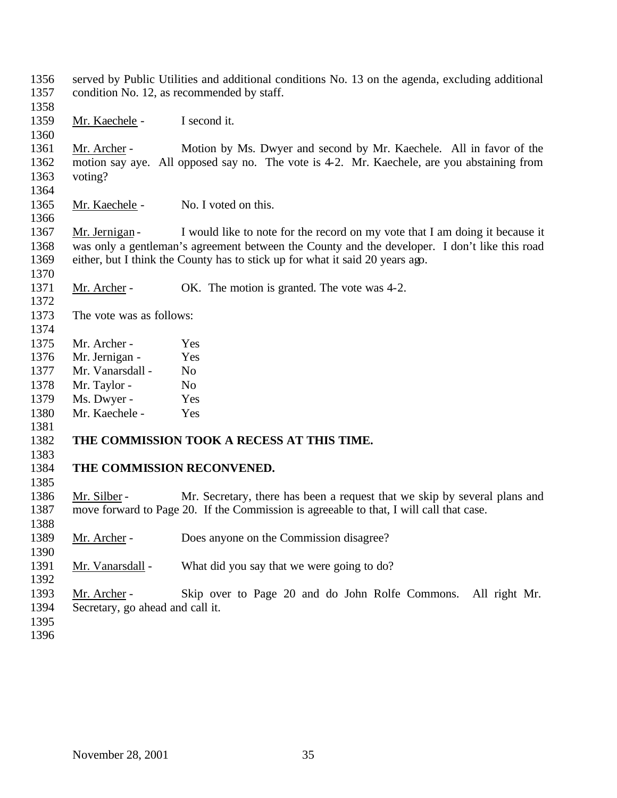served by Public Utilities and additional conditions No. 13 on the agenda, excluding additional condition No. 12, as recommended by staff.

Mr. Kaechele - I second it.

 Mr. Archer - Motion by Ms. Dwyer and second by Mr. Kaechele. All in favor of the motion say aye. All opposed say no. The vote is 4-2. Mr. Kaechele, are you abstaining from voting?

1365 Mr. Kaechele - No. I voted on this.

1367 Mr. Jernigan - I would like to note for the record on my vote that I am doing it because it was only a gentleman's agreement between the County and the developer. I don't like this road either, but I think the County has to stick up for what it said 20 years ago.

- 1371 Mr. Archer OK. The motion is granted. The vote was 4-2.
- The vote was as follows:

- 
- Mr. Archer Yes
- Mr. Jernigan Yes
- Mr. Vanarsdall No
- 1378 Mr. Taylor No
- Ms. Dwyer Yes

 Mr. Kaechele - Yes 

# **THE COMMISSION TOOK A RECESS AT THIS TIME.**

### **THE COMMISSION RECONVENED.**

1386 Mr. Silber - Mr. Secretary, there has been a request that we skip by several plans and move forward to Page 20. If the Commission is agreeable to that, I will call that case.

Mr. Archer - Does anyone on the Commission disagree?

1391 Mr. Vanarsdall - What did you say that we were going to do?

 Mr. Archer - Skip over to Page 20 and do John Rolfe Commons. All right Mr. Secretary, go ahead and call it.

- 
-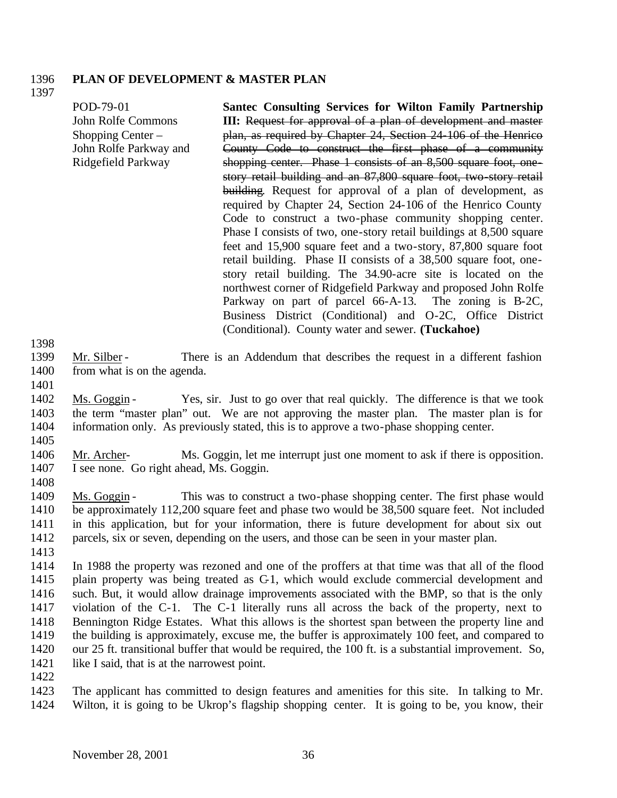#### 1396 **PLAN OF DEVELOPMENT & MASTER PLAN**

1397

| POD-79-01              | <b>Santec Consulting Services for Wilton Family Partnership</b>     |
|------------------------|---------------------------------------------------------------------|
| John Rolfe Commons     | III: Request for approval of a plan of development and master       |
| Shopping Center $-$    | plan, as required by Chapter 24, Section 24-106 of the Henrico      |
| John Rolfe Parkway and | County Code to construct the first phase of a community             |
| Ridgefield Parkway     | shopping center. Phase 1 consists of an 8,500 square foot, one-     |
|                        | story retail building and an 87,800 square foot, two-story retail   |
|                        | building. Request for approval of a plan of development, as         |
|                        | required by Chapter 24, Section 24-106 of the Henrico County        |
|                        | Code to construct a two-phase community shopping center.            |
|                        | Phase I consists of two, one-story retail buildings at 8,500 square |
|                        | feet and 15,900 square feet and a two-story, 87,800 square foot     |
|                        | retail building. Phase II consists of a 38,500 square foot, one-    |
|                        | story retail building. The 34.90-acre site is located on the        |
|                        | northwest corner of Ridgefield Parkway and proposed John Rolfe      |
|                        | Parkway on part of parcel 66-A-13. The zoning is B-2C,              |
|                        | Business District (Conditional) and O-2C, Office District           |
|                        | (Conditional). County water and sewer. (Tuckahoe)                   |

1398

- 1399 Mr. Silber There is an Addendum that describes the request in a different fashion 1400 from what is on the agenda.
- 1401

1402 Ms. Goggin - Yes, sir. Just to go over that real quickly. The difference is that we took 1403 the term "master plan" out. We are not approving the master plan. The master plan is for 1404 information only. As previously stated, this is to approve a two-phase shopping center.

1405

1406 Mr. Archer- Ms. Goggin, let me interrupt just one moment to ask if there is opposition. 1407 I see none. Go right ahead, Ms. Goggin.

1408

 Ms. Goggin - This was to construct a two-phase shopping center. The first phase would be approximately 112,200 square feet and phase two would be 38,500 square feet. Not included in this application, but for your information, there is future development for about six out parcels, six or seven, depending on the users, and those can be seen in your master plan.

1413

 In 1988 the property was rezoned and one of the proffers at that time was that all of the flood plain property was being treated as C-1, which would exclude commercial development and such. But, it would allow drainage improvements associated with the BMP, so that is the only violation of the C-1. The C-1 literally runs all across the back of the property, next to Bennington Ridge Estates. What this allows is the shortest span between the property line and the building is approximately, excuse me, the buffer is approximately 100 feet, and compared to our 25 ft. transitional buffer that would be required, the 100 ft. is a substantial improvement. So, 1421 like I said, that is at the narrowest point.

1422

1423 The applicant has committed to design features and amenities for this site. In talking to Mr. 1424 Wilton, it is going to be Ukrop's flagship shopping center. It is going to be, you know, their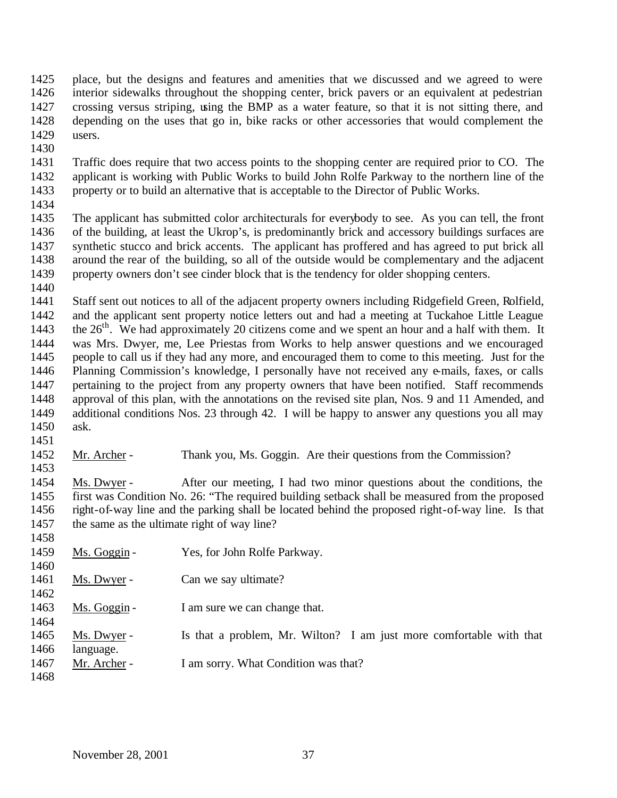place, but the designs and features and amenities that we discussed and we agreed to were interior sidewalks throughout the shopping center, brick pavers or an equivalent at pedestrian crossing versus striping, using the BMP as a water feature, so that it is not sitting there, and depending on the uses that go in, bike racks or other accessories that would complement the users.

 Traffic does require that two access points to the shopping center are required prior to CO. The applicant is working with Public Works to build John Rolfe Parkway to the northern line of the property or to build an alternative that is acceptable to the Director of Public Works.

1434<br>1435

The applicant has submitted color architecturals for everybody to see. As you can tell, the front of the building, at least the Ukrop's, is predominantly brick and accessory buildings surfaces are synthetic stucco and brick accents. The applicant has proffered and has agreed to put brick all around the rear of the building, so all of the outside would be complementary and the adjacent property owners don't see cinder block that is the tendency for older shopping centers. 

 Staff sent out notices to all of the adjacent property owners including Ridgefield Green, Rolfield, and the applicant sent property notice letters out and had a meeting at Tuckahoe Little League 1443 the  $26<sup>th</sup>$ . We had approximately 20 citizens come and we spent an hour and a half with them. It was Mrs. Dwyer, me, Lee Priestas from Works to help answer questions and we encouraged people to call us if they had any more, and encouraged them to come to this meeting. Just for the Planning Commission's knowledge, I personally have not received any e-mails, faxes, or calls pertaining to the project from any property owners that have been notified. Staff recommends approval of this plan, with the annotations on the revised site plan, Nos. 9 and 11 Amended, and additional conditions Nos. 23 through 42. I will be happy to answer any questions you all may ask.

 Mr. Archer - Thank you, Ms. Goggin. Are their questions from the Commission? 

 Ms. Dwyer - After our meeting, I had two minor questions about the conditions, the first was Condition No. 26: "The required building setback shall be measured from the proposed right-of-way line and the parking shall be located behind the proposed right-of-way line. Is that the same as the ultimate right of way line?

 1459 Ms. Goggin - Yes, for John Rolfe Parkway. 1461 Ms. Dwyer - Can we say ultimate? 1463 Ms. Goggin - I am sure we can change that. Ms. Dwyer - Is that a problem, Mr. Wilton? I am just more comfortable with that language. 1467 Mr. Archer - I am sorry. What Condition was that?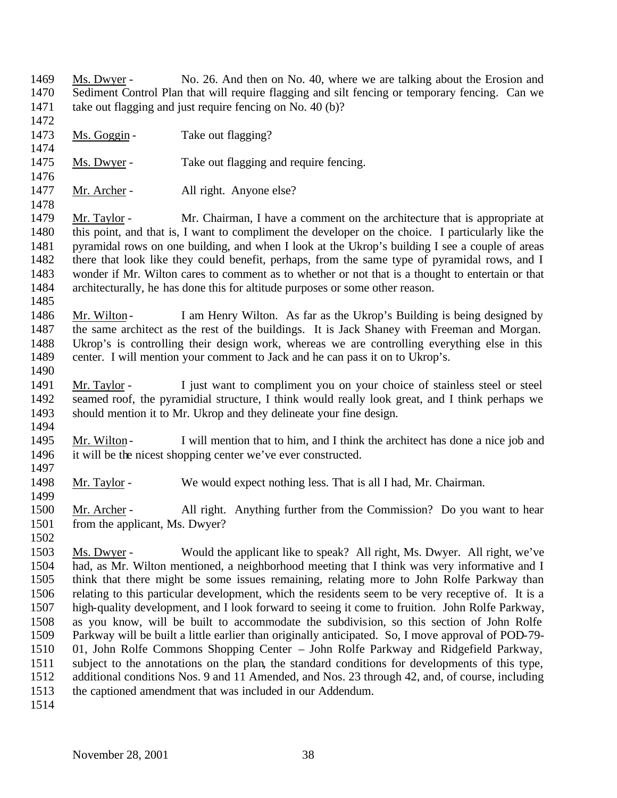Ms. Dwyer - No. 26. And then on No. 40, where we are talking about the Erosion and Sediment Control Plan that will require flagging and silt fencing or temporary fencing. Can we take out flagging and just require fencing on No. 40 (b)?

- 1473 Ms. Goggin Take out flagging?
- 1475 Ms. Dwyer Take out flagging and require fencing.
- 

1477 Mr. Archer - All right. Anyone else?

 Mr. Taylor - Mr. Chairman, I have a comment on the architecture that is appropriate at this point, and that is, I want to compliment the developer on the choice. I particularly like the pyramidal rows on one building, and when I look at the Ukrop's building I see a couple of areas there that look like they could benefit, perhaps, from the same type of pyramidal rows, and I wonder if Mr. Wilton cares to comment as to whether or not that is a thought to entertain or that architecturally, he has done this for altitude purposes or some other reason.

1486 Mr. Wilton - I am Henry Wilton. As far as the Ukrop's Building is being designed by the same architect as the rest of the buildings. It is Jack Shaney with Freeman and Morgan. Ukrop's is controlling their design work, whereas we are controlling everything else in this center. I will mention your comment to Jack and he can pass it on to Ukrop's.

- Mr. Taylor I just want to compliment you on your choice of stainless steel or steel seamed roof, the pyramidial structure, I think would really look great, and I think perhaps we should mention it to Mr. Ukrop and they delineate your fine design.
- 1495 Mr. Wilton I will mention that to him, and I think the architect has done a nice job and it will be the nicest shopping center we've ever constructed.
- Mr. Taylor We would expect nothing less. That is all I had, Mr. Chairman.

 Mr. Archer - All right. Anything further from the Commission? Do you want to hear from the applicant, Ms. Dwyer?

- Ms. Dwyer Would the applicant like to speak? All right, Ms. Dwyer. All right, we've had, as Mr. Wilton mentioned, a neighborhood meeting that I think was very informative and I think that there might be some issues remaining, relating more to John Rolfe Parkway than relating to this particular development, which the residents seem to be very receptive of. It is a high-quality development, and I look forward to seeing it come to fruition. John Rolfe Parkway, as you know, will be built to accommodate the subdivision, so this section of John Rolfe Parkway will be built a little earlier than originally anticipated. So, I move approval of POD-79- 01, John Rolfe Commons Shopping Center – John Rolfe Parkway and Ridgefield Parkway, subject to the annotations on the plan, the standard conditions for developments of this type, additional conditions Nos. 9 and 11 Amended, and Nos. 23 through 42, and, of course, including the captioned amendment that was included in our Addendum.
-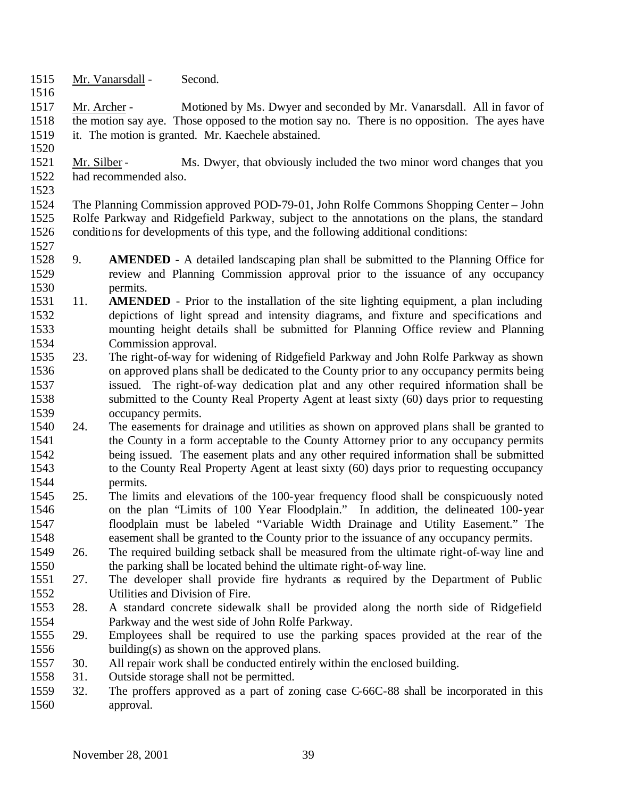- Mr. Vanarsdall Second.
- Mr. Archer Motioned by Ms. Dwyer and seconded by Mr. Vanarsdall. All in favor of the motion say aye. Those opposed to the motion say no. There is no opposition. The ayes have it. The motion is granted. Mr. Kaechele abstained.
- 1521 Mr. Silber Ms. Dwyer, that obviously included the two minor word changes that you had recommended also.
- 

 The Planning Commission approved POD-79-01, John Rolfe Commons Shopping Center – John Rolfe Parkway and Ridgefield Parkway, subject to the annotations on the plans, the standard conditions for developments of this type, and the following additional conditions: 

- 9. **AMENDED** A detailed landscaping plan shall be submitted to the Planning Office for review and Planning Commission approval prior to the issuance of any occupancy permits.
- 11. **AMENDED** Prior to the installation of the site lighting equipment, a plan including depictions of light spread and intensity diagrams, and fixture and specifications and mounting height details shall be submitted for Planning Office review and Planning Commission approval.
- 23. The right-of-way for widening of Ridgefield Parkway and John Rolfe Parkway as shown on approved plans shall be dedicated to the County prior to any occupancy permits being issued. The right-of-way dedication plat and any other required information shall be submitted to the County Real Property Agent at least sixty (60) days prior to requesting occupancy permits.
- 24. The easements for drainage and utilities as shown on approved plans shall be granted to the County in a form acceptable to the County Attorney prior to any occupancy permits being issued. The easement plats and any other required information shall be submitted to the County Real Property Agent at least sixty (60) days prior to requesting occupancy permits.
- 25. The limits and elevations of the 100-year frequency flood shall be conspicuously noted on the plan "Limits of 100 Year Floodplain." In addition, the delineated 100-year floodplain must be labeled "Variable Width Drainage and Utility Easement." The easement shall be granted to the County prior to the issuance of any occupancy permits.
- 26. The required building setback shall be measured from the ultimate right-of-way line and the parking shall be located behind the ultimate right-of-way line.
- 27. The developer shall provide fire hydrants as required by the Department of Public Utilities and Division of Fire.
- 28. A standard concrete sidewalk shall be provided along the north side of Ridgefield Parkway and the west side of John Rolfe Parkway.
- 29. Employees shall be required to use the parking spaces provided at the rear of the building(s) as shown on the approved plans.
- 30. All repair work shall be conducted entirely within the enclosed building.
- 31. Outside storage shall not be permitted.
- 32. The proffers approved as a part of zoning case C-66C-88 shall be incorporated in this approval.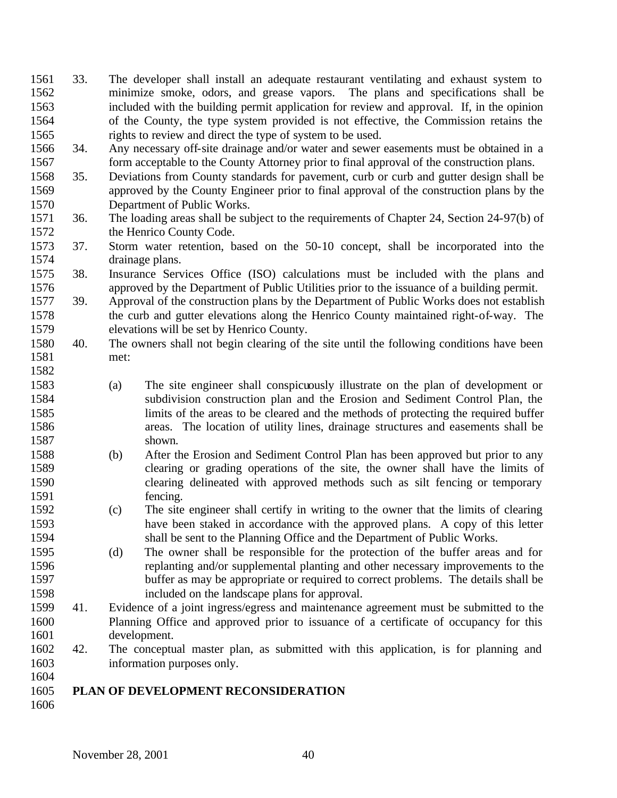- 33. The developer shall install an adequate restaurant ventilating and exhaust system to minimize smoke, odors, and grease vapors. The plans and specifications shall be included with the building permit application for review and approval. If, in the opinion of the County, the type system provided is not effective, the Commission retains the rights to review and direct the type of system to be used.
- 34. Any necessary off-site drainage and/or water and sewer easements must be obtained in a 1567 form acceptable to the County Attorney prior to final approval of the construction plans.
- 35. Deviations from County standards for pavement, curb or curb and gutter design shall be approved by the County Engineer prior to final approval of the construction plans by the Department of Public Works.
- 36. The loading areas shall be subject to the requirements of Chapter 24, Section 24-97(b) of the Henrico County Code.
- 37. Storm water retention, based on the 50-10 concept, shall be incorporated into the drainage plans.
- 38. Insurance Services Office (ISO) calculations must be included with the plans and approved by the Department of Public Utilities prior to the issuance of a building permit.
- 39. Approval of the construction plans by the Department of Public Works does not establish the curb and gutter elevations along the Henrico County maintained right-of-way. The elevations will be set by Henrico County.
- 40. The owners shall not begin clearing of the site until the following conditions have been met:
- (a) The site engineer shall conspicuously illustrate on the plan of development or subdivision construction plan and the Erosion and Sediment Control Plan, the limits of the areas to be cleared and the methods of protecting the required buffer areas. The location of utility lines, drainage structures and easements shall be shown.
- (b) After the Erosion and Sediment Control Plan has been approved but prior to any clearing or grading operations of the site, the owner shall have the limits of clearing delineated with approved methods such as silt fencing or temporary fencing.
- (c) The site engineer shall certify in writing to the owner that the limits of clearing have been staked in accordance with the approved plans. A copy of this letter shall be sent to the Planning Office and the Department of Public Works.
- (d) The owner shall be responsible for the protection of the buffer areas and for replanting and/or supplemental planting and other necessary improvements to the buffer as may be appropriate or required to correct problems. The details shall be included on the landscape plans for approval.
- 41. Evidence of a joint ingress/egress and maintenance agreement must be submitted to the Planning Office and approved prior to issuance of a certificate of occupancy for this 1601 development.<br>1602 42. The conceptu
- 42. The conceptual master plan, as submitted with this application, is for planning and information purposes only.

### **PLAN OF DEVELOPMENT RECONSIDERATION**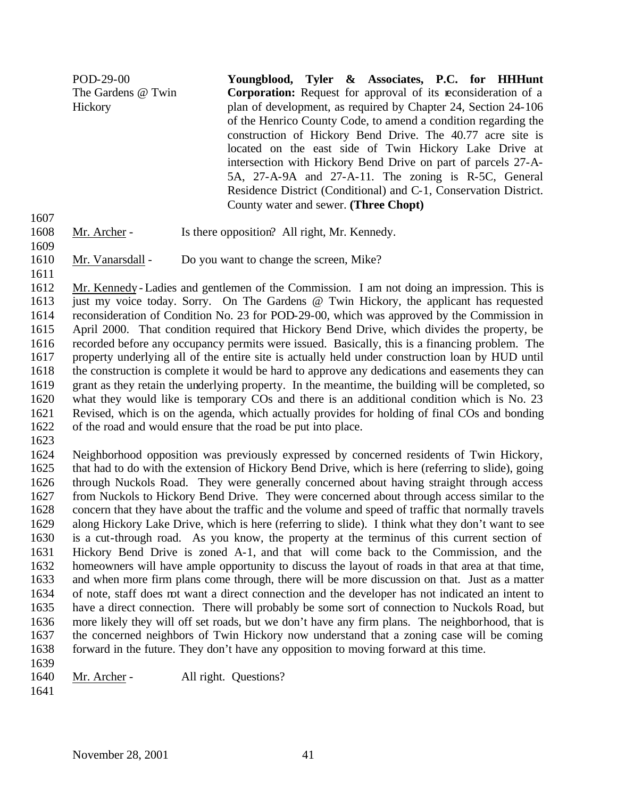POD-29-00 The Gardens @ Twin **Hickory Youngblood, Tyler & Associates, P.C. for HHHunt Corporation:** Request for approval of its reconsideration of a plan of development, as required by Chapter 24, Section 24-106 of the Henrico County Code, to amend a condition regarding the construction of Hickory Bend Drive. The 40.77 acre site is located on the east side of Twin Hickory Lake Drive at intersection with Hickory Bend Drive on part of parcels 27-A-5A, 27-A-9A and 27-A-11. The zoning is R-5C, General Residence District (Conditional) and C-1, Conservation District. County water and sewer. **(Three Chopt)**

- 1608 Mr. Archer Is there opposition? All right, Mr. Kennedy.
- 1610 Mr. Vanarsdall Do you want to change the screen, Mike?
- 

 Mr. Kennedy - Ladies and gentlemen of the Commission. I am not doing an impression. This is just my voice today. Sorry. On The Gardens @ Twin Hickory, the applicant has requested reconsideration of Condition No. 23 for POD-29-00, which was approved by the Commission in April 2000. That condition required that Hickory Bend Drive, which divides the property, be recorded before any occupancy permits were issued. Basically, this is a financing problem. The property underlying all of the entire site is actually held under construction loan by HUD until the construction is complete it would be hard to approve any dedications and easements they can grant as they retain the underlying property. In the meantime, the building will be completed, so what they would like is temporary COs and there is an additional condition which is No. 23 Revised, which is on the agenda, which actually provides for holding of final COs and bonding of the road and would ensure that the road be put into place.

 Neighborhood opposition was previously expressed by concerned residents of Twin Hickory, that had to do with the extension of Hickory Bend Drive, which is here (referring to slide), going through Nuckols Road. They were generally concerned about having straight through access from Nuckols to Hickory Bend Drive. They were concerned about through access similar to the concern that they have about the traffic and the volume and speed of traffic that normally travels along Hickory Lake Drive, which is here (referring to slide). I think what they don't want to see is a cut-through road. As you know, the property at the terminus of this current section of Hickory Bend Drive is zoned A-1, and that will come back to the Commission, and the homeowners will have ample opportunity to discuss the layout of roads in that area at that time, and when more firm plans come through, there will be more discussion on that. Just as a matter of note, staff does not want a direct connection and the developer has not indicated an intent to have a direct connection. There will probably be some sort of connection to Nuckols Road, but more likely they will off set roads, but we don't have any firm plans. The neighborhood, that is the concerned neighbors of Twin Hickory now understand that a zoning case will be coming forward in the future. They don't have any opposition to moving forward at this time. 

- 1640 Mr. Archer All right. Questions?
-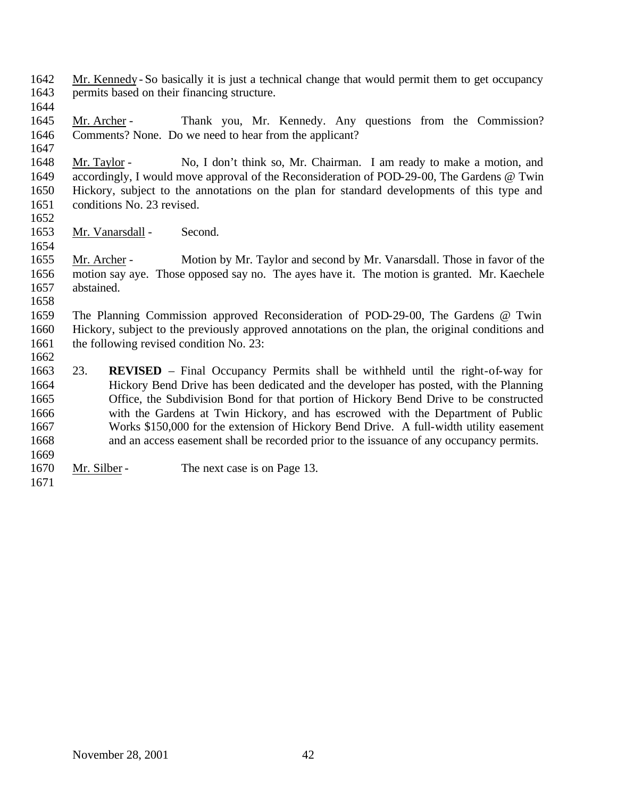- Mr. Kennedy So basically it is just a technical change that would permit them to get occupancy permits based on their financing structure.
- 

- 1645 Mr. Archer Thank you, Mr. Kennedy. Any questions from the Commission? Comments? None. Do we need to hear from the applicant?
- Mr. Taylor No, I don't think so, Mr. Chairman. I am ready to make a motion, and accordingly, I would move approval of the Reconsideration of POD-29-00, The Gardens @ Twin Hickory, subject to the annotations on the plan for standard developments of this type and conditions No. 23 revised.
- 

Mr. Vanarsdall - Second.

 Mr. Archer - Motion by Mr. Taylor and second by Mr. Vanarsdall. Those in favor of the motion say aye. Those opposed say no. The ayes have it. The motion is granted. Mr. Kaechele abstained.

 The Planning Commission approved Reconsideration of POD-29-00, The Gardens @ Twin Hickory, subject to the previously approved annotations on the plan, the original conditions and 1661 the following revised condition No. 23:

- 23. **REVISED** Final Occupancy Permits shall be withheld until the right-of-way for Hickory Bend Drive has been dedicated and the developer has posted, with the Planning Office, the Subdivision Bond for that portion of Hickory Bend Drive to be constructed with the Gardens at Twin Hickory, and has escrowed with the Department of Public Works \$150,000 for the extension of Hickory Bend Drive. A full-width utility easement and an access easement shall be recorded prior to the issuance of any occupancy permits.
- 1670 Mr. Silber The next case is on Page 13.
-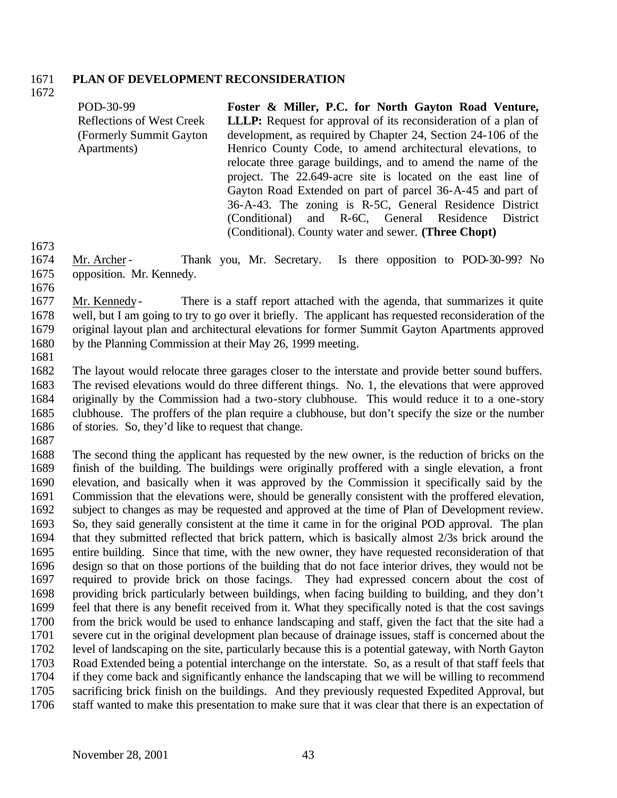#### **PLAN OF DEVELOPMENT RECONSIDERATION**

POD-30-99 Reflections of West Creek (Formerly Summit Gayton Apartments) **Foster & Miller, P.C. for North Gayton Road Venture, LLLP:** Request for approval of its reconsideration of a plan of development, as required by Chapter 24, Section 24-106 of the Henrico County Code, to amend architectural elevations, to relocate three garage buildings, and to amend the name of the project. The 22.649-acre site is located on the east line of Gayton Road Extended on part of parcel 36-A-45 and part of 36-A-43. The zoning is R-5C, General Residence District (Conditional) and R-6C, General Residence District

(Conditional). County water and sewer. **(Three Chopt)**

 Mr. Archer - Thank you, Mr. Secretary. Is there opposition to POD-30-99? No opposition. Mr. Kennedy.

1677 Mr. Kennedy- There is a staff report attached with the agenda, that summarizes it quite well, but I am going to try to go over it briefly. The applicant has requested reconsideration of the original layout plan and architectural elevations for former Summit Gayton Apartments approved by the Planning Commission at their May 26, 1999 meeting.

 The layout would relocate three garages closer to the interstate and provide better sound buffers. The revised elevations would do three different things. No. 1, the elevations that were approved originally by the Commission had a two-story clubhouse. This would reduce it to a one-story clubhouse. The proffers of the plan require a clubhouse, but don't specify the size or the number of stories. So, they'd like to request that change.

 The second thing the applicant has requested by the new owner, is the reduction of bricks on the finish of the building. The buildings were originally proffered with a single elevation, a front elevation, and basically when it was approved by the Commission it specifically said by the Commission that the elevations were, should be generally consistent with the proffered elevation, subject to changes as may be requested and approved at the time of Plan of Development review. So, they said generally consistent at the time it came in for the original POD approval. The plan that they submitted reflected that brick pattern, which is basically almost 2/3s brick around the entire building. Since that time, with the new owner, they have requested reconsideration of that design so that on those portions of the building that do not face interior drives, they would not be required to provide brick on those facings. They had expressed concern about the cost of providing brick particularly between buildings, when facing building to building, and they don't feel that there is any benefit received from it. What they specifically noted is that the cost savings from the brick would be used to enhance landscaping and staff, given the fact that the site had a severe cut in the original development plan because of drainage issues, staff is concerned about the level of landscaping on the site, particularly because this is a potential gateway, with North Gayton Road Extended being a potential interchange on the interstate. So, as a result of that staff feels that if they come back and significantly enhance the landscaping that we will be willing to recommend sacrificing brick finish on the buildings. And they previously requested Expedited Approval, but staff wanted to make this presentation to make sure that it was clear that there is an expectation of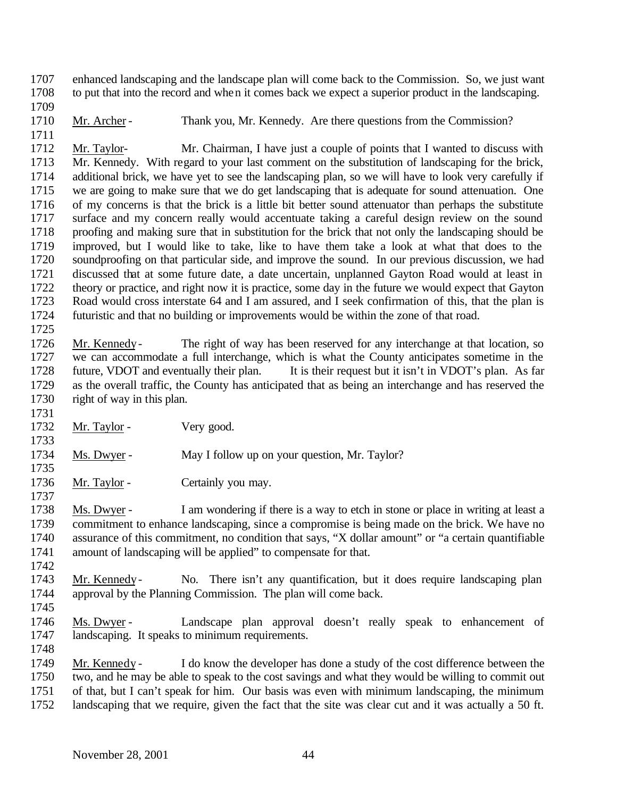enhanced landscaping and the landscape plan will come back to the Commission. So, we just want to put that into the record and when it comes back we expect a superior product in the landscaping.

1710 Mr. Archer - Thank you, Mr. Kennedy. Are there questions from the Commission?

 Mr. Taylor- Mr. Chairman, I have just a couple of points that I wanted to discuss with Mr. Kennedy. With regard to your last comment on the substitution of landscaping for the brick, additional brick, we have yet to see the landscaping plan, so we will have to look very carefully if we are going to make sure that we do get landscaping that is adequate for sound attenuation. One of my concerns is that the brick is a little bit better sound attenuator than perhaps the substitute surface and my concern really would accentuate taking a careful design review on the sound proofing and making sure that in substitution for the brick that not only the landscaping should be improved, but I would like to take, like to have them take a look at what that does to the soundproofing on that particular side, and improve the sound. In our previous discussion, we had discussed that at some future date, a date uncertain, unplanned Gayton Road would at least in theory or practice, and right now it is practice, some day in the future we would expect that Gayton Road would cross interstate 64 and I am assured, and I seek confirmation of this, that the plan is futuristic and that no building or improvements would be within the zone of that road. 

 Mr. Kennedy- The right of way has been reserved for any interchange at that location, so we can accommodate a full interchange, which is what the County anticipates sometime in the future, VDOT and eventually their plan. It is their request but it isn't in VDOT's plan. As far as the overall traffic, the County has anticipated that as being an interchange and has reserved the right of way in this plan.

1732 Mr. Taylor - Very good.

 Ms. Dwyer - May I follow up on your question, Mr. Taylor? 

1736 Mr. Taylor - Certainly you may.

 Ms. Dwyer - I am wondering if there is a way to etch in stone or place in writing at least a commitment to enhance landscaping, since a compromise is being made on the brick. We have no assurance of this commitment, no condition that says, "X dollar amount" or "a certain quantifiable amount of landscaping will be applied" to compensate for that. 

- Mr. Kennedy- No. There isn't any quantification, but it does require landscaping plan approval by the Planning Commission. The plan will come back.
- 

- Ms. Dwyer Landscape plan approval doesn't really speak to enhancement of landscaping. It speaks to minimum requirements.
- Mr. Kennedy I do know the developer has done a study of the cost difference between the two, and he may be able to speak to the cost savings and what they would be willing to commit out of that, but I can't speak for him. Our basis was even with minimum landscaping, the minimum
- landscaping that we require, given the fact that the site was clear cut and it was actually a 50 ft.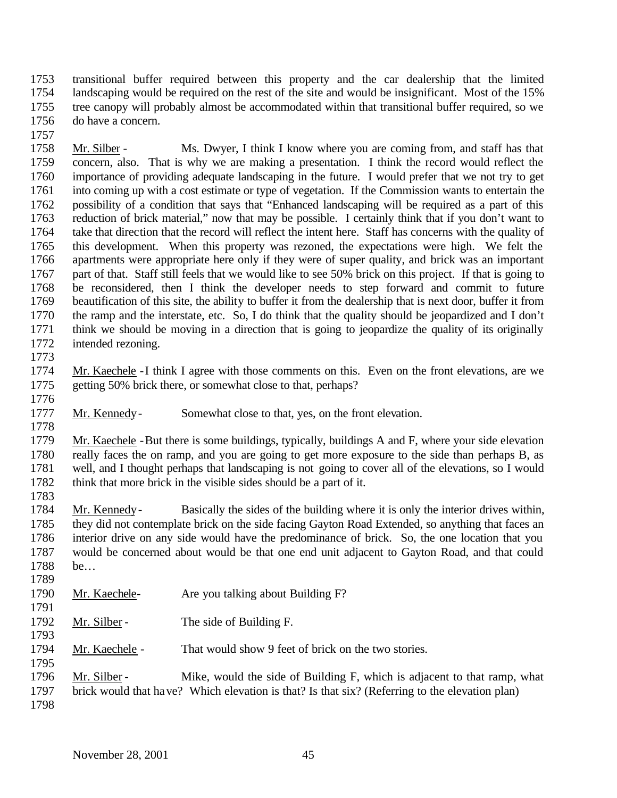transitional buffer required between this property and the car dealership that the limited landscaping would be required on the rest of the site and would be insignificant. Most of the 15% tree canopy will probably almost be accommodated within that transitional buffer required, so we do have a concern.

 Mr. Silber - Ms. Dwyer, I think I know where you are coming from, and staff has that concern, also. That is why we are making a presentation. I think the record would reflect the importance of providing adequate landscaping in the future. I would prefer that we not try to get into coming up with a cost estimate or type of vegetation. If the Commission wants to entertain the possibility of a condition that says that "Enhanced landscaping will be required as a part of this reduction of brick material," now that may be possible. I certainly think that if you don't want to take that direction that the record will reflect the intent here. Staff has concerns with the quality of this development. When this property was rezoned, the expectations were high. We felt the apartments were appropriate here only if they were of super quality, and brick was an important part of that. Staff still feels that we would like to see 50% brick on this project. If that is going to be reconsidered, then I think the developer needs to step forward and commit to future beautification of this site, the ability to buffer it from the dealership that is next door, buffer it from the ramp and the interstate, etc. So, I do think that the quality should be jeopardized and I don't think we should be moving in a direction that is going to jeopardize the quality of its originally intended rezoning. 

 Mr. Kaechele -I think I agree with those comments on this. Even on the front elevations, are we getting 50% brick there, or somewhat close to that, perhaps?

Mr. Kennedy- Somewhat close to that, yes, on the front elevation.

 Mr. Kaechele -But there is some buildings, typically, buildings A and F, where your side elevation really faces the on ramp, and you are going to get more exposure to the side than perhaps B, as well, and I thought perhaps that landscaping is not going to cover all of the elevations, so I would

think that more brick in the visible sides should be a part of it.

 Mr. Kennedy- Basically the sides of the building where it is only the interior drives within, they did not contemplate brick on the side facing Gayton Road Extended, so anything that faces an interior drive on any side would have the predominance of brick. So, the one location that you would be concerned about would be that one end unit adjacent to Gayton Road, and that could be… 

- Mr. Kaechele- Are you talking about Building F?
- 1792 Mr. Silber The side of Building F.

1793<br>1794 Mr. Kaechele - That would show 9 feet of brick on the two stories.

 1796 Mr. Silber - Mike, would the side of Building F, which is adjacent to that ramp, what brick would that have? Which elevation is that? Is that six? (Referring to the elevation plan)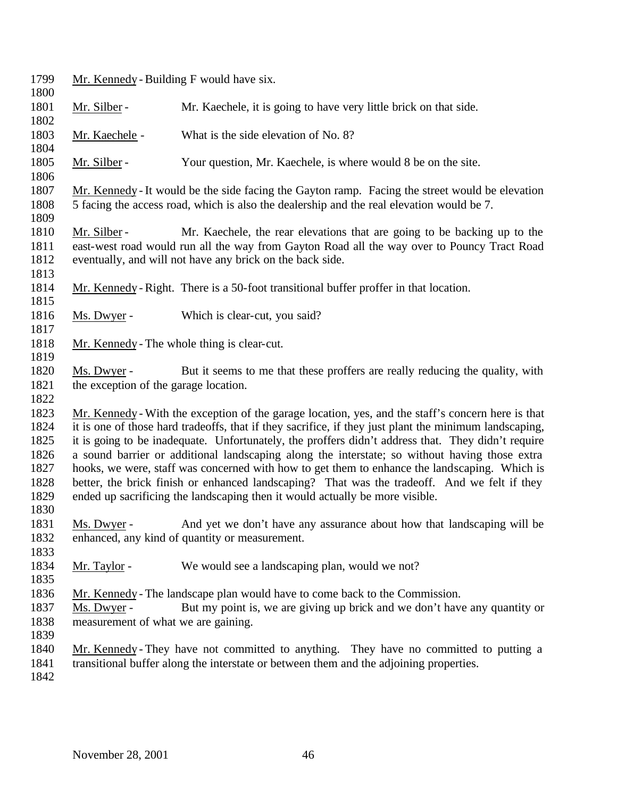| 1799<br>1800                                                 | Mr. Kennedy - Building F would have six.                                                        |                                                                                                                                                                                                                                                                                                                                                                                                                                                                                                                                                                                                                                                                                                      |  |
|--------------------------------------------------------------|-------------------------------------------------------------------------------------------------|------------------------------------------------------------------------------------------------------------------------------------------------------------------------------------------------------------------------------------------------------------------------------------------------------------------------------------------------------------------------------------------------------------------------------------------------------------------------------------------------------------------------------------------------------------------------------------------------------------------------------------------------------------------------------------------------------|--|
| 1801                                                         | Mr. Silber -                                                                                    | Mr. Kaechele, it is going to have very little brick on that side.                                                                                                                                                                                                                                                                                                                                                                                                                                                                                                                                                                                                                                    |  |
| 1802                                                         |                                                                                                 |                                                                                                                                                                                                                                                                                                                                                                                                                                                                                                                                                                                                                                                                                                      |  |
| 1803<br>1804                                                 | Mr. Kaechele -                                                                                  | What is the side elevation of No. 8?                                                                                                                                                                                                                                                                                                                                                                                                                                                                                                                                                                                                                                                                 |  |
| 1805<br>1806                                                 | Mr. Silber -                                                                                    | Your question, Mr. Kaechele, is where would 8 be on the site.                                                                                                                                                                                                                                                                                                                                                                                                                                                                                                                                                                                                                                        |  |
| 1807                                                         | Mr. Kennedy - It would be the side facing the Gayton ramp. Facing the street would be elevation |                                                                                                                                                                                                                                                                                                                                                                                                                                                                                                                                                                                                                                                                                                      |  |
| 1808<br>1809                                                 |                                                                                                 | 5 facing the access road, which is also the dealership and the real elevation would be 7.                                                                                                                                                                                                                                                                                                                                                                                                                                                                                                                                                                                                            |  |
| 1810<br>1811<br>1812                                         | Mr. Silber -                                                                                    | Mr. Kaechele, the rear elevations that are going to be backing up to the<br>east-west road would run all the way from Gayton Road all the way over to Pouncy Tract Road<br>eventually, and will not have any brick on the back side.                                                                                                                                                                                                                                                                                                                                                                                                                                                                 |  |
| 1813<br>1814                                                 |                                                                                                 | Mr. Kennedy - Right. There is a 50-foot transitional buffer proffer in that location.                                                                                                                                                                                                                                                                                                                                                                                                                                                                                                                                                                                                                |  |
| 1815<br>1816<br>1817                                         | Ms. Dwyer -                                                                                     | Which is clear-cut, you said?                                                                                                                                                                                                                                                                                                                                                                                                                                                                                                                                                                                                                                                                        |  |
| 1818<br>1819                                                 |                                                                                                 | Mr. Kennedy - The whole thing is clear-cut.                                                                                                                                                                                                                                                                                                                                                                                                                                                                                                                                                                                                                                                          |  |
| 1820<br>1821                                                 | Ms. Dwyer -<br>the exception of the garage location.                                            | But it seems to me that these proffers are really reducing the quality, with                                                                                                                                                                                                                                                                                                                                                                                                                                                                                                                                                                                                                         |  |
| 1822                                                         |                                                                                                 |                                                                                                                                                                                                                                                                                                                                                                                                                                                                                                                                                                                                                                                                                                      |  |
| 1823<br>1824<br>1825<br>1826<br>1827<br>1828<br>1829<br>1830 |                                                                                                 | Mr. Kennedy - With the exception of the garage location, yes, and the staff's concern here is that<br>it is one of those hard tradeoffs, that if they sacrifice, if they just plant the minimum landscaping,<br>it is going to be inadequate. Unfortunately, the proffers didn't address that. They didn't require<br>a sound barrier or additional landscaping along the interstate; so without having those extra<br>hooks, we were, staff was concerned with how to get them to enhance the landscaping. Which is<br>better, the brick finish or enhanced landscaping? That was the tradeoff. And we felt if they<br>ended up sacrificing the landscaping then it would actually be more visible. |  |
| 1831<br>1832<br>1833                                         |                                                                                                 | Ms. Dwyer - And yet we don't have any assurance about how that landscaping will be<br>enhanced, any kind of quantity or measurement.                                                                                                                                                                                                                                                                                                                                                                                                                                                                                                                                                                 |  |
| 1834<br>1835                                                 | Mr. Taylor -                                                                                    | We would see a landscaping plan, would we not?                                                                                                                                                                                                                                                                                                                                                                                                                                                                                                                                                                                                                                                       |  |
| 1836<br>1837<br>1838<br>1839                                 | Ms. Dwyer -<br>measurement of what we are gaining.                                              | Mr. Kennedy - The landscape plan would have to come back to the Commission.<br>But my point is, we are giving up brick and we don't have any quantity or                                                                                                                                                                                                                                                                                                                                                                                                                                                                                                                                             |  |
| 1840<br>1841<br>1842                                         |                                                                                                 | Mr. Kennedy - They have not committed to anything. They have no committed to putting a<br>transitional buffer along the interstate or between them and the adjoining properties.                                                                                                                                                                                                                                                                                                                                                                                                                                                                                                                     |  |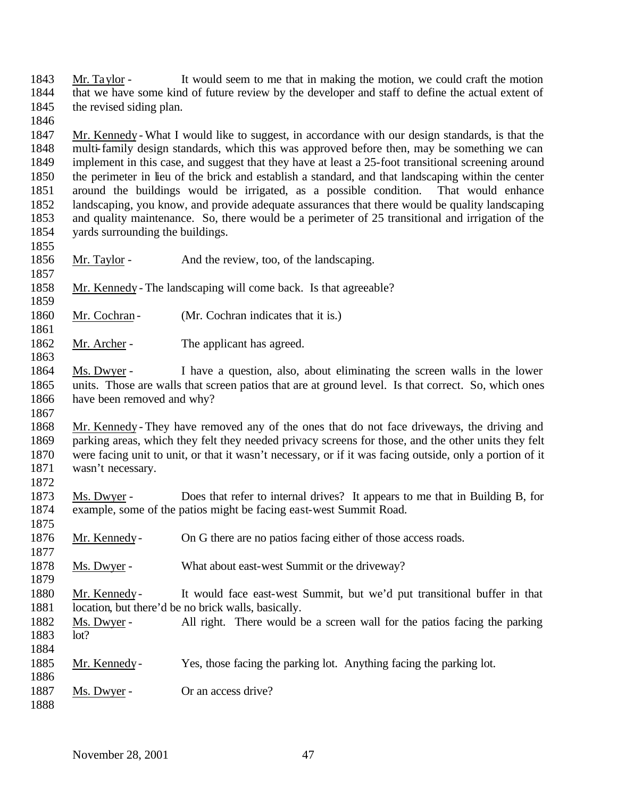Mr. Taylor - It would seem to me that in making the motion, we could craft the motion that we have some kind of future review by the developer and staff to define the actual extent of 1845 the revised siding plan.

 Mr. Kennedy - What I would like to suggest, in accordance with our design standards, is that the multi-family design standards, which this was approved before then, may be something we can implement in this case, and suggest that they have at least a 25-foot transitional screening around the perimeter in lieu of the brick and establish a standard, and that landscaping within the center around the buildings would be irrigated, as a possible condition. That would enhance landscaping, you know, and provide adequate assurances that there would be quality landscaping and quality maintenance. So, there would be a perimeter of 25 transitional and irrigation of the yards surrounding the buildings.

- Mr. Taylor And the review, too, of the landscaping.
- Mr. Kennedy The landscaping will come back. Is that agreeable?
- 1860 Mr. Cochran (Mr. Cochran indicates that it is.)
- 1862 Mr. Archer The applicant has agreed.

 Ms. Dwyer - I have a question, also, about eliminating the screen walls in the lower units. Those are walls that screen patios that are at ground level. Is that correct. So, which ones have been removed and why?

 Mr. Kennedy - They have removed any of the ones that do not face driveways, the driving and parking areas, which they felt they needed privacy screens for those, and the other units they felt were facing unit to unit, or that it wasn't necessary, or if it was facing outside, only a portion of it wasn't necessary.

- Ms. Dwyer Does that refer to internal drives? It appears to me that in Building B, for example, some of the patios might be facing east-west Summit Road.
- Mr. Kennedy- On G there are no patios facing either of those access roads.
- 1878 Ms. Dwyer What about east-west Summit or the driveway?
- Mr. Kennedy- It would face east-west Summit, but we'd put transitional buffer in that 1881 location, but there'd be no brick walls, basically.
- Ms. Dwyer All right. There would be a screen wall for the patios facing the parking lot?
- Mr. Kennedy- Yes, those facing the parking lot. Anything facing the parking lot.
- 1887 Ms. Dwyer Or an access drive?
-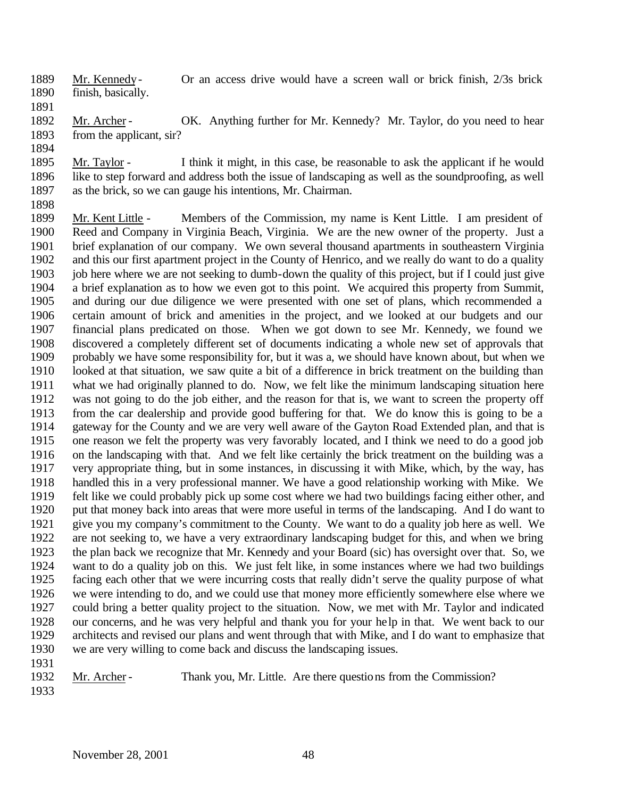- Mr. Kennedy- Or an access drive would have a screen wall or brick finish, 2/3s brick finish, basically.
- 

1892 Mr. Archer - OK. Anything further for Mr. Kennedy? Mr. Taylor, do you need to hear from the applicant, sir?

 Mr. Taylor - I think it might, in this case, be reasonable to ask the applicant if he would like to step forward and address both the issue of landscaping as well as the soundproofing, as well as the brick, so we can gauge his intentions, Mr. Chairman.

 Mr. Kent Little - Members of the Commission, my name is Kent Little. I am president of Reed and Company in Virginia Beach, Virginia. We are the new owner of the property. Just a brief explanation of our company. We own several thousand apartments in southeastern Virginia and this our first apartment project in the County of Henrico, and we really do want to do a quality 1903 job here where we are not seeking to dumb-down the quality of this project, but if I could just give a brief explanation as to how we even got to this point. We acquired this property from Summit, and during our due diligence we were presented with one set of plans, which recommended a certain amount of brick and amenities in the project, and we looked at our budgets and our financial plans predicated on those. When we got down to see Mr. Kennedy, we found we discovered a completely different set of documents indicating a whole new set of approvals that probably we have some responsibility for, but it was a, we should have known about, but when we looked at that situation, we saw quite a bit of a difference in brick treatment on the building than what we had originally planned to do. Now, we felt like the minimum landscaping situation here was not going to do the job either, and the reason for that is, we want to screen the property off from the car dealership and provide good buffering for that. We do know this is going to be a gateway for the County and we are very well aware of the Gayton Road Extended plan, and that is one reason we felt the property was very favorably located, and I think we need to do a good job on the landscaping with that. And we felt like certainly the brick treatment on the building was a very appropriate thing, but in some instances, in discussing it with Mike, which, by the way, has handled this in a very professional manner. We have a good relationship working with Mike. We felt like we could probably pick up some cost where we had two buildings facing either other, and put that money back into areas that were more useful in terms of the landscaping. And I do want to give you my company's commitment to the County. We want to do a quality job here as well. We are not seeking to, we have a very extraordinary landscaping budget for this, and when we bring the plan back we recognize that Mr. Kennedy and your Board (sic) has oversight over that. So, we want to do a quality job on this. We just felt like, in some instances where we had two buildings facing each other that we were incurring costs that really didn't serve the quality purpose of what we were intending to do, and we could use that money more efficiently somewhere else where we could bring a better quality project to the situation. Now, we met with Mr. Taylor and indicated our concerns, and he was very helpful and thank you for your help in that. We went back to our architects and revised our plans and went through that with Mike, and I do want to emphasize that we are very willing to come back and discuss the landscaping issues. 

Mr. Archer - Thank you, Mr. Little. Are there questions from the Commission?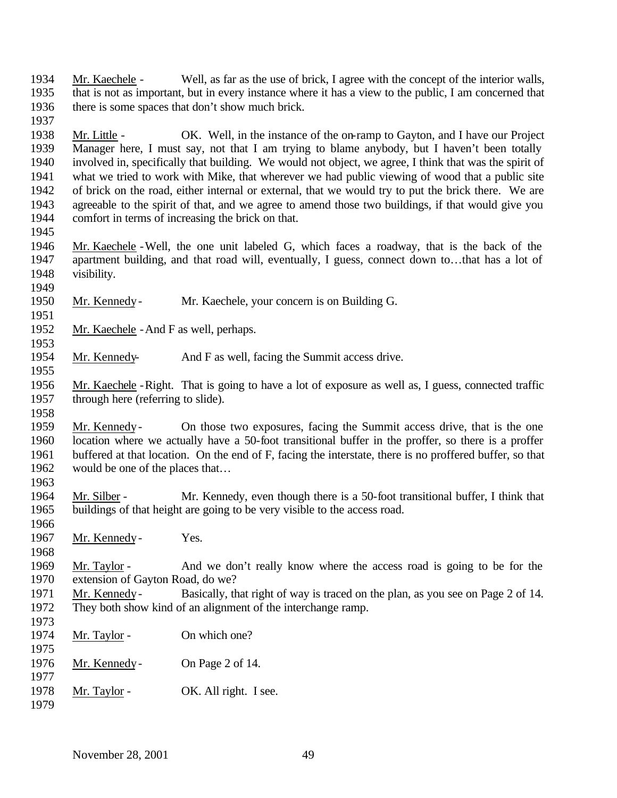Mr. Kaechele - Well, as far as the use of brick, I agree with the concept of the interior walls, that is not as important, but in every instance where it has a view to the public, I am concerned that there is some spaces that don't show much brick.

 Mr. Little - OK. Well, in the instance of the on-ramp to Gayton, and I have our Project Manager here, I must say, not that I am trying to blame anybody, but I haven't been totally involved in, specifically that building. We would not object, we agree, I think that was the spirit of what we tried to work with Mike, that wherever we had public viewing of wood that a public site of brick on the road, either internal or external, that we would try to put the brick there. We are agreeable to the spirit of that, and we agree to amend those two buildings, if that would give you comfort in terms of increasing the brick on that.

 Mr. Kaechele -Well, the one unit labeled G, which faces a roadway, that is the back of the apartment building, and that road will, eventually, I guess, connect down to…that has a lot of visibility. 

Mr. Kennedy- Mr. Kaechele, your concern is on Building G.

Mr. Kaechele -And F as well, perhaps.

Mr. Kennedy- And F as well, facing the Summit access drive.

 Mr. Kaechele -Right. That is going to have a lot of exposure as well as, I guess, connected traffic through here (referring to slide).

 Mr. Kennedy- On those two exposures, facing the Summit access drive, that is the one location where we actually have a 50-foot transitional buffer in the proffer, so there is a proffer buffered at that location. On the end of F, facing the interstate, there is no proffered buffer, so that would be one of the places that…

 Mr. Silber - Mr. Kennedy, even though there is a 50-foot transitional buffer, I think that buildings of that height are going to be very visible to the access road.

Mr. Kennedy- Yes.

 Mr. Taylor - And we don't really know where the access road is going to be for the extension of Gayton Road, do we?

- Mr. Kennedy- Basically, that right of way is traced on the plan, as you see on Page 2 of 14. They both show kind of an alignment of the interchange ramp.
- 1974 Mr. Taylor - On which one?
- Mr. Kennedy- On Page 2 of 14.
- 1978 Mr. Taylor OK. All right. I see.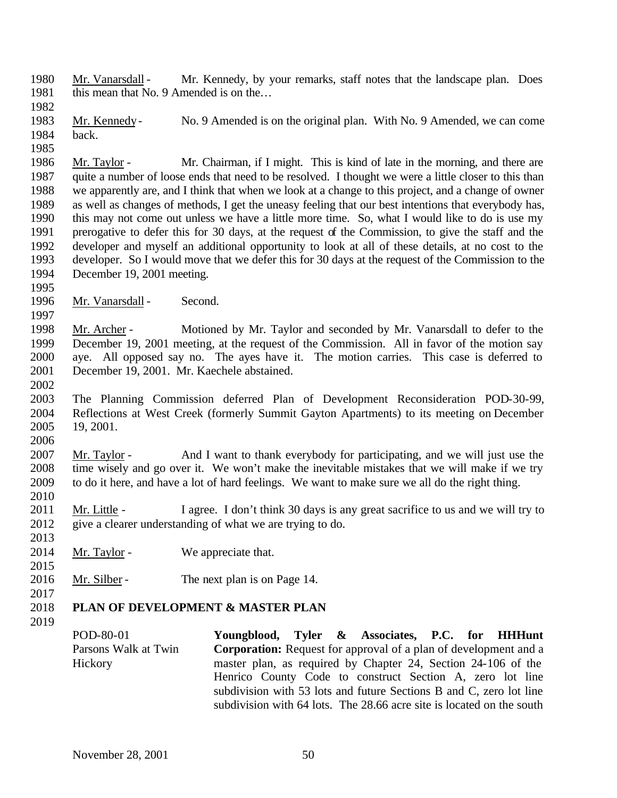Mr. Vanarsdall - Mr. Kennedy, by your remarks, staff notes that the landscape plan. Does 1981 this mean that No. 9 Amended is on the...

 Mr. Kennedy- No. 9 Amended is on the original plan. With No. 9 Amended, we can come back. 

- Mr. Taylor Mr. Chairman, if I might. This is kind of late in the morning, and there are quite a number of loose ends that need to be resolved. I thought we were a little closer to this than we apparently are, and I think that when we look at a change to this project, and a change of owner as well as changes of methods, I get the uneasy feeling that our best intentions that everybody has, this may not come out unless we have a little more time. So, what I would like to do is use my prerogative to defer this for 30 days, at the request of the Commission, to give the staff and the developer and myself an additional opportunity to look at all of these details, at no cost to the developer. So I would move that we defer this for 30 days at the request of the Commission to the December 19, 2001 meeting.
- 1996 Mr. Vanarsdall Second.
- Mr. Archer - Motioned by Mr. Taylor and seconded by Mr. Vanarsdall to defer to the December 19, 2001 meeting, at the request of the Commission. All in favor of the motion say aye. All opposed say no. The ayes have it. The motion carries. This case is deferred to December 19, 2001. Mr. Kaechele abstained.
- 

 The Planning Commission deferred Plan of Development Reconsideration POD-30-99, Reflections at West Creek (formerly Summit Gayton Apartments) to its meeting on December 19, 2001. 

 Mr. Taylor - And I want to thank everybody for participating, and we will just use the time wisely and go over it. We won't make the inevitable mistakes that we will make if we try to do it here, and have a lot of hard feelings. We want to make sure we all do the right thing. 

 Mr. Little - I agree. I don't think 30 days is any great sacrifice to us and we will try to 2012 give a clearer understanding of what we are trying to do.

- 2014 Mr. Taylor We appreciate that.
- 2016 Mr. Silber The next plan is on Page 14.
- 

### **PLAN OF DEVELOPMENT & MASTER PLAN**

POD-80-01 Parsons Walk at Twin Hickory **Youngblood, Tyler & Associates, P.C. for HHHunt Corporation:** Request for approval of a plan of development and a master plan, as required by Chapter 24, Section 24-106 of the Henrico County Code to construct Section A, zero lot line subdivision with 53 lots and future Sections B and C, zero lot line subdivision with 64 lots. The 28.66 acre site is located on the south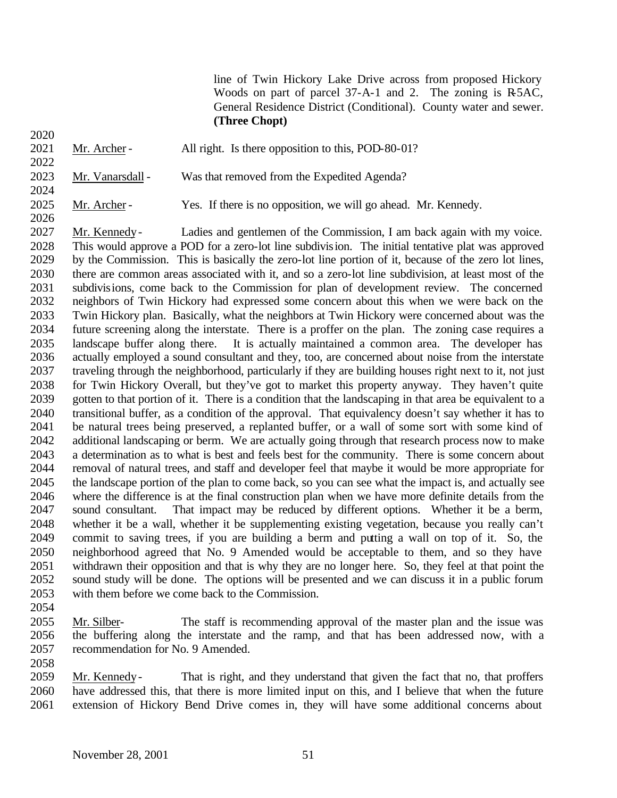line of Twin Hickory Lake Drive across from proposed Hickory Woods on part of parcel 37-A-1 and 2. The zoning is R5AC, General Residence District (Conditional). County water and sewer. **(Three Chopt)**

- 2021 Mr. Archer - All right. Is there opposition to this, POD-80-01?
- 2023 Mr. Vanarsdall Was that removed from the Expedited Agenda?
- 2025 Mr. Archer Yes. If there is no opposition, we will go ahead. Mr. Kennedy.

 Mr. Kennedy- Ladies and gentlemen of the Commission, I am back again with my voice. This would approve a POD for a zero-lot line subdivision. The initial tentative plat was approved by the Commission. This is basically the zero-lot line portion of it, because of the zero lot lines, there are common areas associated with it, and so a zero-lot line subdivision, at least most of the subdivisions, come back to the Commission for plan of development review. The concerned neighbors of Twin Hickory had expressed some concern about this when we were back on the Twin Hickory plan. Basically, what the neighbors at Twin Hickory were concerned about was the future screening along the interstate. There is a proffer on the plan. The zoning case requires a landscape buffer along there. It is actually maintained a common area. The developer has actually employed a sound consultant and they, too, are concerned about noise from the interstate traveling through the neighborhood, particularly if they are building houses right next to it, not just for Twin Hickory Overall, but they've got to market this property anyway. They haven't quite gotten to that portion of it. There is a condition that the landscaping in that area be equivalent to a transitional buffer, as a condition of the approval. That equivalency doesn't say whether it has to be natural trees being preserved, a replanted buffer, or a wall of some sort with some kind of additional landscaping or berm. We are actually going through that research process now to make a determination as to what is best and feels best for the community. There is some concern about removal of natural trees, and staff and developer feel that maybe it would be more appropriate for the landscape portion of the plan to come back, so you can see what the impact is, and actually see where the difference is at the final construction plan when we have more definite details from the sound consultant. That impact may be reduced by different options. Whether it be a berm, whether it be a wall, whether it be supplementing existing vegetation, because you really can't commit to saving trees, if you are building a berm and putting a wall on top of it. So, the neighborhood agreed that No. 9 Amended would be acceptable to them, and so they have withdrawn their opposition and that is why they are no longer here. So, they feel at that point the sound study will be done. The options will be presented and we can discuss it in a public forum with them before we come back to the Commission.

- Mr. Silber- The staff is recommending approval of the master plan and the issue was the buffering along the interstate and the ramp, and that has been addressed now, with a recommendation for No. 9 Amended.
- Mr. Kennedy- That is right, and they understand that given the fact that no, that proffers have addressed this, that there is more limited input on this, and I believe that when the future extension of Hickory Bend Drive comes in, they will have some additional concerns about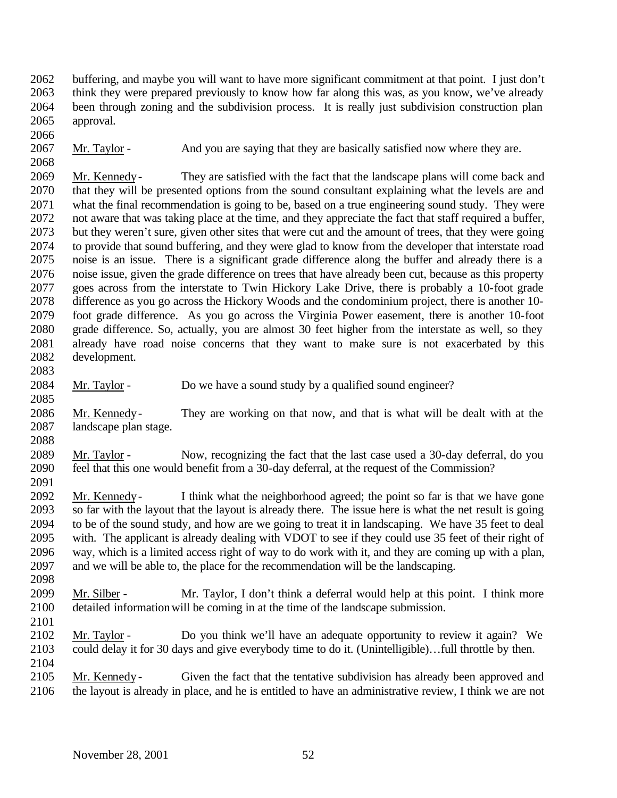buffering, and maybe you will want to have more significant commitment at that point. I just don't think they were prepared previously to know how far along this was, as you know, we've already been through zoning and the subdivision process. It is really just subdivision construction plan approval.

2067 Mr. Taylor - And you are saying that they are basically satisfied now where they are.

 Mr. Kennedy- They are satisfied with the fact that the landscape plans will come back and that they will be presented options from the sound consultant explaining what the levels are and what the final recommendation is going to be, based on a true engineering sound study. They were not aware that was taking place at the time, and they appreciate the fact that staff required a buffer, but they weren't sure, given other sites that were cut and the amount of trees, that they were going to provide that sound buffering, and they were glad to know from the developer that interstate road noise is an issue. There is a significant grade difference along the buffer and already there is a noise issue, given the grade difference on trees that have already been cut, because as this property goes across from the interstate to Twin Hickory Lake Drive, there is probably a 10-foot grade difference as you go across the Hickory Woods and the condominium project, there is another 10- foot grade difference. As you go across the Virginia Power easement, there is another 10-foot grade difference. So, actually, you are almost 30 feet higher from the interstate as well, so they already have road noise concerns that they want to make sure is not exacerbated by this development. 

 Mr. Taylor - Do we have a sound study by a qualified sound engineer? 

 Mr. Kennedy- They are working on that now, and that is what will be dealt with at the landscape plan stage. 

 Mr. Taylor - Now, recognizing the fact that the last case used a 30-day deferral, do you feel that this one would benefit from a 30-day deferral, at the request of the Commission? 

 Mr. Kennedy- I think what the neighborhood agreed; the point so far is that we have gone so far with the layout that the layout is already there. The issue here is what the net result is going to be of the sound study, and how are we going to treat it in landscaping. We have 35 feet to deal with. The applicant is already dealing with VDOT to see if they could use 35 feet of their right of way, which is a limited access right of way to do work with it, and they are coming up with a plan, and we will be able to, the place for the recommendation will be the landscaping. 

2099 Mr. Silber - Mr. Taylor, I don't think a deferral would help at this point. I think more detailed information will be coming in at the time of the landscape submission.

2102 Mr. Taylor - Do you think we'll have an adequate opportunity to review it again? We could delay it for 30 days and give everybody time to do it. (Unintelligible)...full throttle by then. could delay it for 30 days and give everybody time to do it. (Unintelligible)…full throttle by then. 

 Mr. Kennedy - Given the fact that the tentative subdivision has already been approved and the layout is already in place, and he is entitled to have an administrative review, I think we are not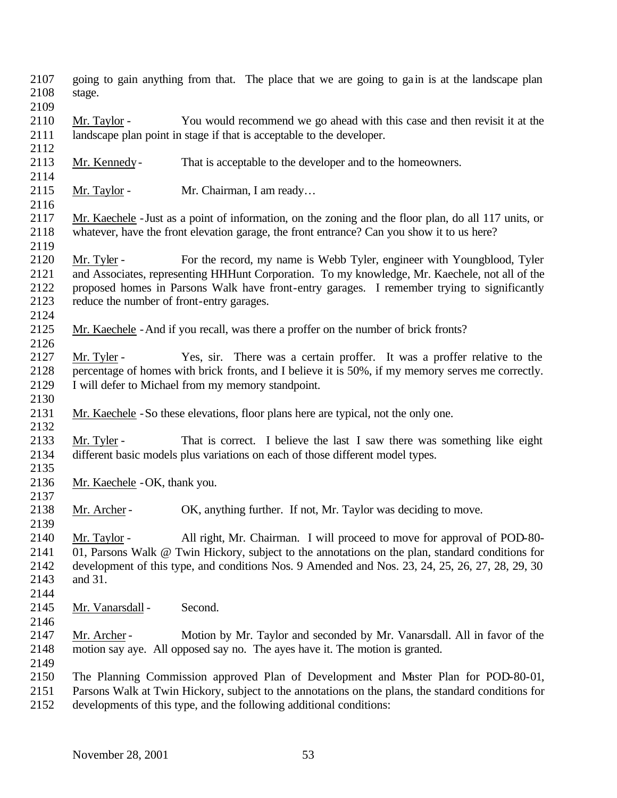- going to gain anything from that. The place that we are going to gain is at the landscape plan stage.
- 
- Mr. Taylor You would recommend we go ahead with this case and then revisit it at the landscape plan point in stage if that is acceptable to the developer.
- Mr. Kennedy- That is acceptable to the developer and to the homeowners.
- 

- 2115 Mr. Taylor Mr. Chairman, I am ready...
- Mr. Kaechele -Just as a point of information, on the zoning and the floor plan, do all 117 units, or whatever, have the front elevation garage, the front entrance? Can you show it to us here?
- 2120 Mr. Tyler For the record, my name is Webb Tyler, engineer with Youngblood, Tyler and Associates, representing HHHunt Corporation. To my knowledge, Mr. Kaechele, not all of the proposed homes in Parsons Walk have front-entry garages. I remember trying to significantly reduce the number of front-entry garages.
- Mr. Kaechele -And if you recall, was there a proffer on the number of brick fronts?
- Mr. Tyler Yes, sir. There was a certain proffer. It was a proffer relative to the percentage of homes with brick fronts, and I believe it is 50%, if my memory serves me correctly. I will defer to Michael from my memory standpoint.
- Mr. Kaechele -So these elevations, floor plans here are typical, not the only one.
- Mr. Tyler That is correct. I believe the last I saw there was something like eight different basic models plus variations on each of those different model types.
- 

Mr. Kaechele -OK, thank you.

- 2138 Mr. Archer OK, anything further. If not, Mr. Taylor was deciding to move.
- Mr. Taylor - All right, Mr. Chairman. I will proceed to move for approval of POD-80- 01, Parsons Walk @ Twin Hickory, subject to the annotations on the plan, standard conditions for development of this type, and conditions Nos. 9 Amended and Nos. 23, 24, 25, 26, 27, 28, 29, 30 and 31.
- 
- 2145 Mr. Vanarsdall Second.
- 
- 
- Mr. Archer Motion by Mr. Taylor and seconded by Mr. Vanarsdall. All in favor of the motion say aye. All opposed say no. The ayes have it. The motion is granted.
- The Planning Commission approved Plan of Development and Master Plan for POD-80-01,
- Parsons Walk at Twin Hickory, subject to the annotations on the plans, the standard conditions for
- developments of this type, and the following additional conditions: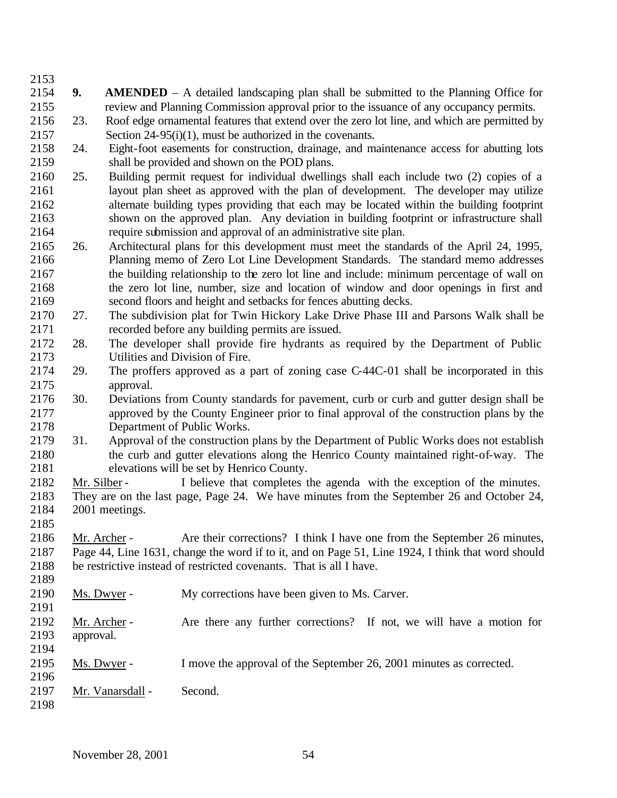- **9. AMENDED**  A detailed landscaping plan shall be submitted to the Planning Office for review and Planning Commission approval prior to the issuance of any occupancy permits.
- 23. Roof edge ornamental features that extend over the zero lot line, and which are permitted by Section 24-95(i)(1), must be authorized in the covenants.
- 24. Eight-foot easements for construction, drainage, and maintenance access for abutting lots shall be provided and shown on the POD plans.
- 25. Building permit request for individual dwellings shall each include two (2) copies of a layout plan sheet as approved with the plan of development. The developer may utilize alternate building types providing that each may be located within the building footprint shown on the approved plan. Any deviation in building footprint or infrastructure shall require submission and approval of an administrative site plan.
- 26. Architectural plans for this development must meet the standards of the April 24, 1995, Planning memo of Zero Lot Line Development Standards. The standard memo addresses the building relationship to the zero lot line and include: minimum percentage of wall on the zero lot line, number, size and location of window and door openings in first and second floors and height and setbacks for fences abutting decks.
- 27. The subdivision plat for Twin Hickory Lake Drive Phase III and Parsons Walk shall be recorded before any building permits are issued.
- 28. The developer shall provide fire hydrants as required by the Department of Public Utilities and Division of Fire.
- 29. The proffers approved as a part of zoning case C-44C-01 shall be incorporated in this approval.
- 30. Deviations from County standards for pavement, curb or curb and gutter design shall be approved by the County Engineer prior to final approval of the construction plans by the Department of Public Works.
- 31. Approval of the construction plans by the Department of Public Works does not establish the curb and gutter elevations along the Henrico County maintained right-of-way. The elevations will be set by Henrico County.
- 2182 Mr. Silber I believe that completes the agenda with the exception of the minutes.
- They are on the last page, Page 24. We have minutes from the September 26 and October 24, 2001 meetings.
- Mr. Archer - Are their corrections? I think I have one from the September 26 minutes, Page 44, Line 1631, change the word if to it, and on Page 51, Line 1924, I think that word should be restrictive instead of restricted covenants. That is all I have.
- Ms. Dwyer - My corrections have been given to Ms. Carver. Mr. Archer - Are there any further corrections? If not, we will have a motion for approval. Ms. Dwyer - I move the approval of the September 26, 2001 minutes as corrected.
- 2197 Mr. Vanarsdall - Second.
-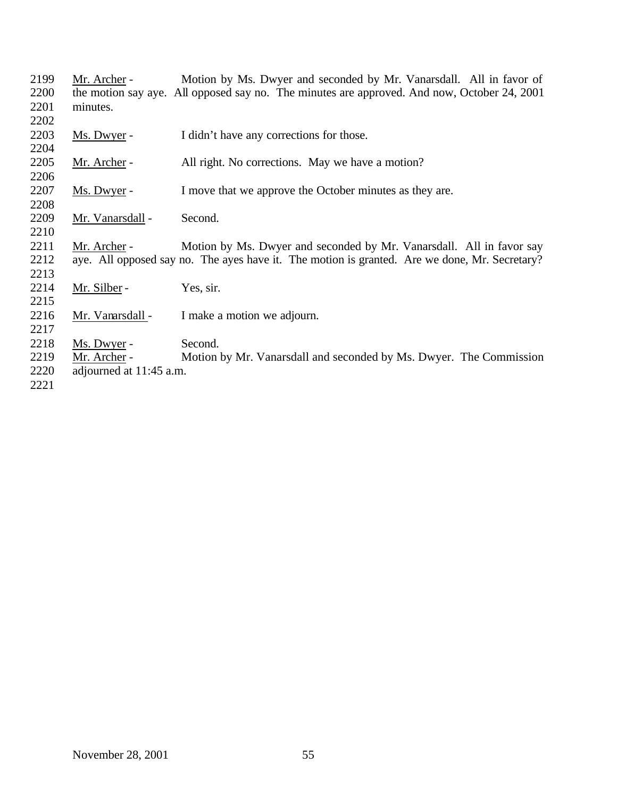| 2199 | Mr. Archer -            | Motion by Ms. Dwyer and seconded by Mr. Vanarsdall. All in favor of                           |
|------|-------------------------|-----------------------------------------------------------------------------------------------|
| 2200 |                         | the motion say aye. All opposed say no. The minutes are approved. And now, October 24, 2001   |
| 2201 | minutes.                |                                                                                               |
| 2202 |                         |                                                                                               |
| 2203 | Ms. Dwyer -             | I didn't have any corrections for those.                                                      |
| 2204 |                         |                                                                                               |
| 2205 | Mr. Archer -            | All right. No corrections. May we have a motion?                                              |
| 2206 |                         |                                                                                               |
| 2207 | Ms. Dwyer -             | I move that we approve the October minutes as they are.                                       |
| 2208 |                         |                                                                                               |
| 2209 | Mr. Vanarsdall -        | Second.                                                                                       |
| 2210 |                         |                                                                                               |
| 2211 | Mr. Archer -            | Motion by Ms. Dwyer and seconded by Mr. Vanarsdall. All in favor say                          |
| 2212 |                         | aye. All opposed say no. The ayes have it. The motion is granted. Are we done, Mr. Secretary? |
| 2213 |                         |                                                                                               |
| 2214 | Mr. Silber -            | Yes, sir.                                                                                     |
| 2215 |                         |                                                                                               |
| 2216 | Mr. Vanarsdall -        | I make a motion we adjourn.                                                                   |
| 2217 |                         |                                                                                               |
| 2218 | Ms. Dwyer -             | Second.                                                                                       |
| 2219 | Mr. Archer -            | Motion by Mr. Vanarsdall and seconded by Ms. Dwyer. The Commission                            |
| 2220 | adjourned at 11:45 a.m. |                                                                                               |
| 2221 |                         |                                                                                               |